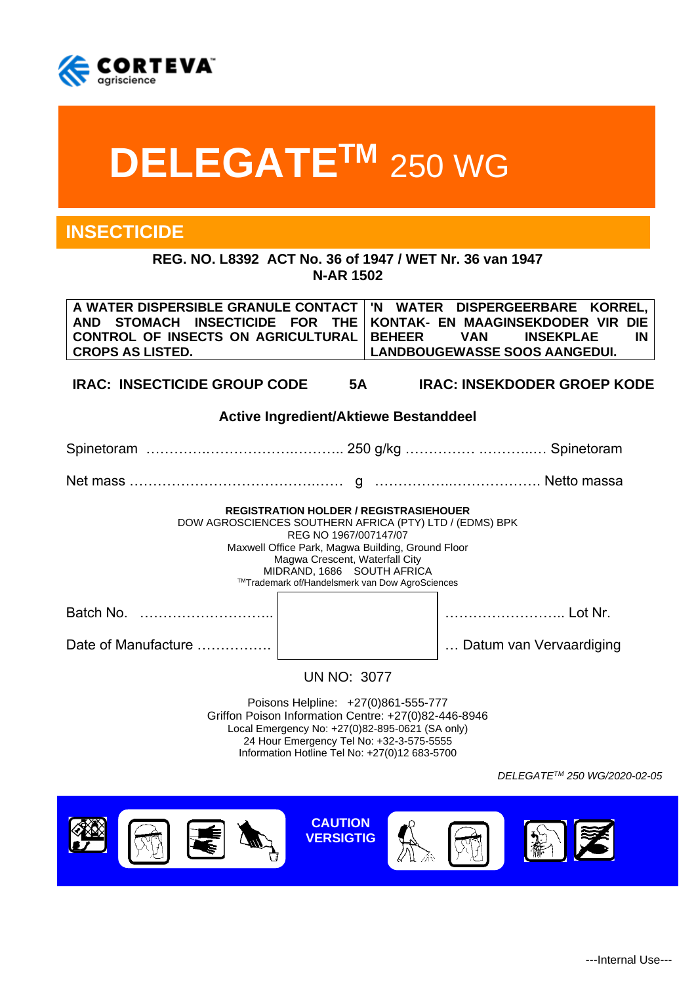

# **DELEGATETM** 250 WG

# **INSECTICIDE**

**REG. NO. L8392 ACT No. 36 of 1947 / WET Nr. 36 van 1947 N-AR 1502**

**A WATER DISPERSIBLE GRANULE CONTACT AND STOMACH INSECTICIDE FOR THE CONTROL OF INSECTS ON AGRICULTURAL CROPS AS LISTED. 'N WATER DISPERGEERBARE KORREL, KONTAK- EN MAAGINSEKDODER VIR DIE BEHEER VAN INSEKPLAE IN LANDBOUGEWASSE SOOS AANGEDUI.**

**IRAC: INSECTICIDE GROUP CODE 5A IRAC: INSEKDODER GROEP KODE**

#### **Active Ingredient/Aktiewe Bestanddeel**

Spinetoram ………….……………….……….. 250 g/kg …………… .………..… Spinetoram Net mass ………………………………….…… g ……………..………………. Netto massa

**REGISTRATION HOLDER / REGISTRASIEHOUER**

DOW AGROSCIENCES SOUTHERN AFRICA (PTY) LTD / (EDMS) BPK

REG NO 1967/007147/07 Maxwell Office Park, Magwa Building, Ground Floor Magwa Crescent, Waterfall City MIDRAND, 1686 SOUTH AFRICA TMTrademark of/Handelsmerk van Dow AgroSciences

Batch No. ……………………….. …………………….. Lot Nr.

Date of Manufacture ……………. … Datum van Vervaardiging

UN NO: 3077

Poisons Helpline: +27(0)861-555-777 Griffon Poison Information Centre: +27(0)82-446-8946 Local Emergency No: +27(0)82-895-0621 (SA only) 24 Hour Emergency Tel No: +32-3-575-5555 Information Hotline Tel No: +27(0)12 683-5700

*DELEGATETM 250 WG/2020-02-05*

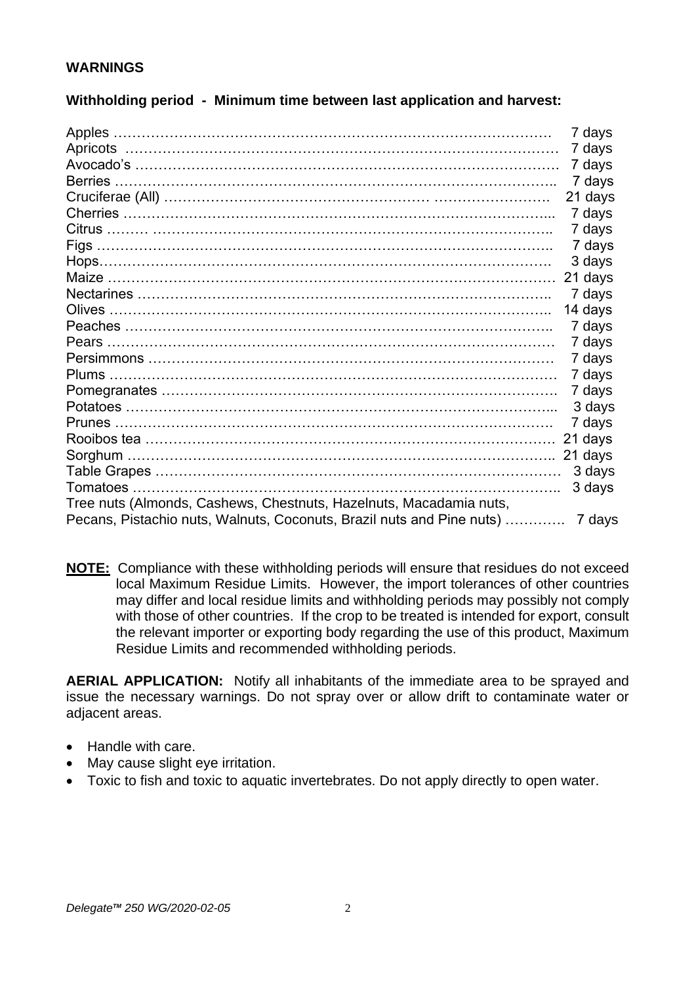# **WARNINGS**

|                | 7 days  |
|----------------|---------|
|                | 7 days  |
|                | 7 days  |
| <b>Berries</b> | 7 days  |
|                | 21 days |
|                | 7 days  |
|                | 7 days  |
|                | 7 days  |
|                | 3 days  |
|                | 21 days |
|                | 7 days  |
|                | 14 days |
|                | 7 days  |
|                | 7 days  |
|                | 7 days  |
|                | 7 days  |
|                | 7 days  |

Potatoes ………………………………………………………………………………... 3 days Prunes …………………………………………………………………………………. 7 days Rooibos tea ……………………………………………………………………………. 21 days Sorghum ……………………………………………………………………………….. 21 days Table Grapes …………………………………………………………………………… 3 days Tomatoes ……………………………………………………………………………….. 3 days

Pecans, Pistachio nuts, Walnuts, Coconuts, Brazil nuts and Pine nuts) …………. 7 days

Tree nuts (Almonds, Cashews, Chestnuts, Hazelnuts, Macadamia nuts,

# **Withholding period - Minimum time between last application and harvest:**

| <b>NOTE:</b> Compliance with these withholding periods will ensure that residues do not exceed |
|------------------------------------------------------------------------------------------------|
| local Maximum Residue Limits. However, the import tolerances of other countries                |
| may differ and local residue limits and withholding periods may possibly not comply            |
| with those of other countries. If the crop to be treated is intended for export, consult       |
| the relevant importer or exporting body regarding the use of this product, Maximum             |
| Residue Limits and recommended withholding periods.                                            |

**AERIAL APPLICATION:** Notify all inhabitants of the immediate area to be sprayed and issue the necessary warnings. Do not spray over or allow drift to contaminate water or adjacent areas.

- Handle with care.
- May cause slight eye irritation.
- Toxic to fish and toxic to aquatic invertebrates. Do not apply directly to open water.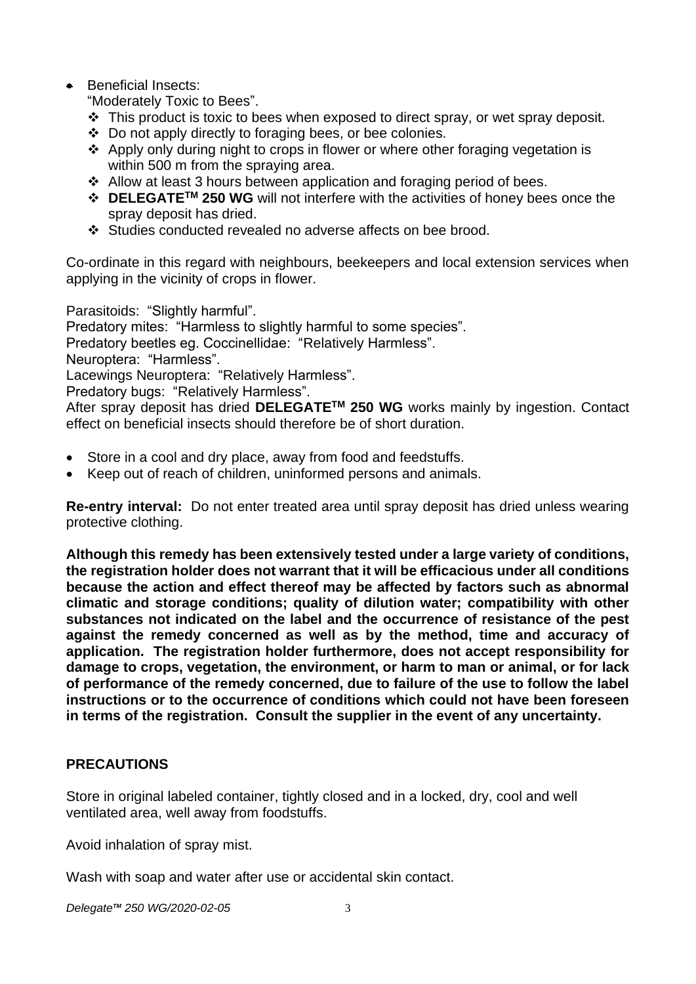# • Beneficial Insects:

"Moderately Toxic to Bees".

- $\div$  This product is toxic to bees when exposed to direct spray, or wet spray deposit.
- ❖ Do not apply directly to foraging bees, or bee colonies.
- ❖ Apply only during night to crops in flower or where other foraging vegetation is within 500 m from the spraying area.
- ❖ Allow at least 3 hours between application and foraging period of bees.
- ❖ **DELEGATETM 250 WG** will not interfere with the activities of honey bees once the spray deposit has dried.
- ❖ Studies conducted revealed no adverse affects on bee brood.

Co-ordinate in this regard with neighbours, beekeepers and local extension services when applying in the vicinity of crops in flower.

Parasitoids: "Slightly harmful".

Predatory mites: "Harmless to slightly harmful to some species".

Predatory beetles eg. Coccinellidae: "Relatively Harmless".

Neuroptera: "Harmless".

Lacewings Neuroptera: "Relatively Harmless".

Predatory bugs: "Relatively Harmless".

After spray deposit has dried **DELEGATETM 250 WG** works mainly by ingestion. Contact effect on beneficial insects should therefore be of short duration.

- Store in a cool and dry place, away from food and feedstuffs.
- Keep out of reach of children, uninformed persons and animals.

**Re-entry interval:** Do not enter treated area until spray deposit has dried unless wearing protective clothing.

**Although this remedy has been extensively tested under a large variety of conditions, the registration holder does not warrant that it will be efficacious under all conditions because the action and effect thereof may be affected by factors such as abnormal climatic and storage conditions; quality of dilution water; compatibility with other substances not indicated on the label and the occurrence of resistance of the pest against the remedy concerned as well as by the method, time and accuracy of application. The registration holder furthermore, does not accept responsibility for damage to crops, vegetation, the environment, or harm to man or animal, or for lack of performance of the remedy concerned, due to failure of the use to follow the label instructions or to the occurrence of conditions which could not have been foreseen in terms of the registration. Consult the supplier in the event of any uncertainty.**

# **PRECAUTIONS**

Store in original labeled container, tightly closed and in a locked, dry, cool and well ventilated area, well away from foodstuffs.

Avoid inhalation of spray mist.

Wash with soap and water after use or accidental skin contact.

*DelegateTM 250 WG/2020-02-05* 3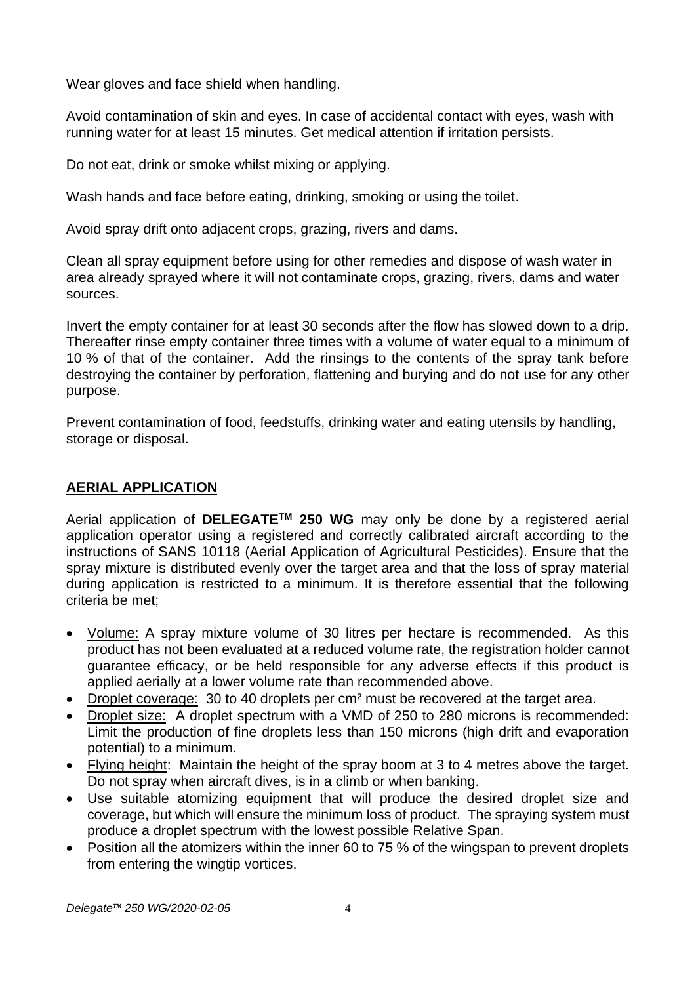Wear gloves and face shield when handling.

Avoid contamination of skin and eyes. In case of accidental contact with eyes, wash with running water for at least 15 minutes. Get medical attention if irritation persists.

Do not eat, drink or smoke whilst mixing or applying.

Wash hands and face before eating, drinking, smoking or using the toilet.

Avoid spray drift onto adjacent crops, grazing, rivers and dams.

Clean all spray equipment before using for other remedies and dispose of wash water in area already sprayed where it will not contaminate crops, grazing, rivers, dams and water sources.

Invert the empty container for at least 30 seconds after the flow has slowed down to a drip. Thereafter rinse empty container three times with a volume of water equal to a minimum of 10 % of that of the container. Add the rinsings to the contents of the spray tank before destroying the container by perforation, flattening and burying and do not use for any other purpose.

Prevent contamination of food, feedstuffs, drinking water and eating utensils by handling, storage or disposal.

# **AERIAL APPLICATION**

Aerial application of **DELEGATETM 250 WG** may only be done by a registered aerial application operator using a registered and correctly calibrated aircraft according to the instructions of SANS 10118 (Aerial Application of Agricultural Pesticides). Ensure that the spray mixture is distributed evenly over the target area and that the loss of spray material during application is restricted to a minimum. It is therefore essential that the following criteria be met;

- Volume: A spray mixture volume of 30 litres per hectare is recommended. As this product has not been evaluated at a reduced volume rate, the registration holder cannot guarantee efficacy, or be held responsible for any adverse effects if this product is applied aerially at a lower volume rate than recommended above.
- Droplet coverage: 30 to 40 droplets per cm² must be recovered at the target area.
- Droplet size: A droplet spectrum with a VMD of 250 to 280 microns is recommended: Limit the production of fine droplets less than 150 microns (high drift and evaporation potential) to a minimum.
- Flying height: Maintain the height of the spray boom at 3 to 4 metres above the target. Do not spray when aircraft dives, is in a climb or when banking.
- Use suitable atomizing equipment that will produce the desired droplet size and coverage, but which will ensure the minimum loss of product. The spraying system must produce a droplet spectrum with the lowest possible Relative Span.
- Position all the atomizers within the inner 60 to 75 % of the wingspan to prevent droplets from entering the wingtip vortices.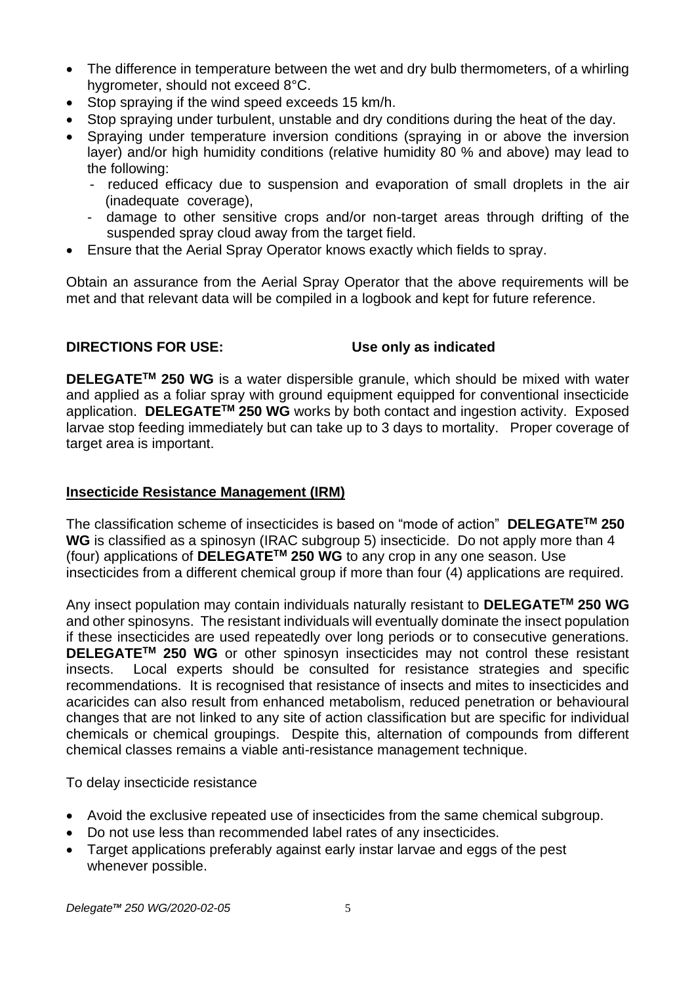- The difference in temperature between the wet and dry bulb thermometers, of a whirling hygrometer, should not exceed 8°C.
- Stop spraying if the wind speed exceeds 15 km/h.
- Stop spraying under turbulent, unstable and dry conditions during the heat of the day.
- Spraying under temperature inversion conditions (spraying in or above the inversion layer) and/or high humidity conditions (relative humidity 80 % and above) may lead to the following:
	- reduced efficacy due to suspension and evaporation of small droplets in the air (inadequate coverage),
	- damage to other sensitive crops and/or non-target areas through drifting of the suspended spray cloud away from the target field.
- Ensure that the Aerial Spray Operator knows exactly which fields to spray.

Obtain an assurance from the Aerial Spray Operator that the above requirements will be met and that relevant data will be compiled in a logbook and kept for future reference.

# **DIRECTIONS FOR USE: Use only as indicated**

**DELEGATETM 250 WG** is a water dispersible granule, which should be mixed with water and applied as a foliar spray with ground equipment equipped for conventional insecticide application. **DELEGATETM 250 WG** works by both contact and ingestion activity. Exposed larvae stop feeding immediately but can take up to 3 days to mortality. Proper coverage of target area is important.

#### **Insecticide Resistance Management (IRM)**

The classification scheme of insecticides is based on "mode of action" **DELEGATETM 250 WG** is classified as a spinosyn (IRAC subgroup 5) insecticide. Do not apply more than 4 (four) applications of **DELEGATETM 250 WG** to any crop in any one season. Use insecticides from a different chemical group if more than four (4) applications are required.

Any insect population may contain individuals naturally resistant to **DELEGATETM 250 WG** and other spinosyns. The resistant individuals will eventually dominate the insect population if these insecticides are used repeatedly over long periods or to consecutive generations. **DELEGATETM 250 WG** or other spinosyn insecticides may not control these resistant insects. Local experts should be consulted for resistance strategies and specific recommendations. It is recognised that resistance of insects and mites to insecticides and acaricides can also result from enhanced metabolism, reduced penetration or behavioural changes that are not linked to any site of action classification but are specific for individual chemicals or chemical groupings. Despite this, alternation of compounds from different chemical classes remains a viable anti-resistance management technique.

To delay insecticide resistance

- Avoid the exclusive repeated use of insecticides from the same chemical subgroup.
- Do not use less than recommended label rates of any insecticides.
- Target applications preferably against early instar larvae and eggs of the pest whenever possible.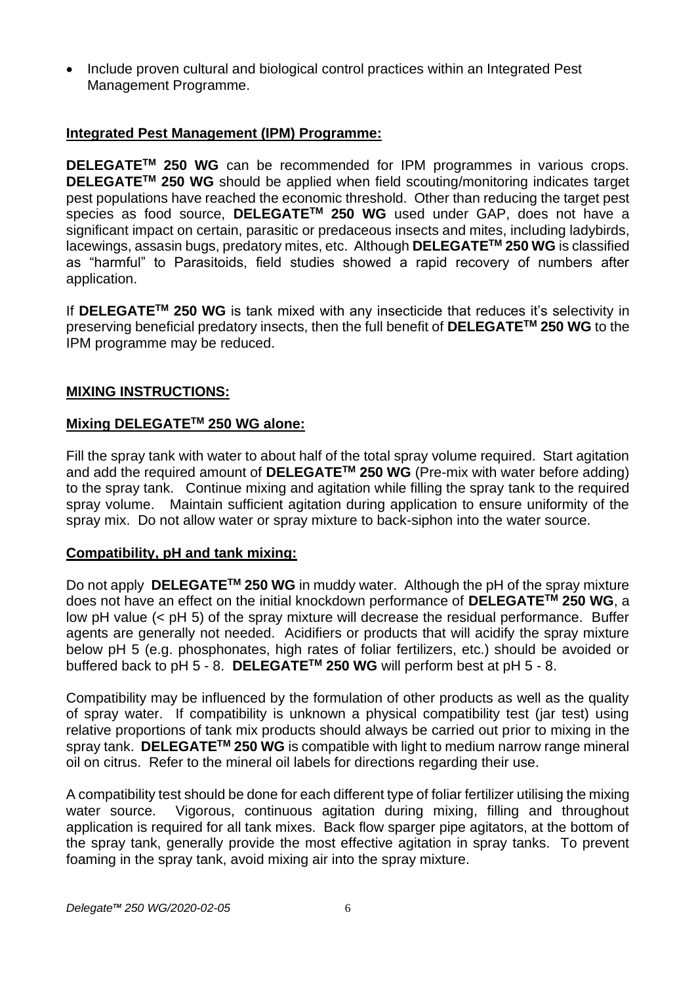• Include proven cultural and biological control practices within an Integrated Pest Management Programme.

# **Integrated Pest Management (IPM) Programme:**

**DELEGATETM 250 WG** can be recommended for IPM programmes in various crops. **DELEGATETM 250 WG** should be applied when field scouting/monitoring indicates target pest populations have reached the economic threshold. Other than reducing the target pest species as food source, **DELEGATETM 250 WG** used under GAP, does not have a significant impact on certain, parasitic or predaceous insects and mites, including ladybirds, lacewings, assasin bugs, predatory mites, etc. Although **DELEGATETM 250 WG** is classified as "harmful" to Parasitoids, field studies showed a rapid recovery of numbers after application.

If **DELEGATETM 250 WG** is tank mixed with any insecticide that reduces it's selectivity in preserving beneficial predatory insects, then the full benefit of **DELEGATETM 250 WG** to the IPM programme may be reduced.

# **MIXING INSTRUCTIONS:**

# **Mixing DELEGATETM 250 WG alone:**

Fill the spray tank with water to about half of the total spray volume required. Start agitation and add the required amount of **DELEGATETM 250 WG** (Pre-mix with water before adding) to the spray tank. Continue mixing and agitation while filling the spray tank to the required spray volume. Maintain sufficient agitation during application to ensure uniformity of the spray mix. Do not allow water or spray mixture to back-siphon into the water source.

# **Compatibility, pH and tank mixing:**

Do not apply **DELEGATETM 250 WG** in muddy water. Although the pH of the spray mixture does not have an effect on the initial knockdown performance of **DELEGATETM 250 WG**, a low pH value (< pH 5) of the spray mixture will decrease the residual performance. Buffer agents are generally not needed. Acidifiers or products that will acidify the spray mixture below pH 5 (e.g. phosphonates, high rates of foliar fertilizers, etc.) should be avoided or buffered back to pH 5 - 8. **DELEGATETM 250 WG** will perform best at pH 5 - 8.

Compatibility may be influenced by the formulation of other products as well as the quality of spray water. If compatibility is unknown a physical compatibility test (jar test) using relative proportions of tank mix products should always be carried out prior to mixing in the spray tank. **DELEGATETM 250 WG** is compatible with light to medium narrow range mineral oil on citrus. Refer to the mineral oil labels for directions regarding their use.

A compatibility test should be done for each different type of foliar fertilizer utilising the mixing water source. Vigorous, continuous agitation during mixing, filling and throughout application is required for all tank mixes. Back flow sparger pipe agitators, at the bottom of the spray tank, generally provide the most effective agitation in spray tanks. To prevent foaming in the spray tank, avoid mixing air into the spray mixture.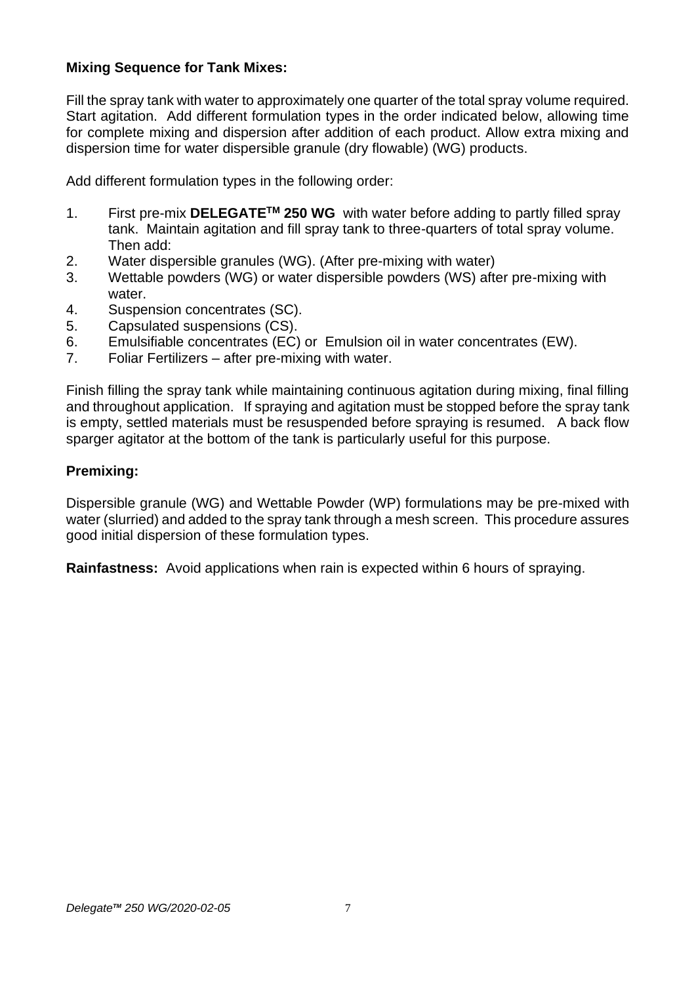# **Mixing Sequence for Tank Mixes:**

Fill the spray tank with water to approximately one quarter of the total spray volume required. Start agitation. Add different formulation types in the order indicated below, allowing time for complete mixing and dispersion after addition of each product. Allow extra mixing and dispersion time for water dispersible granule (dry flowable) (WG) products.

Add different formulation types in the following order:

- 1. First pre-mix **DELEGATETM 250 WG** with water before adding to partly filled spray tank. Maintain agitation and fill spray tank to three-quarters of total spray volume. Then add:
- 2. Water dispersible granules (WG). (After pre-mixing with water)
- 3. Wettable powders (WG) or water dispersible powders (WS) after pre-mixing with water.
- 4. Suspension concentrates (SC).
- 5. Capsulated suspensions (CS).
- 6. Emulsifiable concentrates (EC) or Emulsion oil in water concentrates (EW).
- 7. Foliar Fertilizers after pre-mixing with water.

Finish filling the spray tank while maintaining continuous agitation during mixing, final filling and throughout application. If spraying and agitation must be stopped before the spray tank is empty, settled materials must be resuspended before spraying is resumed. A back flow sparger agitator at the bottom of the tank is particularly useful for this purpose.

# **Premixing:**

Dispersible granule (WG) and Wettable Powder (WP) formulations may be pre-mixed with water (slurried) and added to the spray tank through a mesh screen. This procedure assures good initial dispersion of these formulation types.

**Rainfastness:** Avoid applications when rain is expected within 6 hours of spraying.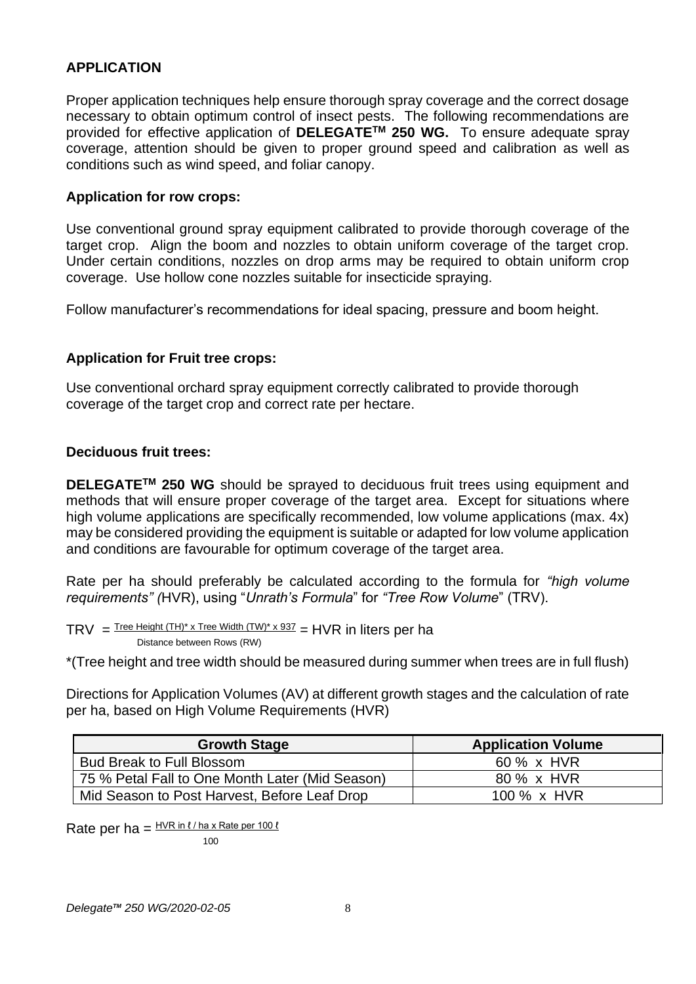# **APPLICATION**

Proper application techniques help ensure thorough spray coverage and the correct dosage necessary to obtain optimum control of insect pests. The following recommendations are provided for effective application of **DELEGATETM 250 WG.** To ensure adequate spray coverage, attention should be given to proper ground speed and calibration as well as conditions such as wind speed, and foliar canopy.

# **Application for row crops:**

Use conventional ground spray equipment calibrated to provide thorough coverage of the target crop. Align the boom and nozzles to obtain uniform coverage of the target crop. Under certain conditions, nozzles on drop arms may be required to obtain uniform crop coverage. Use hollow cone nozzles suitable for insecticide spraying.

Follow manufacturer's recommendations for ideal spacing, pressure and boom height.

# **Application for Fruit tree crops:**

Use conventional orchard spray equipment correctly calibrated to provide thorough coverage of the target crop and correct rate per hectare.

# **Deciduous fruit trees:**

**DELEGATETM 250 WG** should be sprayed to deciduous fruit trees using equipment and methods that will ensure proper coverage of the target area. Except for situations where high volume applications are specifically recommended, low volume applications (max. 4x) may be considered providing the equipment is suitable or adapted for low volume application and conditions are favourable for optimum coverage of the target area.

Rate per ha should preferably be calculated according to the formula for *"high volume requirements" (*HVR), using "*Unrath's Formula*" for *"Tree Row Volume*" (TRV).

TRV  $=$  Tree Height (TH)\* x Tree Width (TW)\* x 937  $=$  HVR in liters per ha Distance between Rows (RW)

\*(Tree height and tree width should be measured during summer when trees are in full flush)

Directions for Application Volumes (AV) at different growth stages and the calculation of rate per ha, based on High Volume Requirements (HVR)

| <b>Growth Stage</b>                             | <b>Application Volume</b> |
|-------------------------------------------------|---------------------------|
| <b>Bud Break to Full Blossom</b>                | 60 % x HVR                |
| 75 % Petal Fall to One Month Later (Mid Season) | 80 % x HVR                |
| Mid Season to Post Harvest, Before Leaf Drop    | 100 % x HVR               |

Rate per ha =  $HVR$  in  $l/ha$  x Rate per 100  $l$ 

100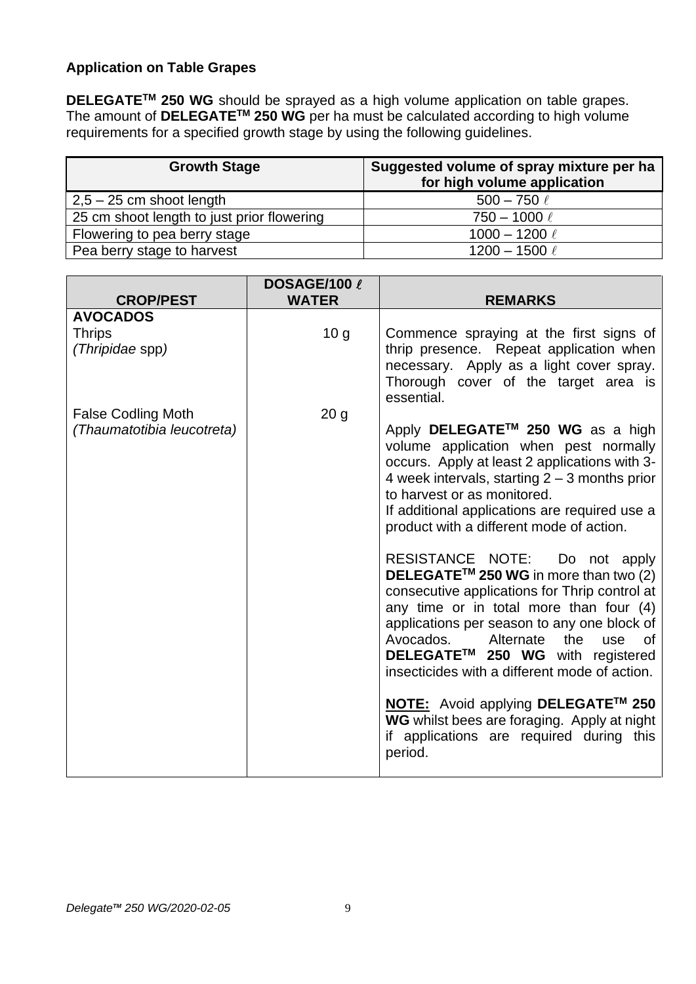# **Application on Table Grapes**

**DELEGATETM 250 WG** should be sprayed as a high volume application on table grapes. The amount of **DELEGATETM 250 WG** per ha must be calculated according to high volume requirements for a specified growth stage by using the following guidelines.

| <b>Growth Stage</b>                        | Suggested volume of spray mixture per ha<br>for high volume application |
|--------------------------------------------|-------------------------------------------------------------------------|
| $2,5 - 25$ cm shoot length                 | $500 - 750 \ell$                                                        |
| 25 cm shoot length to just prior flowering | $750 - 1000 \ell$                                                       |
| Flowering to pea berry stage               | 1000 - 1200 $\ell$                                                      |
| Pea berry stage to harvest                 | 1200 - 1500 $\ell$                                                      |

| 10 <sub>g</sub> | Commence spraying at the first signs of                                                                                                                                                                                                                                                                                                                                                                     |
|-----------------|-------------------------------------------------------------------------------------------------------------------------------------------------------------------------------------------------------------------------------------------------------------------------------------------------------------------------------------------------------------------------------------------------------------|
|                 | thrip presence. Repeat application when<br>necessary. Apply as a light cover spray.<br>Thorough cover of the target area is<br>essential.                                                                                                                                                                                                                                                                   |
| 20 <sub>g</sub> | Apply DELEGATE™ 250 WG as a high<br>volume application when pest normally<br>occurs. Apply at least 2 applications with 3-<br>4 week intervals, starting $2 - 3$ months prior<br>to harvest or as monitored.<br>If additional applications are required use a<br>product with a different mode of action.<br>RESISTANCE NOTE: Do not apply<br>DELEGATE™ 250 WG in more than two (2)                         |
|                 | consecutive applications for Thrip control at<br>any time or in total more than four (4)<br>applications per season to any one block of<br>Avocados.<br>Alternate<br>the<br>use<br>0f<br>DELEGATE™ 250 WG with registered<br>insecticides with a different mode of action.<br>NOTE: Avoid applying DELEGATE™ 250<br>WG whilst bees are foraging. Apply at night<br>if applications are required during this |
|                 |                                                                                                                                                                                                                                                                                                                                                                                                             |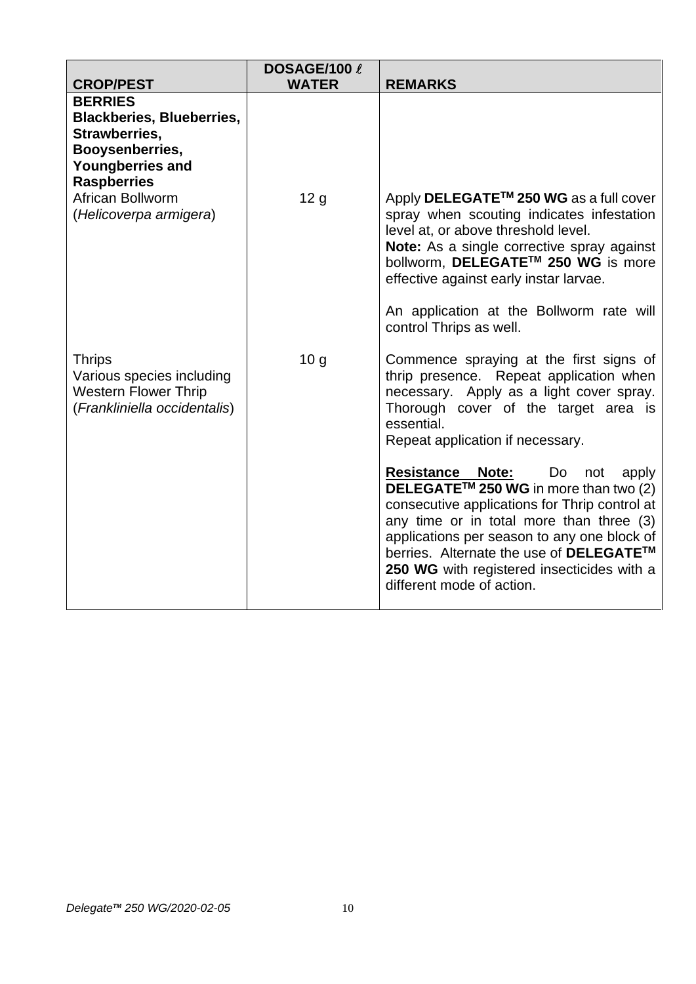|                                                                                                                                  | DOSAGE/100 l    |                                                                                                                                                                                                                                                                                                                                                          |
|----------------------------------------------------------------------------------------------------------------------------------|-----------------|----------------------------------------------------------------------------------------------------------------------------------------------------------------------------------------------------------------------------------------------------------------------------------------------------------------------------------------------------------|
| <b>CROP/PEST</b>                                                                                                                 | <b>WATER</b>    | <b>REMARKS</b>                                                                                                                                                                                                                                                                                                                                           |
| <b>BERRIES</b><br><b>Blackberies, Blueberries,</b><br>Strawberries,<br>Booysenberries,<br>Youngberries and<br><b>Raspberries</b> |                 |                                                                                                                                                                                                                                                                                                                                                          |
| African Bollworm<br>(Helicoverpa armigera)                                                                                       | 12 <sub>g</sub> | Apply DELEGATE <sup>™</sup> 250 WG as a full cover<br>spray when scouting indicates infestation<br>level at, or above threshold level.<br>Note: As a single corrective spray against<br>bollworm, DELEGATE™ 250 WG is more<br>effective against early instar larvae.                                                                                     |
|                                                                                                                                  |                 | An application at the Bollworm rate will<br>control Thrips as well.                                                                                                                                                                                                                                                                                      |
| <b>Thrips</b><br>Various species including<br><b>Western Flower Thrip</b><br>(Frankliniella occidentalis)                        | 10 <sub>g</sub> | Commence spraying at the first signs of<br>thrip presence. Repeat application when<br>necessary. Apply as a light cover spray.<br>Thorough cover of the target area is<br>essential.<br>Repeat application if necessary.                                                                                                                                 |
|                                                                                                                                  |                 | <b>Resistance Note:</b><br>Do<br>not<br>apply<br>DELEGATE™ 250 WG in more than two (2)<br>consecutive applications for Thrip control at<br>any time or in total more than three (3)<br>applications per season to any one block of<br>berries. Alternate the use of DELEGATE™<br>250 WG with registered insecticides with a<br>different mode of action. |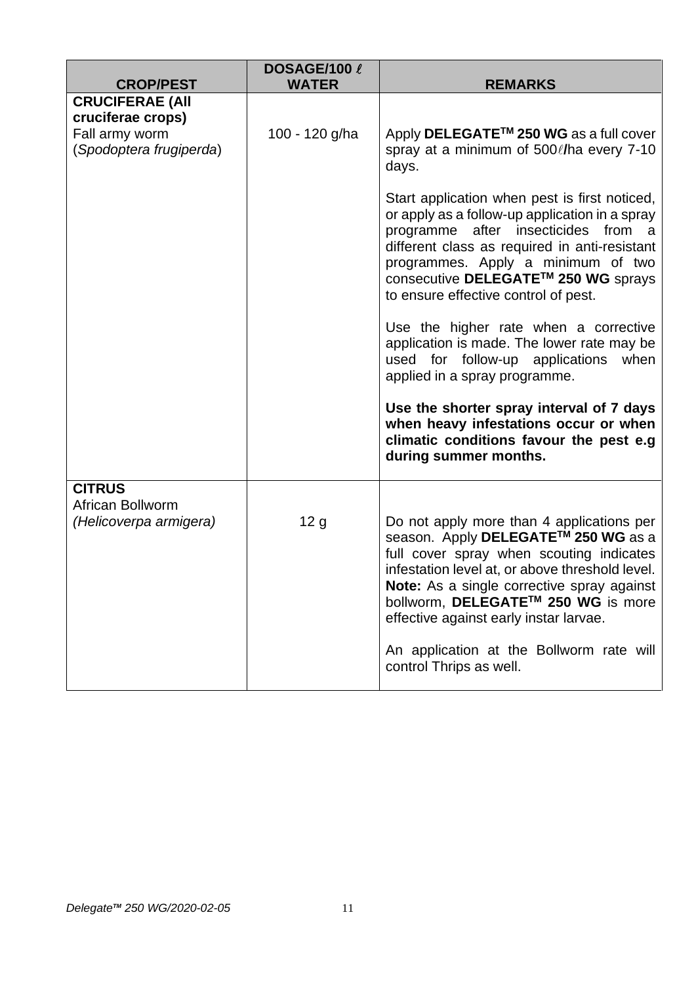| <b>CROP/PEST</b>                                                                         | DOSAGE/100 l<br><b>WATER</b> | <b>REMARKS</b>                                                                                                                                                                                                                                                                                                                                                                                                                                                                                                                                                                                                                                                                                                                  |
|------------------------------------------------------------------------------------------|------------------------------|---------------------------------------------------------------------------------------------------------------------------------------------------------------------------------------------------------------------------------------------------------------------------------------------------------------------------------------------------------------------------------------------------------------------------------------------------------------------------------------------------------------------------------------------------------------------------------------------------------------------------------------------------------------------------------------------------------------------------------|
| <b>CRUCIFERAE (AII</b><br>cruciferae crops)<br>Fall army worm<br>(Spodoptera frugiperda) | 100 - 120 g/ha               | Apply DELEGATE <sup>™</sup> 250 WG as a full cover<br>spray at a minimum of 500 // ha every 7-10<br>days.<br>Start application when pest is first noticed,<br>or apply as a follow-up application in a spray<br>programme after insecticides<br>from a<br>different class as required in anti-resistant<br>programmes. Apply a minimum of two<br>consecutive DELEGATE™ 250 WG sprays<br>to ensure effective control of pest.<br>Use the higher rate when a corrective<br>application is made. The lower rate may be<br>used for follow-up applications<br>when<br>applied in a spray programme.<br>Use the shorter spray interval of 7 days<br>when heavy infestations occur or when<br>climatic conditions favour the pest e.g |
| <b>CITRUS</b><br>African Bollworm<br>(Helicoverpa armigera)                              | 12 <sub>g</sub>              | during summer months.<br>Do not apply more than 4 applications per<br>season. Apply DELEGATE™ 250 WG as a<br>full cover spray when scouting indicates<br>infestation level at, or above threshold level.<br>Note: As a single corrective spray against<br>bollworm, DELEGATE™ 250 WG is more<br>effective against early instar larvae.<br>An application at the Bollworm rate will<br>control Thrips as well.                                                                                                                                                                                                                                                                                                                   |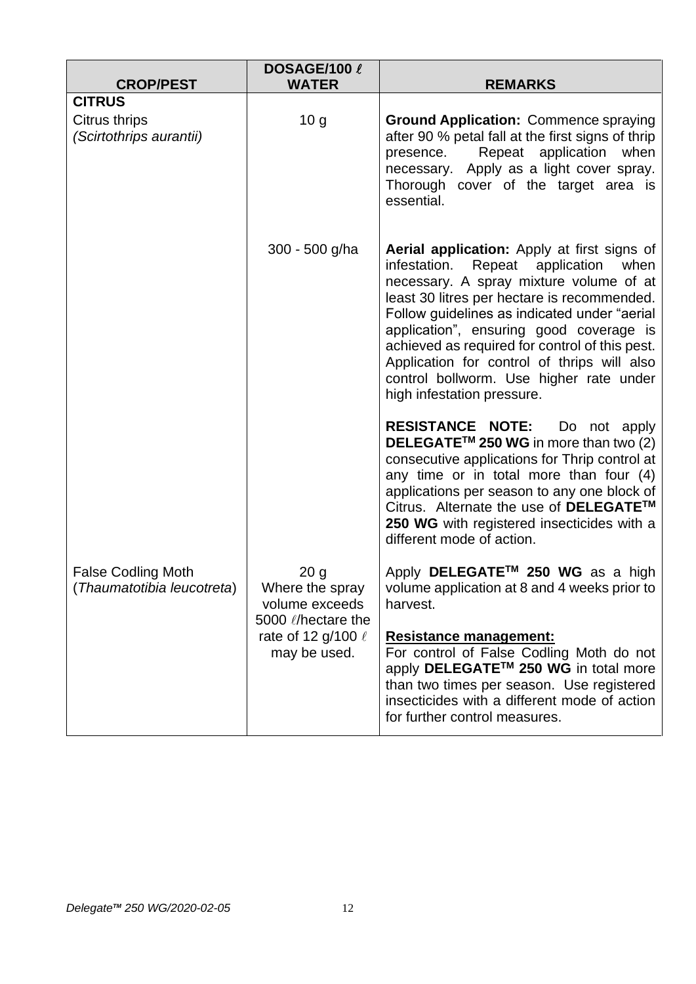| <b>CROP/PEST</b>                                        | DOSAGE/100 l<br><b>WATER</b>                                                       | <b>REMARKS</b>                                                                                                                                                                                                                                                                                                                                                                                                                                              |
|---------------------------------------------------------|------------------------------------------------------------------------------------|-------------------------------------------------------------------------------------------------------------------------------------------------------------------------------------------------------------------------------------------------------------------------------------------------------------------------------------------------------------------------------------------------------------------------------------------------------------|
| <b>CITRUS</b>                                           |                                                                                    |                                                                                                                                                                                                                                                                                                                                                                                                                                                             |
| Citrus thrips<br>(Scirtothrips aurantii)                | 10 <sub>g</sub>                                                                    | <b>Ground Application: Commence spraying</b><br>after 90 % petal fall at the first signs of thrip<br>Repeat application<br>presence.<br>when<br>necessary. Apply as a light cover spray.<br>Thorough cover of the target area is<br>essential.                                                                                                                                                                                                              |
|                                                         | 300 - 500 g/ha                                                                     | Aerial application: Apply at first signs of<br>infestation.<br>Repeat<br>application<br>when<br>necessary. A spray mixture volume of at<br>least 30 litres per hectare is recommended.<br>Follow guidelines as indicated under "aerial<br>application", ensuring good coverage is<br>achieved as required for control of this pest.<br>Application for control of thrips will also<br>control bollworm. Use higher rate under<br>high infestation pressure. |
|                                                         |                                                                                    | <b>RESISTANCE NOTE:</b><br>Do not apply<br>DELEGATE™ 250 WG in more than two (2)<br>consecutive applications for Thrip control at<br>any time or in total more than four (4)<br>applications per season to any one block of<br>Citrus. Alternate the use of DELEGATE™<br>250 WG with registered insecticides with a<br>different mode of action.                                                                                                            |
| <b>False Codling Moth</b><br>(Thaumatotibia leucotreta) | 20 <sub>g</sub><br>Where the spray<br>volume exceeds<br>5000 <i>(I</i> hectare the | Apply DELEGATE <sup>™</sup> 250 WG as a high<br>volume application at 8 and 4 weeks prior to<br>harvest.                                                                                                                                                                                                                                                                                                                                                    |
|                                                         | rate of 12 g/100 $\ell$<br>may be used.                                            | <b>Resistance management:</b><br>For control of False Codling Moth do not<br>apply DELEGATE™ 250 WG in total more<br>than two times per season. Use registered<br>insecticides with a different mode of action<br>for further control measures.                                                                                                                                                                                                             |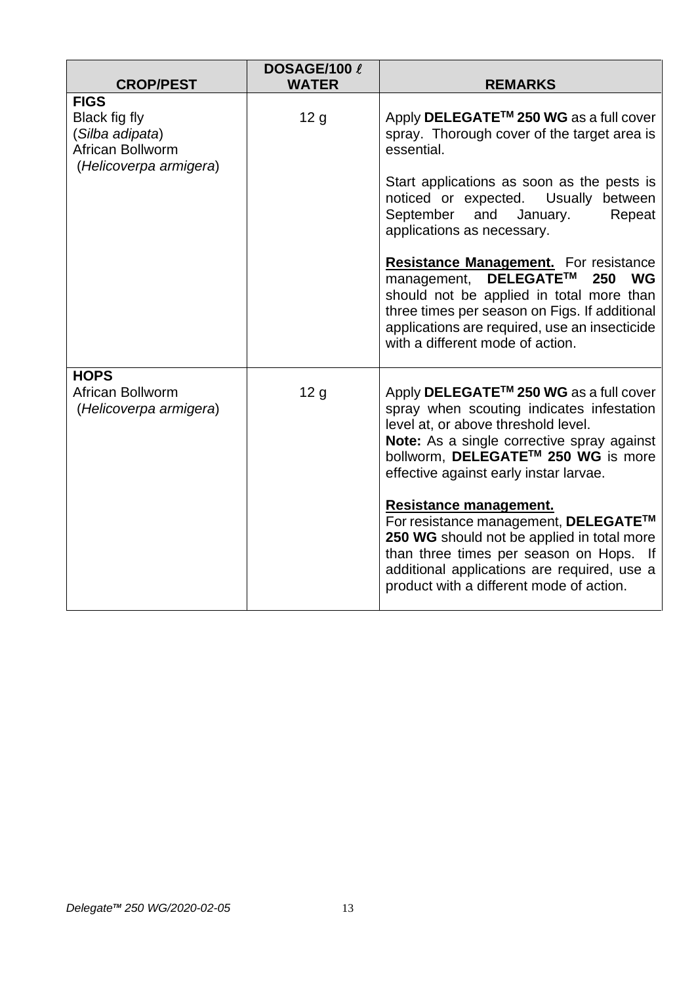| <b>CROP/PEST</b>                                                                              | DOSAGE/100 l<br><b>WATER</b> | <b>REMARKS</b>                                                                                                                                                                                                                                                                                                                                                                                                                                                                                                                                                      |
|-----------------------------------------------------------------------------------------------|------------------------------|---------------------------------------------------------------------------------------------------------------------------------------------------------------------------------------------------------------------------------------------------------------------------------------------------------------------------------------------------------------------------------------------------------------------------------------------------------------------------------------------------------------------------------------------------------------------|
| <b>FIGS</b><br>Black fig fly<br>(Silba adipata)<br>African Bollworm<br>(Helicoverpa armigera) | 12 <sub>g</sub>              | Apply DELEGATE <sup>™</sup> 250 WG as a full cover<br>spray. Thorough cover of the target area is<br>essential.<br>Start applications as soon as the pests is<br>noticed or expected. Usually between<br>and January.<br>September<br>Repeat<br>applications as necessary.<br><b>Resistance Management.</b> For resistance<br><b>DELEGATE™</b><br>250<br><b>WG</b><br>management,<br>should not be applied in total more than<br>three times per season on Figs. If additional<br>applications are required, use an insecticide<br>with a different mode of action. |
| <b>HOPS</b><br>African Bollworm<br>(Helicoverpa armigera)                                     | 12 <sub>g</sub>              | Apply DELEGATE <sup>™</sup> 250 WG as a full cover<br>spray when scouting indicates infestation<br>level at, or above threshold level.<br>Note: As a single corrective spray against<br>bollworm, DELEGATE™ 250 WG is more<br>effective against early instar larvae.<br>Resistance management.<br>For resistance management, DELEGATE™<br>250 WG should not be applied in total more<br>than three times per season on Hops. If<br>additional applications are required, use a<br>product with a different mode of action.                                          |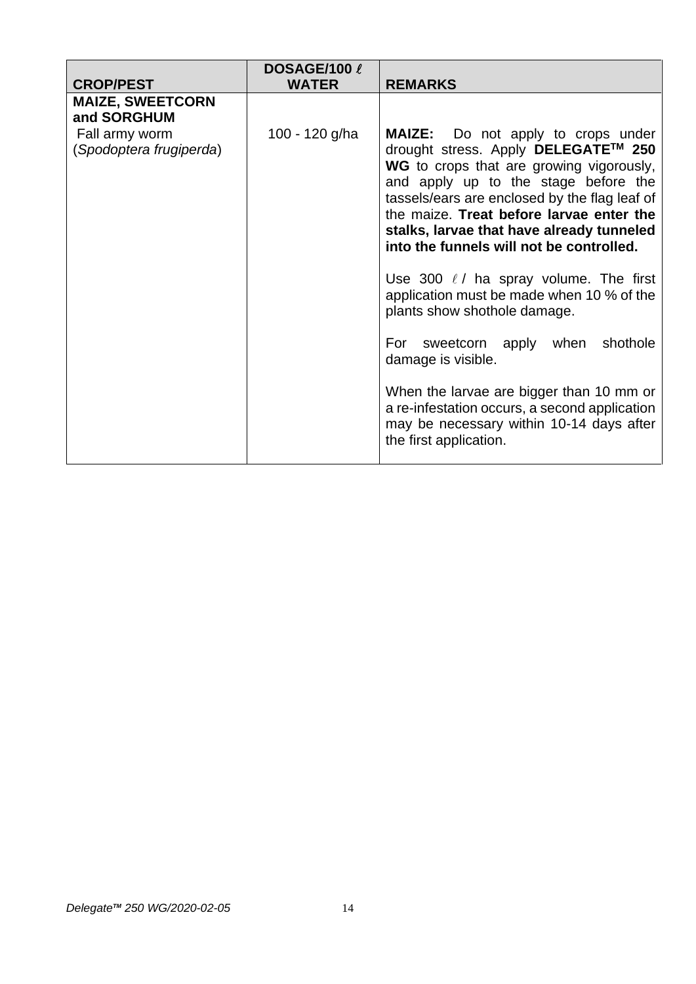|                                                                                     | DOSAGE/100 $\,\ell$ |                                                                                                                                                                                                                                                                                                                                                                                                                                                                                                                                                                                                                                                                                                                            |
|-------------------------------------------------------------------------------------|---------------------|----------------------------------------------------------------------------------------------------------------------------------------------------------------------------------------------------------------------------------------------------------------------------------------------------------------------------------------------------------------------------------------------------------------------------------------------------------------------------------------------------------------------------------------------------------------------------------------------------------------------------------------------------------------------------------------------------------------------------|
| <b>CROP/PEST</b>                                                                    | <b>WATER</b>        | <b>REMARKS</b>                                                                                                                                                                                                                                                                                                                                                                                                                                                                                                                                                                                                                                                                                                             |
| <b>MAIZE, SWEETCORN</b><br>and SORGHUM<br>Fall army worm<br>(Spodoptera frugiperda) | 100 - 120 g/ha      | <b>MAIZE:</b> Do not apply to crops under<br>drought stress. Apply DELEGATE™ 250<br>WG to crops that are growing vigorously,<br>and apply up to the stage before the<br>tassels/ears are enclosed by the flag leaf of<br>the maize. Treat before larvae enter the<br>stalks, larvae that have already tunneled<br>into the funnels will not be controlled.<br>Use 300 $\ell$ / ha spray volume. The first<br>application must be made when 10 % of the<br>plants show shothole damage.<br>shothole<br>sweetcorn apply when<br>For<br>damage is visible.<br>When the larvae are bigger than 10 mm or<br>a re-infestation occurs, a second application<br>may be necessary within 10-14 days after<br>the first application. |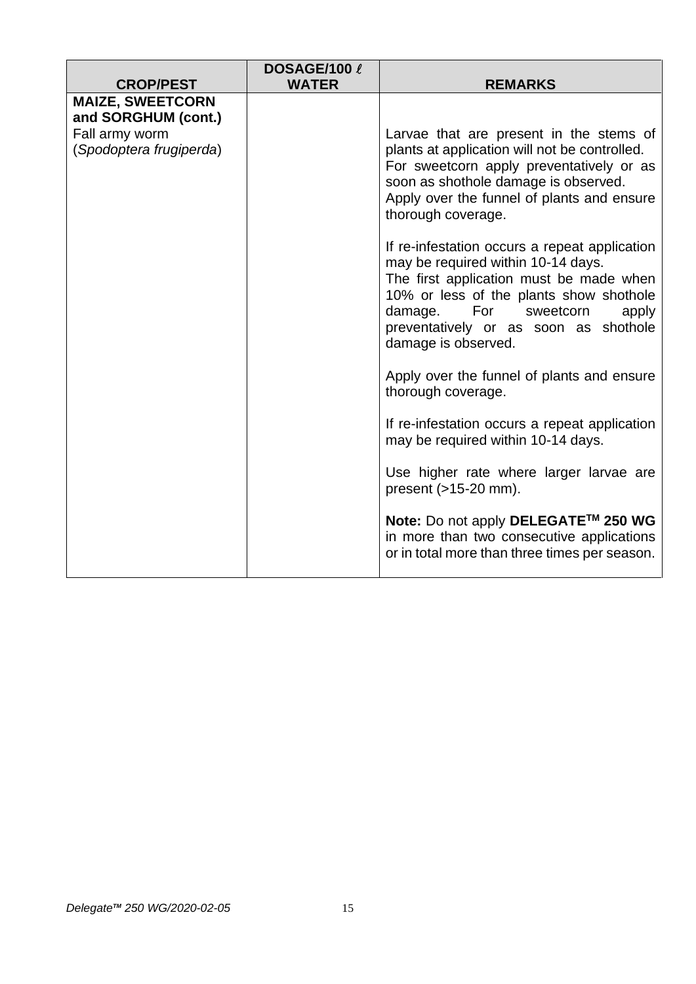|                                           | DOSAGE/100 l |                                                                                                                                                                                                                                                                                   |
|-------------------------------------------|--------------|-----------------------------------------------------------------------------------------------------------------------------------------------------------------------------------------------------------------------------------------------------------------------------------|
| <b>CROP/PEST</b>                          | <b>WATER</b> | <b>REMARKS</b>                                                                                                                                                                                                                                                                    |
| <b>MAIZE, SWEETCORN</b>                   |              |                                                                                                                                                                                                                                                                                   |
| and SORGHUM (cont.)                       |              |                                                                                                                                                                                                                                                                                   |
| Fall army worm<br>(Spodoptera frugiperda) |              | Larvae that are present in the stems of<br>plants at application will not be controlled.<br>For sweetcorn apply preventatively or as<br>soon as shothole damage is observed.<br>Apply over the funnel of plants and ensure<br>thorough coverage.                                  |
|                                           |              | If re-infestation occurs a repeat application<br>may be required within 10-14 days.<br>The first application must be made when<br>10% or less of the plants show shothole<br>For<br>damage.<br>sweetcorn<br>apply<br>preventatively or as soon as shothole<br>damage is observed. |
|                                           |              | Apply over the funnel of plants and ensure<br>thorough coverage.                                                                                                                                                                                                                  |
|                                           |              | If re-infestation occurs a repeat application<br>may be required within 10-14 days.                                                                                                                                                                                               |
|                                           |              | Use higher rate where larger larvae are<br>present $($ >15-20 mm $).$                                                                                                                                                                                                             |
|                                           |              | Note: Do not apply DELEGATE™ 250 WG<br>in more than two consecutive applications<br>or in total more than three times per season.                                                                                                                                                 |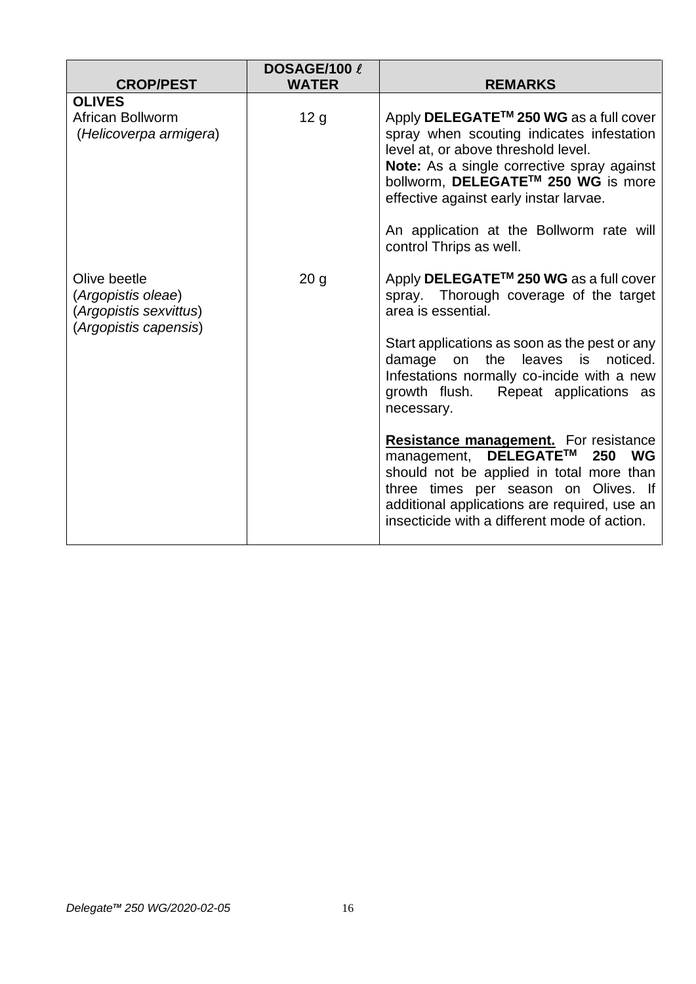| <b>CROP/PEST</b>                                                                      | DOSAGE/100 l<br><b>WATER</b> | <b>REMARKS</b>                                                                                                                                                                                                                                                            |
|---------------------------------------------------------------------------------------|------------------------------|---------------------------------------------------------------------------------------------------------------------------------------------------------------------------------------------------------------------------------------------------------------------------|
|                                                                                       |                              |                                                                                                                                                                                                                                                                           |
| <b>OLIVES</b><br>African Bollworm<br>(Helicoverpa armigera)                           | 12 <sub>g</sub>              | Apply DELEGATE <sup>™</sup> 250 WG as a full cover<br>spray when scouting indicates infestation<br>level at, or above threshold level.<br>Note: As a single corrective spray against<br>bollworm, DELEGATE™ 250 WG is more<br>effective against early instar larvae.      |
|                                                                                       |                              | An application at the Bollworm rate will<br>control Thrips as well.                                                                                                                                                                                                       |
| Olive beetle<br>(Argopistis oleae)<br>(Argopistis sexvittus)<br>(Argopistis capensis) | 20 <sub>g</sub>              | Apply DELEGATE <sup>™</sup> 250 WG as a full cover<br>spray. Thorough coverage of the target<br>area is essential.                                                                                                                                                        |
|                                                                                       |                              | Start applications as soon as the pest or any<br>damage<br>the<br>is<br>noticed.<br>leaves<br>on<br>Infestations normally co-incide with a new<br>growth flush.<br>Repeat applications as<br>necessary.                                                                   |
|                                                                                       |                              | <b>Resistance management.</b> For resistance<br>DELEGATE™<br>250<br>WG<br>management,<br>should not be applied in total more than<br>three times per season on Olives. If<br>additional applications are required, use an<br>insecticide with a different mode of action. |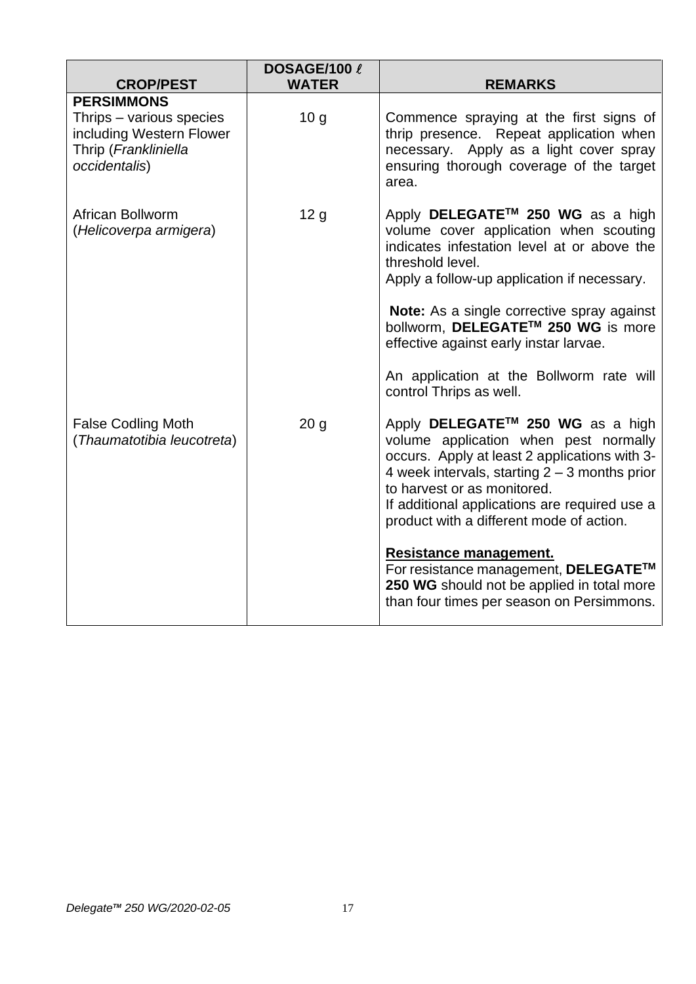| <b>CROP/PEST</b>                                                                                                   | DOSAGE/100 l<br><b>WATER</b> | <b>REMARKS</b>                                                                                                                                                                                                                                                                                                        |
|--------------------------------------------------------------------------------------------------------------------|------------------------------|-----------------------------------------------------------------------------------------------------------------------------------------------------------------------------------------------------------------------------------------------------------------------------------------------------------------------|
| <b>PERSIMMONS</b><br>Thrips – various species<br>including Western Flower<br>Thrip (Frankliniella<br>occidentalis) | 10 <sub>q</sub>              | Commence spraying at the first signs of<br>thrip presence. Repeat application when<br>necessary. Apply as a light cover spray<br>ensuring thorough coverage of the target<br>area.                                                                                                                                    |
| African Bollworm<br>(Helicoverpa armigera)                                                                         | 12 <sub>g</sub>              | Apply DELEGATE™ 250 WG as a high<br>volume cover application when scouting<br>indicates infestation level at or above the<br>threshold level.<br>Apply a follow-up application if necessary.<br>Note: As a single corrective spray against<br>bollworm, DELEGATE™ 250 WG is more                                      |
|                                                                                                                    |                              | effective against early instar larvae.<br>An application at the Bollworm rate will<br>control Thrips as well.                                                                                                                                                                                                         |
| <b>False Codling Moth</b><br>(Thaumatotibia leucotreta)                                                            | 20 <sub>g</sub>              | Apply DELEGATE <sup>™</sup> 250 WG as a high<br>volume application when pest normally<br>occurs. Apply at least 2 applications with 3-<br>4 week intervals, starting $2 - 3$ months prior<br>to harvest or as monitored.<br>If additional applications are required use a<br>product with a different mode of action. |
|                                                                                                                    |                              | <b>Resistance management.</b><br>For resistance management, DELEGATE™<br>250 WG should not be applied in total more<br>than four times per season on Persimmons.                                                                                                                                                      |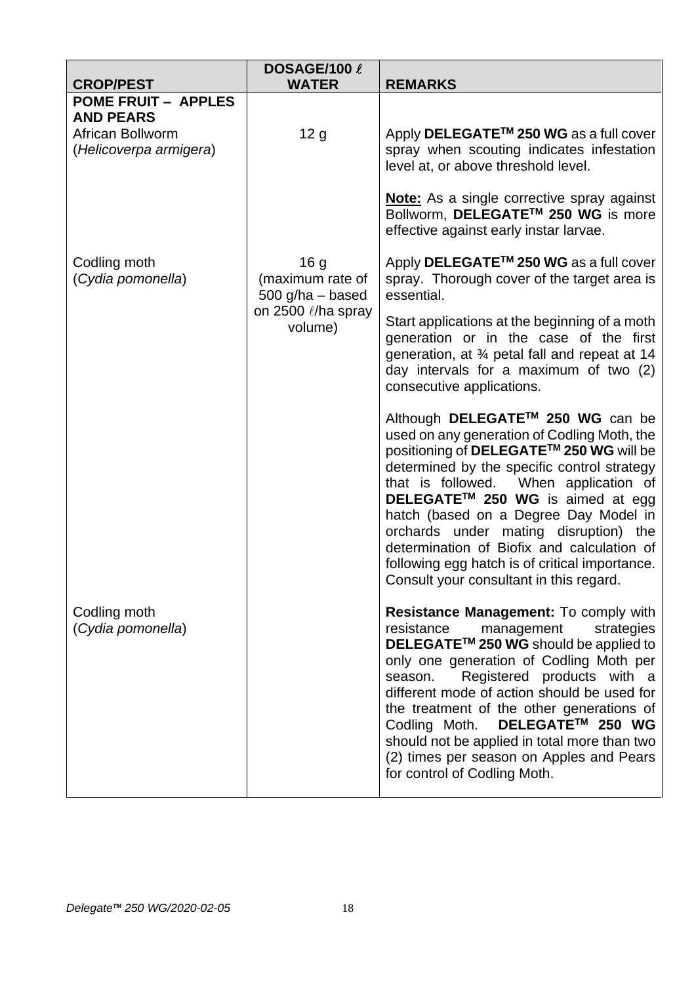| <b>CROP/PEST</b>                                               | DOSAGE/100 l<br><b>WATER</b>                            | <b>REMARKS</b>                                                                                                                                                                                                                                                                                                                                                                                                                                                                                  |
|----------------------------------------------------------------|---------------------------------------------------------|-------------------------------------------------------------------------------------------------------------------------------------------------------------------------------------------------------------------------------------------------------------------------------------------------------------------------------------------------------------------------------------------------------------------------------------------------------------------------------------------------|
| <b>POME FRUIT - APPLES</b>                                     |                                                         |                                                                                                                                                                                                                                                                                                                                                                                                                                                                                                 |
| <b>AND PEARS</b><br>African Bollworm<br>(Helicoverpa armigera) | 12 <sub>g</sub>                                         | Apply DELEGATE <sup>™</sup> 250 WG as a full cover<br>spray when scouting indicates infestation<br>level at, or above threshold level.                                                                                                                                                                                                                                                                                                                                                          |
|                                                                |                                                         | <b>Note:</b> As a single corrective spray against<br>Bollworm, DELEGATE <sup>™</sup> 250 WG is more<br>effective against early instar larvae.                                                                                                                                                                                                                                                                                                                                                   |
| Codling moth<br>(Cydia pomonella)                              | 16 <sub>g</sub><br>(maximum rate of<br>500 g/ha - based | Apply DELEGATE <sup>™</sup> 250 WG as a full cover<br>spray. Thorough cover of the target area is<br>essential.                                                                                                                                                                                                                                                                                                                                                                                 |
|                                                                | on 2500 $\ell$ /ha spray<br>volume)                     | Start applications at the beginning of a moth<br>generation or in the case of the first<br>generation, at 3⁄4 petal fall and repeat at 14<br>day intervals for a maximum of two (2)<br>consecutive applications.                                                                                                                                                                                                                                                                                |
|                                                                |                                                         | Although DELEGATE™ 250 WG can be<br>used on any generation of Codling Moth, the<br>positioning of DELEGATE™ 250 WG will be<br>determined by the specific control strategy<br>that is followed. When application of<br>DELEGATE <sup>™</sup> 250 WG is aimed at egg<br>hatch (based on a Degree Day Model in<br>orchards under mating disruption) the<br>determination of Biofix and calculation of<br>following egg hatch is of critical importance.<br>Consult your consultant in this regard. |
| Codling moth<br>(Cydia pomonella)                              |                                                         | Resistance Management: To comply with<br>resistance<br>management<br>strategies<br>DELEGATE <sup>™</sup> 250 WG should be applied to<br>only one generation of Codling Moth per<br>Registered products with a<br>season.<br>different mode of action should be used for<br>the treatment of the other generations of<br>DELEGATE™ 250 WG<br>Codling Moth.<br>should not be applied in total more than two<br>(2) times per season on Apples and Pears<br>for control of Codling Moth.           |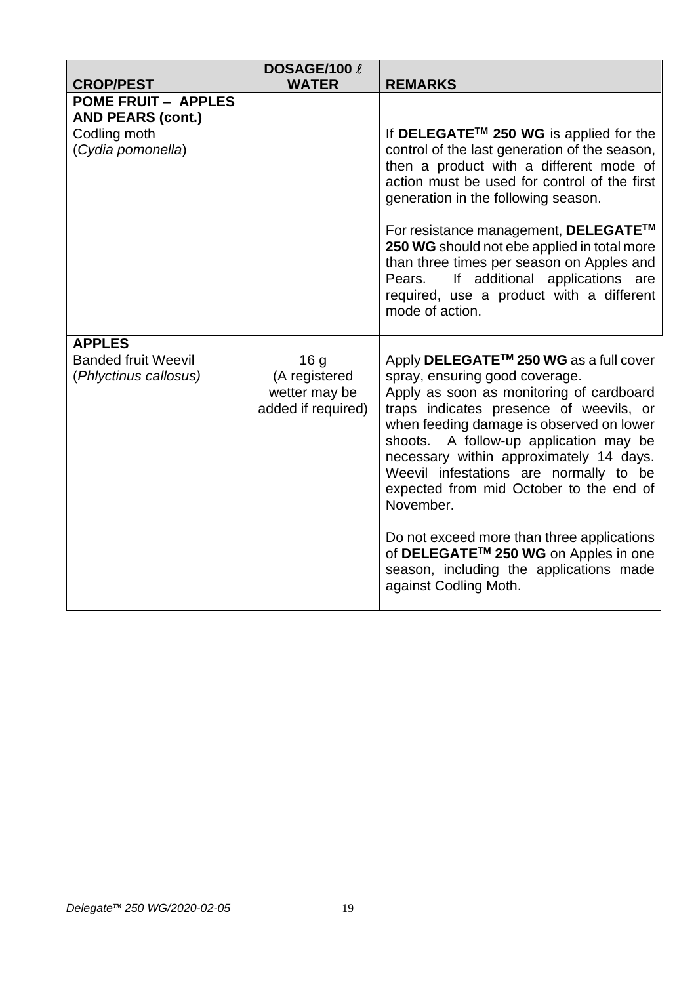| <b>CROP/PEST</b>                                                                            | DOSAGE/100 l<br><b>WATER</b>                                            | <b>REMARKS</b>                                                                                                                                                                                                                                                                                                                                                                                                                                                                                                                                                           |
|---------------------------------------------------------------------------------------------|-------------------------------------------------------------------------|--------------------------------------------------------------------------------------------------------------------------------------------------------------------------------------------------------------------------------------------------------------------------------------------------------------------------------------------------------------------------------------------------------------------------------------------------------------------------------------------------------------------------------------------------------------------------|
| <b>POME FRUIT - APPLES</b><br><b>AND PEARS (cont.)</b><br>Codling moth<br>(Cydia pomonella) |                                                                         | If DELEGATE™ 250 WG is applied for the<br>control of the last generation of the season,<br>then a product with a different mode of<br>action must be used for control of the first<br>generation in the following season.<br>For resistance management, DELEGATE™<br>250 WG should not ebe applied in total more<br>than three times per season on Apples and<br>If additional applications are<br>Pears.<br>required, use a product with a different<br>mode of action.                                                                                                 |
| <b>APPLES</b><br><b>Banded fruit Weevil</b><br>(Phlyctinus callosus)                        | 16 <sub>g</sub><br>(A registered<br>wetter may be<br>added if required) | Apply DELEGATE <sup>™</sup> 250 WG as a full cover<br>spray, ensuring good coverage.<br>Apply as soon as monitoring of cardboard<br>traps indicates presence of weevils, or<br>when feeding damage is observed on lower<br>shoots. A follow-up application may be<br>necessary within approximately 14 days.<br>Weevil infestations are normally to be<br>expected from mid October to the end of<br>November.<br>Do not exceed more than three applications<br>of DELEGATE™ 250 WG on Apples in one<br>season, including the applications made<br>against Codling Moth. |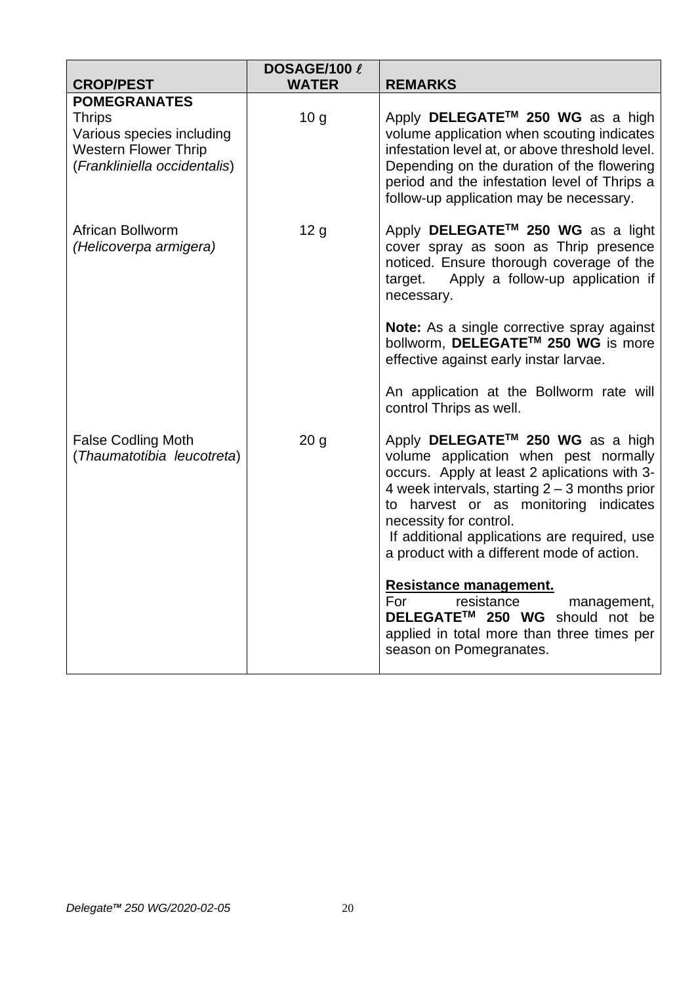|                                                                                                                                  | DOSAGE/100 l    |                                                                                                                                                                                                                                                                                                                                                           |
|----------------------------------------------------------------------------------------------------------------------------------|-----------------|-----------------------------------------------------------------------------------------------------------------------------------------------------------------------------------------------------------------------------------------------------------------------------------------------------------------------------------------------------------|
| <b>CROP/PEST</b>                                                                                                                 | <b>WATER</b>    | <b>REMARKS</b>                                                                                                                                                                                                                                                                                                                                            |
| <b>POMEGRANATES</b><br><b>Thrips</b><br>Various species including<br><b>Western Flower Thrip</b><br>(Frankliniella occidentalis) | 10 <sub>g</sub> | Apply DELEGATE <sup>™</sup> 250 WG as a high<br>volume application when scouting indicates<br>infestation level at, or above threshold level.<br>Depending on the duration of the flowering<br>period and the infestation level of Thrips a<br>follow-up application may be necessary.                                                                    |
| African Bollworm<br>(Helicoverpa armigera)                                                                                       | 12 <sub>g</sub> | Apply DELEGATE™ 250 WG as a light<br>cover spray as soon as Thrip presence<br>noticed. Ensure thorough coverage of the<br>Apply a follow-up application if<br>target.<br>necessary.                                                                                                                                                                       |
|                                                                                                                                  |                 | <b>Note:</b> As a single corrective spray against<br>bollworm, DELEGATE™ 250 WG is more<br>effective against early instar larvae.                                                                                                                                                                                                                         |
|                                                                                                                                  |                 | An application at the Bollworm rate will<br>control Thrips as well.                                                                                                                                                                                                                                                                                       |
| <b>False Codling Moth</b><br>(Thaumatotibia leucotreta)                                                                          | 20 <sub>g</sub> | Apply DELEGATE <sup>™</sup> 250 WG as a high<br>volume application when pest normally<br>occurs. Apply at least 2 aplications with 3-<br>4 week intervals, starting $2 - 3$ months prior<br>to harvest or as monitoring indicates<br>necessity for control.<br>If additional applications are required, use<br>a product with a different mode of action. |
|                                                                                                                                  |                 | Resistance management.<br>For<br>resistance<br>management,<br>DELEGATE™ 250 WG should not be<br>applied in total more than three times per<br>season on Pomegranates.                                                                                                                                                                                     |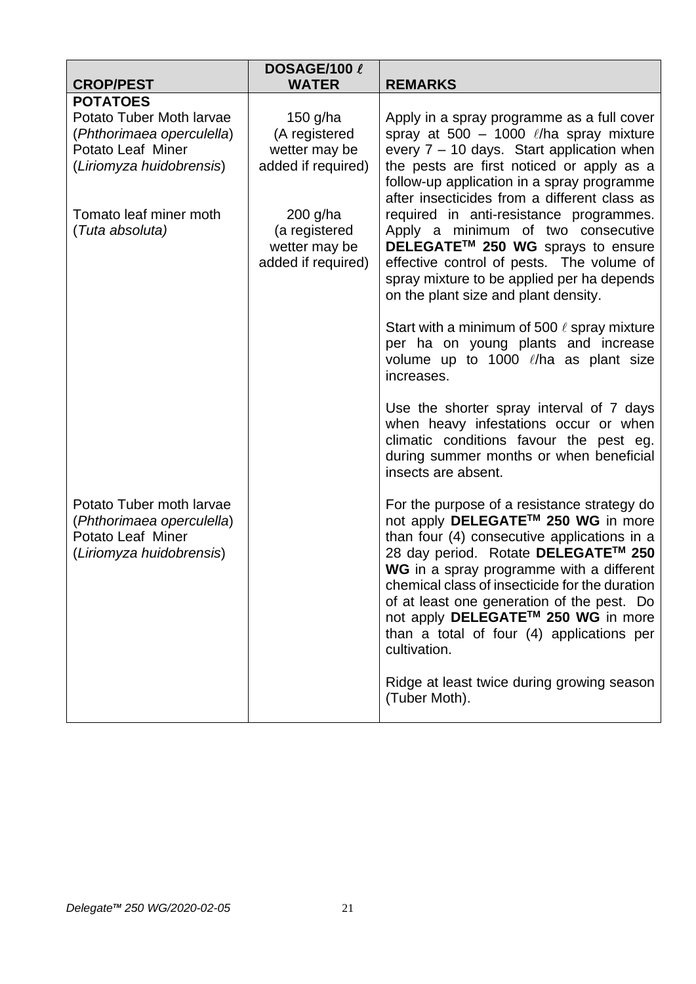| <b>CROP/PEST</b>                               | DOSAGE/100 l<br><b>WATER</b> | <b>REMARKS</b>                                                                                                                                                                                 |
|------------------------------------------------|------------------------------|------------------------------------------------------------------------------------------------------------------------------------------------------------------------------------------------|
| <b>POTATOES</b>                                |                              |                                                                                                                                                                                                |
| Potato Tuber Moth larvae                       | 150 g/ha<br>(A registered    | Apply in a spray programme as a full cover<br>spray at 500 - 1000 $\ell$ /ha spray mixture                                                                                                     |
| (Phthorimaea operculella)<br>Potato Leaf Miner | wetter may be                | every $7 - 10$ days. Start application when                                                                                                                                                    |
| (Liriomyza huidobrensis)                       | added if required)           | the pests are first noticed or apply as a                                                                                                                                                      |
|                                                |                              | follow-up application in a spray programme                                                                                                                                                     |
| Tomato leaf miner moth                         | $200$ g/ha                   | after insecticides from a different class as<br>required in anti-resistance programmes.                                                                                                        |
| (Tuta absoluta)                                | (a registered                | Apply a minimum of two consecutive                                                                                                                                                             |
|                                                | wetter may be                | DELEGATE™ 250 WG sprays to ensure                                                                                                                                                              |
|                                                | added if required)           | effective control of pests. The volume of                                                                                                                                                      |
|                                                |                              | spray mixture to be applied per ha depends<br>on the plant size and plant density.                                                                                                             |
|                                                |                              | Start with a minimum of 500 $\ell$ spray mixture                                                                                                                                               |
|                                                |                              | per ha on young plants and increase<br>volume up to 1000 $\ell$ /ha as plant size                                                                                                              |
|                                                |                              | increases.                                                                                                                                                                                     |
|                                                |                              | Use the shorter spray interval of 7 days<br>when heavy infestations occur or when<br>climatic conditions favour the pest eg.<br>during summer months or when beneficial<br>insects are absent. |
| Potato Tuber moth larvae                       |                              | For the purpose of a resistance strategy do                                                                                                                                                    |
| (Phthorimaea operculella)                      |                              | not apply DELEGATE™ 250 WG in more                                                                                                                                                             |
| Potato Leaf Miner<br>(Liriomyza huidobrensis)  |                              | than four (4) consecutive applications in a<br>28 day period. Rotate DELEGATE™ 250                                                                                                             |
|                                                |                              | WG in a spray programme with a different                                                                                                                                                       |
|                                                |                              | chemical class of insecticide for the duration                                                                                                                                                 |
|                                                |                              | of at least one generation of the pest. Do<br>not apply DELEGATE™ 250 WG in more                                                                                                               |
|                                                |                              | than a total of four (4) applications per<br>cultivation.                                                                                                                                      |
|                                                |                              | Ridge at least twice during growing season                                                                                                                                                     |
|                                                |                              | (Tuber Moth).                                                                                                                                                                                  |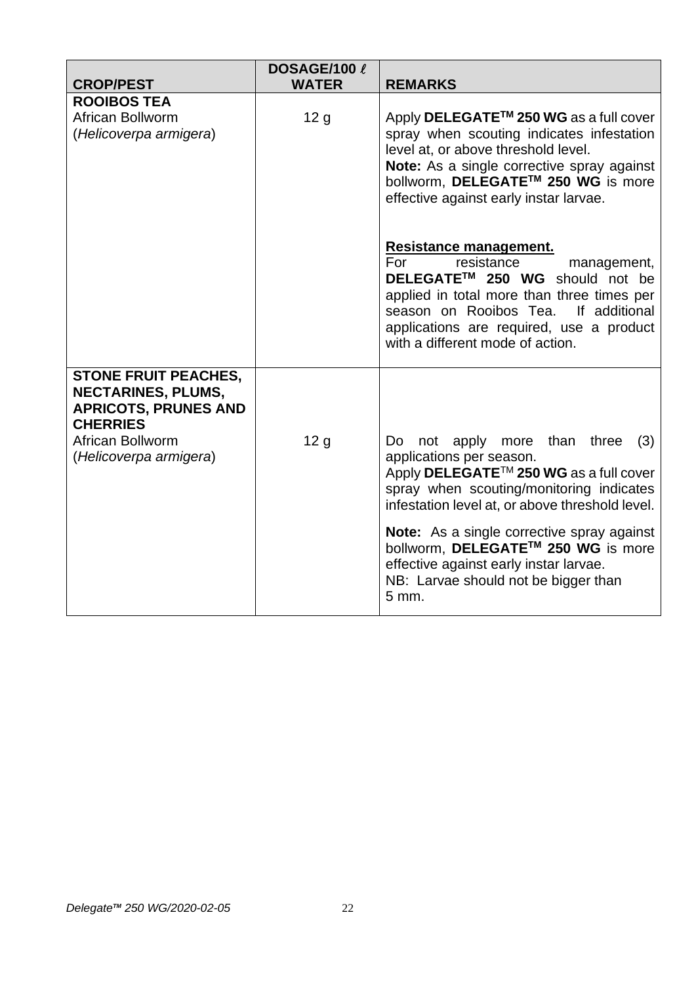| <b>CROP/PEST</b>                                                                                                                                         | DOSAGE/100 l<br><b>WATER</b> | <b>REMARKS</b>                                                                                                                                                                                                                                                                    |
|----------------------------------------------------------------------------------------------------------------------------------------------------------|------------------------------|-----------------------------------------------------------------------------------------------------------------------------------------------------------------------------------------------------------------------------------------------------------------------------------|
| <b>ROOIBOS TEA</b><br>African Bollworm<br>(Helicoverpa armigera)                                                                                         | 12 <sub>g</sub>              | Apply DELEGATE <sup>™</sup> 250 WG as a full cover<br>spray when scouting indicates infestation<br>level at, or above threshold level.<br>Note: As a single corrective spray against<br>bollworm, DELEGATE™ 250 WG is more<br>effective against early instar larvae.              |
|                                                                                                                                                          |                              | Resistance management.<br>resistance<br>For<br>management,<br>DELEGATE <sup>™</sup> 250 WG should not be<br>applied in total more than three times per<br>season on Rooibos Tea.<br>If additional<br>applications are required, use a product<br>with a different mode of action. |
| <b>STONE FRUIT PEACHES.</b><br><b>NECTARINES, PLUMS,</b><br><b>APRICOTS, PRUNES AND</b><br><b>CHERRIES</b><br>African Bollworm<br>(Helicoverpa armigera) | 12 <sub>g</sub>              | not apply more than three<br>Do<br>(3)<br>applications per season.<br>Apply DELEGATE <sup>™</sup> 250 WG as a full cover                                                                                                                                                          |
|                                                                                                                                                          |                              | spray when scouting/monitoring indicates<br>infestation level at, or above threshold level.                                                                                                                                                                                       |
|                                                                                                                                                          |                              | <b>Note:</b> As a single corrective spray against<br>bollworm, DELEGATE™ 250 WG is more<br>effective against early instar larvae.<br>NB: Larvae should not be bigger than<br>5 mm.                                                                                                |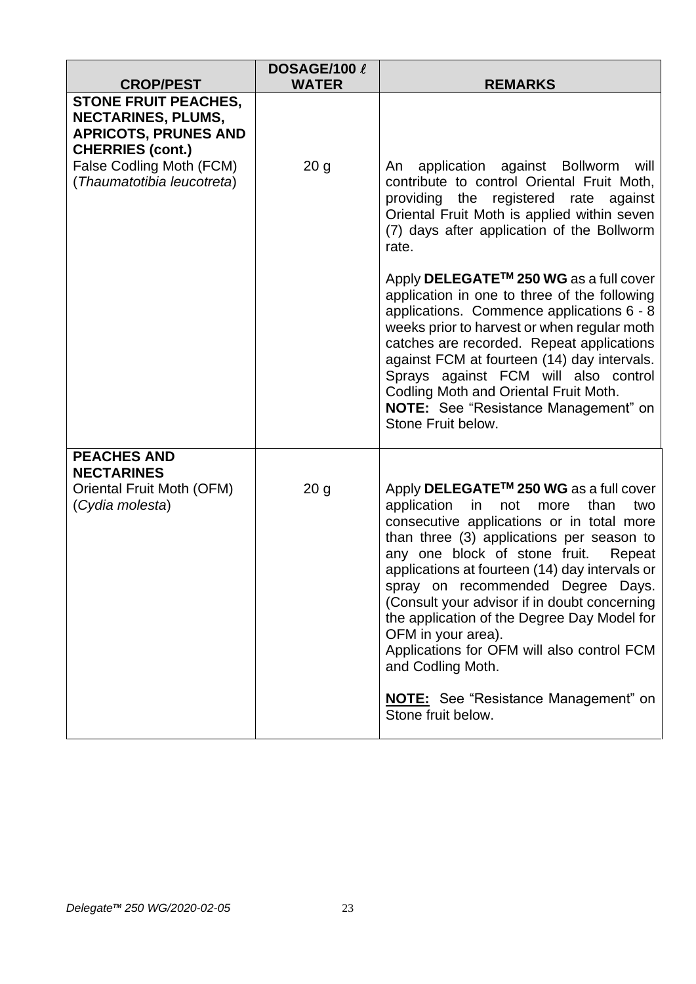| <b>CROP/PEST</b>                                                                                                   | DOSAGE/100 l<br><b>WATER</b> | <b>REMARKS</b>                                                                                                                                                                                                                                                                                                                                                                                                                                                                                                                                                                                 |
|--------------------------------------------------------------------------------------------------------------------|------------------------------|------------------------------------------------------------------------------------------------------------------------------------------------------------------------------------------------------------------------------------------------------------------------------------------------------------------------------------------------------------------------------------------------------------------------------------------------------------------------------------------------------------------------------------------------------------------------------------------------|
| <b>STONE FRUIT PEACHES,</b><br><b>NECTARINES, PLUMS,</b><br><b>APRICOTS, PRUNES AND</b><br><b>CHERRIES (cont.)</b> |                              |                                                                                                                                                                                                                                                                                                                                                                                                                                                                                                                                                                                                |
| False Codling Moth (FCM)<br>(Thaumatotibia leucotreta)                                                             | 20 <sub>g</sub>              | application against Bollworm will<br>An<br>contribute to control Oriental Fruit Moth,<br>providing the registered rate against<br>Oriental Fruit Moth is applied within seven<br>(7) days after application of the Bollworm<br>rate.<br>Apply DELEGATE <sup>™</sup> 250 WG as a full cover<br>application in one to three of the following<br>applications. Commence applications 6 - 8                                                                                                                                                                                                        |
|                                                                                                                    |                              | weeks prior to harvest or when regular moth<br>catches are recorded. Repeat applications<br>against FCM at fourteen (14) day intervals.<br>Sprays against FCM will also control<br>Codling Moth and Oriental Fruit Moth.<br>NOTE: See "Resistance Management" on<br>Stone Fruit below.                                                                                                                                                                                                                                                                                                         |
| <b>PEACHES AND</b><br><b>NECTARINES</b><br>Oriental Fruit Moth (OFM)<br>(Cydia molesta)                            | 20 <sub>g</sub>              | Apply DELEGATE <sup>™</sup> 250 WG as a full cover<br>application<br>in<br>not<br>more<br>than<br>two<br>consecutive applications or in total more<br>than three (3) applications per season to<br>any one block of stone fruit.<br>Repeat<br>applications at fourteen (14) day intervals or<br>spray on recommended Degree Days.<br>(Consult your advisor if in doubt concerning<br>the application of the Degree Day Model for<br>OFM in your area).<br>Applications for OFM will also control FCM<br>and Codling Moth.<br><b>NOTE:</b> See "Resistance Management" on<br>Stone fruit below. |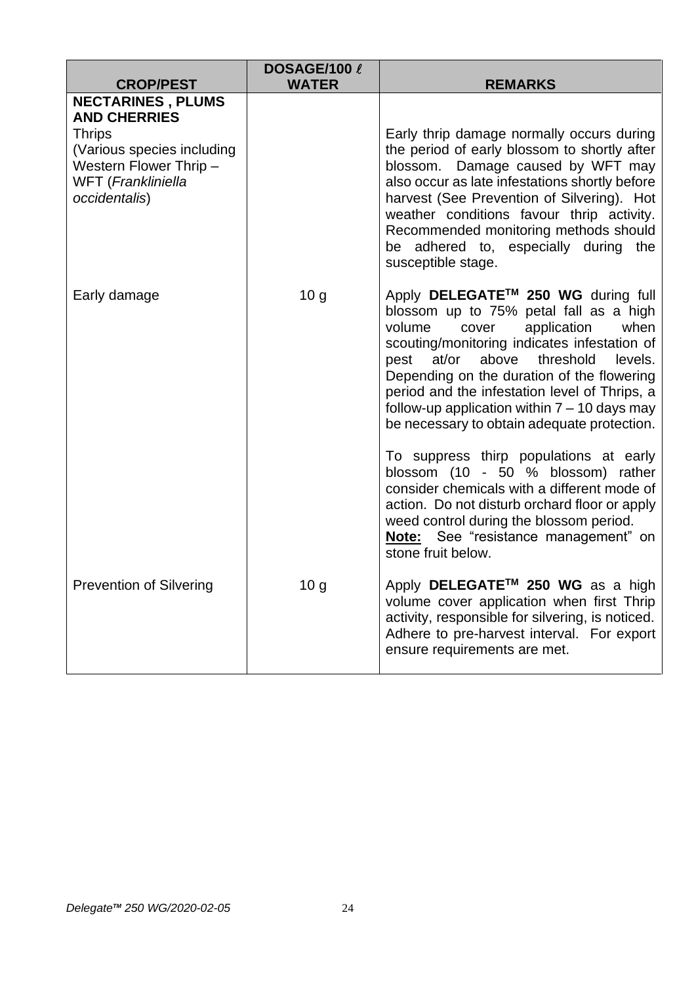| <b>CROP/PEST</b>                                                                                                                                                | DOSAGE/100 l<br><b>WATER</b> | <b>REMARKS</b>                                                                                                                                                                                                                                                                                                                                                                                                                                                                                  |
|-----------------------------------------------------------------------------------------------------------------------------------------------------------------|------------------------------|-------------------------------------------------------------------------------------------------------------------------------------------------------------------------------------------------------------------------------------------------------------------------------------------------------------------------------------------------------------------------------------------------------------------------------------------------------------------------------------------------|
| <b>NECTARINES, PLUMS</b><br><b>AND CHERRIES</b><br><b>Thrips</b><br>(Various species including<br>Western Flower Thrip -<br>WFT (Frankliniella<br>occidentalis) |                              | Early thrip damage normally occurs during<br>the period of early blossom to shortly after<br>blossom. Damage caused by WFT may<br>also occur as late infestations shortly before<br>harvest (See Prevention of Silvering). Hot<br>weather conditions favour thrip activity.<br>Recommended monitoring methods should<br>be adhered to, especially during the<br>susceptible stage.                                                                                                              |
| Early damage                                                                                                                                                    | 10 <sub>g</sub>              | Apply DELEGATE™ 250 WG during full<br>blossom up to 75% petal fall as a high<br>application<br>when<br>volume<br>cover<br>scouting/monitoring indicates infestation of<br>pest at/or above threshold<br>levels.<br>Depending on the duration of the flowering<br>period and the infestation level of Thrips, a<br>follow-up application within $7 - 10$ days may<br>be necessary to obtain adequate protection.<br>To suppress thirp populations at early<br>blossom (10 - 50 % blossom) rather |
|                                                                                                                                                                 |                              | consider chemicals with a different mode of<br>action. Do not disturb orchard floor or apply<br>weed control during the blossom period.<br>Note: See "resistance management" on<br>stone fruit below.                                                                                                                                                                                                                                                                                           |
| <b>Prevention of Silvering</b>                                                                                                                                  | 10 <sub>g</sub>              | Apply DELEGATE™ 250 WG as a high<br>volume cover application when first Thrip<br>activity, responsible for silvering, is noticed.<br>Adhere to pre-harvest interval. For export<br>ensure requirements are met.                                                                                                                                                                                                                                                                                 |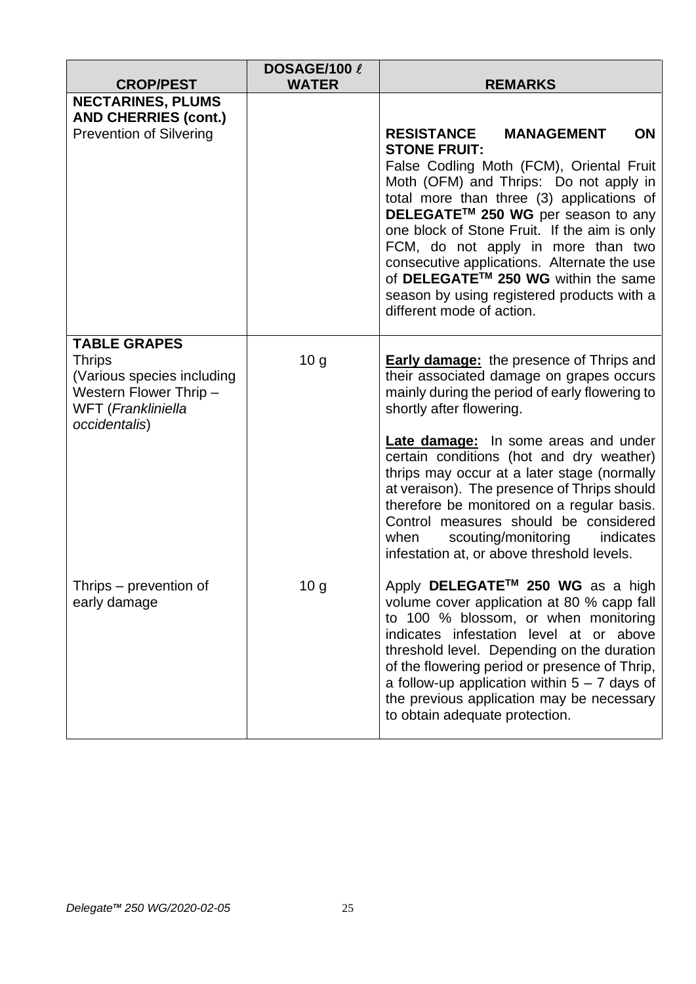| <b>CROP/PEST</b>                                                                                                                    | DOSAGE/100 l<br><b>WATER</b> | <b>REMARKS</b>                                                                                                                                                                                                                                                                                                                                                                                                                                                                                      |
|-------------------------------------------------------------------------------------------------------------------------------------|------------------------------|-----------------------------------------------------------------------------------------------------------------------------------------------------------------------------------------------------------------------------------------------------------------------------------------------------------------------------------------------------------------------------------------------------------------------------------------------------------------------------------------------------|
| <b>NECTARINES, PLUMS</b><br><b>AND CHERRIES (cont.)</b>                                                                             |                              |                                                                                                                                                                                                                                                                                                                                                                                                                                                                                                     |
| <b>Prevention of Silvering</b>                                                                                                      |                              | <b>RESISTANCE</b><br><b>MANAGEMENT</b><br>ON<br><b>STONE FRUIT:</b><br>False Codling Moth (FCM), Oriental Fruit<br>Moth (OFM) and Thrips: Do not apply in<br>total more than three (3) applications of<br>DELEGATE™ 250 WG per season to any<br>one block of Stone Fruit. If the aim is only<br>FCM, do not apply in more than two<br>consecutive applications. Alternate the use<br>of DELEGATE™ 250 WG within the same<br>season by using registered products with a<br>different mode of action. |
| <b>TABLE GRAPES</b><br><b>Thrips</b><br>(Various species including<br>Western Flower Thrip -<br>WFT (Frankliniella<br>occidentalis) | 10 <sub>g</sub>              | <b>Early damage:</b> the presence of Thrips and<br>their associated damage on grapes occurs<br>mainly during the period of early flowering to<br>shortly after flowering.                                                                                                                                                                                                                                                                                                                           |
|                                                                                                                                     |                              | <b>Late damage:</b> In some areas and under<br>certain conditions (hot and dry weather)<br>thrips may occur at a later stage (normally<br>at veraison). The presence of Thrips should<br>therefore be monitored on a regular basis.<br>Control measures should be considered<br>when<br>scouting/monitoring<br>indicates<br>infestation at, or above threshold levels.                                                                                                                              |
| Thrips - prevention of<br>early damage                                                                                              | 10 <sub>g</sub>              | Apply DELEGATE <sup>™</sup> 250 WG as a high<br>volume cover application at 80 % capp fall<br>to 100 % blossom, or when monitoring<br>indicates infestation level at or above<br>threshold level. Depending on the duration<br>of the flowering period or presence of Thrip,<br>a follow-up application within $5 - 7$ days of<br>the previous application may be necessary<br>to obtain adequate protection.                                                                                       |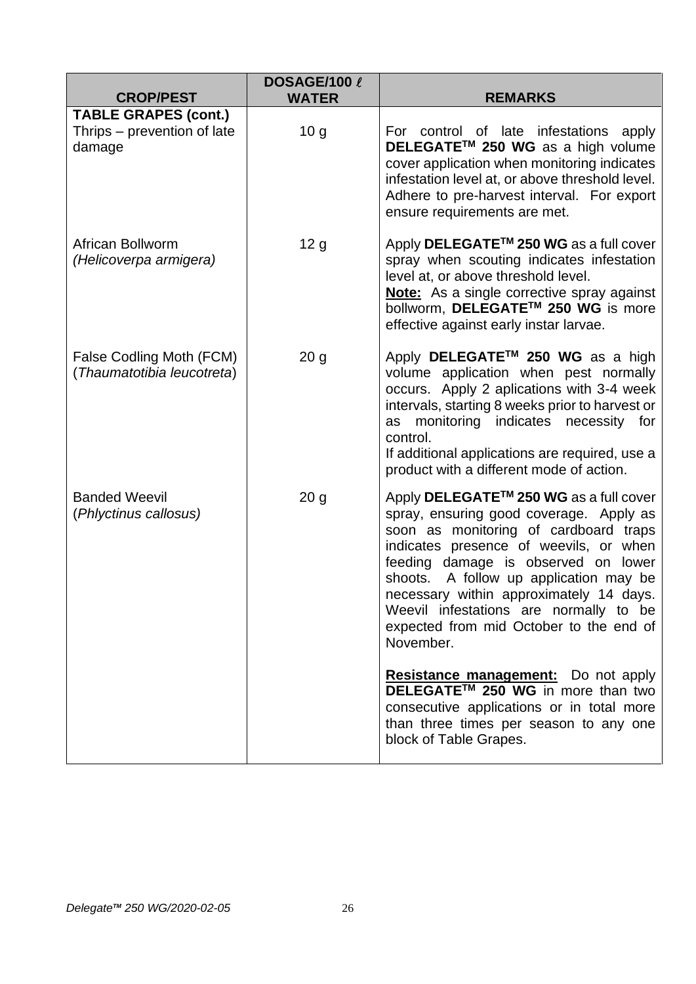| <b>CROP/PEST</b>                                                     | DOSAGE/100 l<br><b>WATER</b> | <b>REMARKS</b>                                                                                                                                                                                                                                                                                                                                                                                                 |
|----------------------------------------------------------------------|------------------------------|----------------------------------------------------------------------------------------------------------------------------------------------------------------------------------------------------------------------------------------------------------------------------------------------------------------------------------------------------------------------------------------------------------------|
| <b>TABLE GRAPES (cont.)</b><br>Thrips - prevention of late<br>damage | 10 <sub>g</sub>              | For control of late infestations apply<br>DELEGATE™ 250 WG as a high volume<br>cover application when monitoring indicates<br>infestation level at, or above threshold level.<br>Adhere to pre-harvest interval. For export<br>ensure requirements are met.                                                                                                                                                    |
| African Bollworm<br>(Helicoverpa armigera)                           | 12 <sub>g</sub>              | Apply DELEGATE <sup>™</sup> 250 WG as a full cover<br>spray when scouting indicates infestation<br>level at, or above threshold level.<br><b>Note:</b> As a single corrective spray against<br>bollworm, DELEGATE™ 250 WG is more<br>effective against early instar larvae.                                                                                                                                    |
| False Codling Moth (FCM)<br>(Thaumatotibia leucotreta)               | 20 <sub>g</sub>              | Apply DELEGATE™ 250 WG as a high<br>volume application when pest normally<br>occurs. Apply 2 aplications with 3-4 week<br>intervals, starting 8 weeks prior to harvest or<br>monitoring indicates necessity for<br>as<br>control.<br>If additional applications are required, use a<br>product with a different mode of action.                                                                                |
| <b>Banded Weevil</b><br>(Phlyctinus callosus)                        | 20 <sub>g</sub>              | Apply DELEGATE <sup>™</sup> 250 WG as a full cover<br>spray, ensuring good coverage. Apply as<br>soon as monitoring of cardboard traps<br>indicates presence of weevils, or when<br>feeding damage is observed on lower<br>shoots. A follow up application may be<br>necessary within approximately 14 days.<br>Weevil infestations are normally to be<br>expected from mid October to the end of<br>November. |
|                                                                      |                              | <b>Resistance management:</b> Do not apply<br><b>DELEGATE<sup>™</sup> 250 WG</b> in more than two<br>consecutive applications or in total more<br>than three times per season to any one<br>block of Table Grapes.                                                                                                                                                                                             |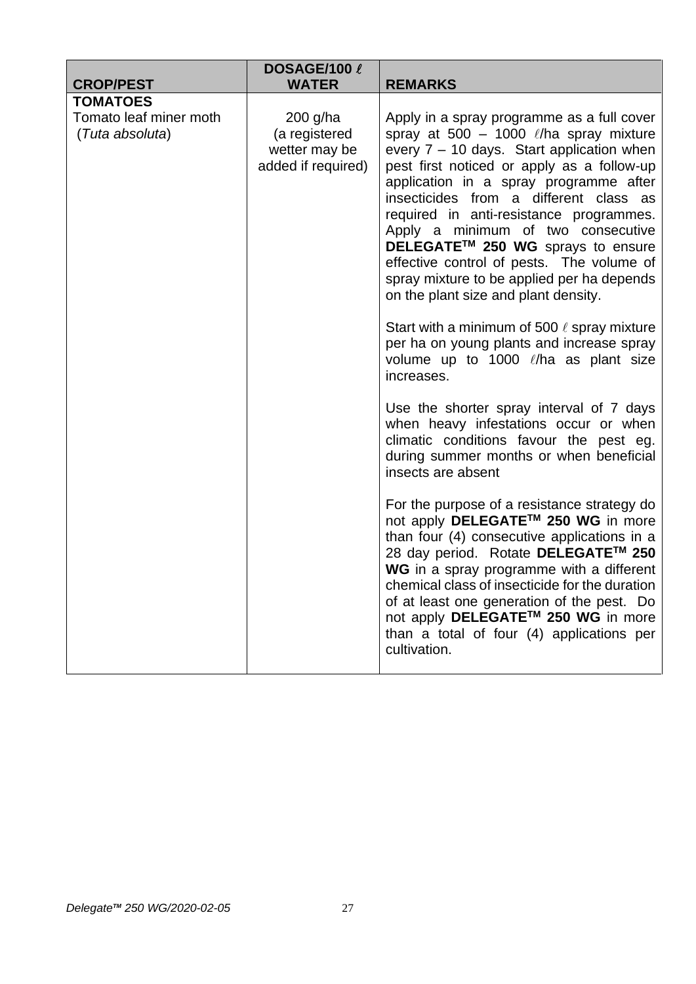| <b>CROP/PEST</b>                                             | DOSAGE/100 l<br><b>WATER</b>                                     | <b>REMARKS</b>                                                                                                                                                                                                                                                                                                                                                                                                                                                                                                                                                                                                                                                                            |
|--------------------------------------------------------------|------------------------------------------------------------------|-------------------------------------------------------------------------------------------------------------------------------------------------------------------------------------------------------------------------------------------------------------------------------------------------------------------------------------------------------------------------------------------------------------------------------------------------------------------------------------------------------------------------------------------------------------------------------------------------------------------------------------------------------------------------------------------|
|                                                              |                                                                  |                                                                                                                                                                                                                                                                                                                                                                                                                                                                                                                                                                                                                                                                                           |
| <b>TOMATOES</b><br>Tomato leaf miner moth<br>(Tuta absoluta) | 200 g/ha<br>(a registered<br>wetter may be<br>added if required) | Apply in a spray programme as a full cover<br>spray at 500 - 1000 $\ell$ /ha spray mixture<br>every 7 - 10 days. Start application when<br>pest first noticed or apply as a follow-up<br>application in a spray programme after<br>insecticides from a different class as<br>required in anti-resistance programmes.<br>Apply a minimum of two consecutive<br>DELEGATE™ 250 WG sprays to ensure<br>effective control of pests. The volume of<br>spray mixture to be applied per ha depends<br>on the plant size and plant density.<br>Start with a minimum of 500 $\ell$ spray mixture<br>per ha on young plants and increase spray<br>volume up to 1000 l/ha as plant size<br>increases. |
|                                                              |                                                                  | Use the shorter spray interval of 7 days<br>when heavy infestations occur or when<br>climatic conditions favour the pest eg.<br>during summer months or when beneficial<br>insects are absent                                                                                                                                                                                                                                                                                                                                                                                                                                                                                             |
|                                                              |                                                                  | For the purpose of a resistance strategy do<br>not apply DELEGATE™ 250 WG in more<br>than four (4) consecutive applications in a<br>28 day period. Rotate DELEGATE™ 250<br>WG in a spray programme with a different<br>chemical class of insecticide for the duration<br>of at least one generation of the pest. Do<br>not apply DELEGATE™ 250 WG in more<br>than a total of four (4) applications per<br>cultivation.                                                                                                                                                                                                                                                                    |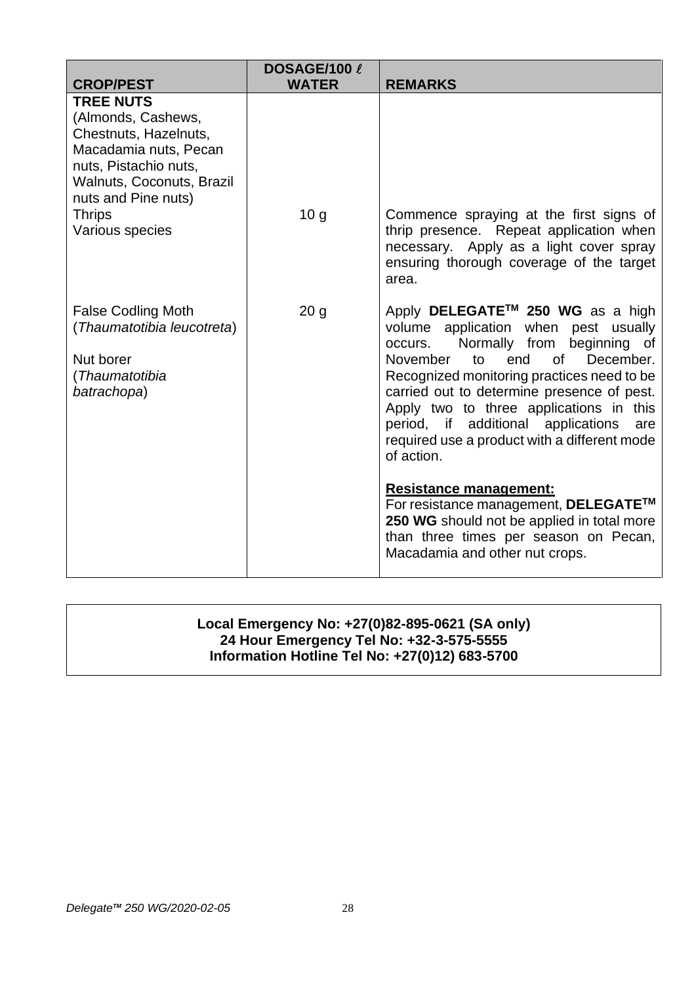| <b>CROP/PEST</b>                                                                                                                                                                                          | DOSAGE/100 l<br><b>WATER</b> | <b>REMARKS</b>                                                                                                                                                                                                                                                                                                                                                                                                                                                                                       |
|-----------------------------------------------------------------------------------------------------------------------------------------------------------------------------------------------------------|------------------------------|------------------------------------------------------------------------------------------------------------------------------------------------------------------------------------------------------------------------------------------------------------------------------------------------------------------------------------------------------------------------------------------------------------------------------------------------------------------------------------------------------|
| <b>TREE NUTS</b><br>(Almonds, Cashews,<br>Chestnuts, Hazelnuts,<br>Macadamia nuts, Pecan<br>nuts, Pistachio nuts,<br>Walnuts, Coconuts, Brazil<br>nuts and Pine nuts)<br><b>Thrips</b><br>Various species | 10 <sub>g</sub>              | Commence spraying at the first signs of<br>thrip presence. Repeat application when<br>necessary. Apply as a light cover spray<br>ensuring thorough coverage of the target<br>area.                                                                                                                                                                                                                                                                                                                   |
| <b>False Codling Moth</b><br>(Thaumatotibia leucotreta)<br>Nut borer<br>(Thaumatotibia<br>batrachopa)                                                                                                     | 20 <sub>g</sub>              | Apply DELEGATE <sup>™</sup> 250 WG as a high<br>volume application when pest usually<br>Normally from beginning of<br>occurs.<br>of<br>December.<br>November<br>end<br>to<br>Recognized monitoring practices need to be<br>carried out to determine presence of pest.<br>Apply two to three applications in this<br>period, if additional applications<br>are<br>required use a product with a different mode<br>of action.<br><b>Resistance management:</b><br>For resistance management, DELEGATE™ |
|                                                                                                                                                                                                           |                              | 250 WG should not be applied in total more<br>than three times per season on Pecan,<br>Macadamia and other nut crops.                                                                                                                                                                                                                                                                                                                                                                                |

# **Local Emergency No: +27(0)82-895-0621 (SA only) 24 Hour Emergency Tel No: +32-3-575-5555 Information Hotline Tel No: +27(0)12) 683-5700**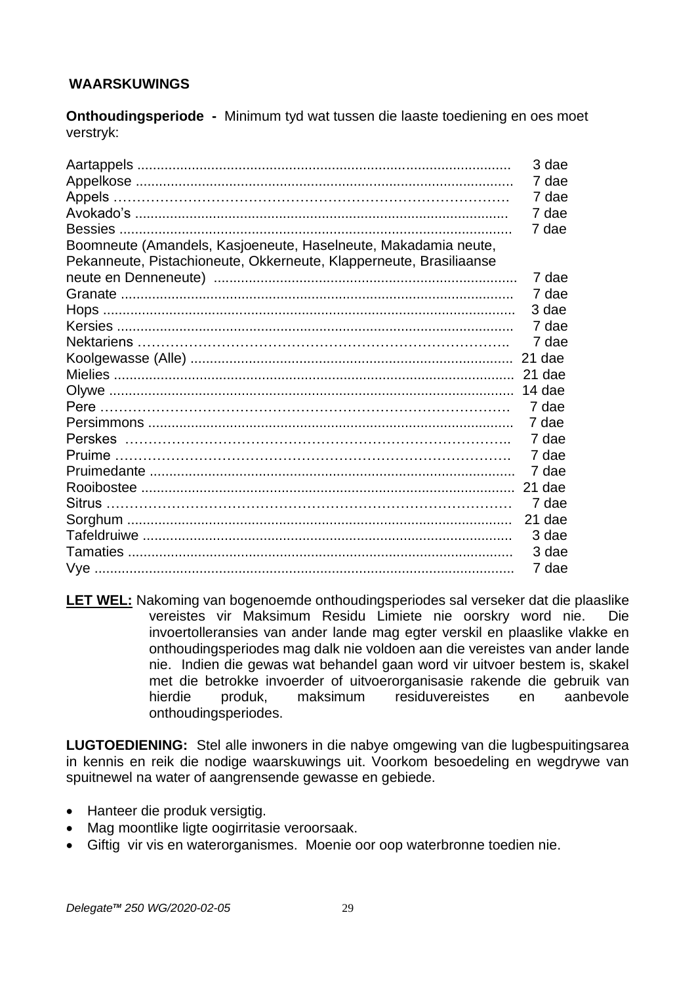# **WAARSKUWINGS**

**Onthoudingsperiode -** Minimum tyd wat tussen die laaste toediening en oes moet verstryk:

| 7 dae<br>7 dae<br>7 dae<br>7 dae<br>Boomneute (Amandels, Kasjoeneute, Haselneute, Makadamia neute,<br>Pekanneute, Pistachioneute, Okkerneute, Klapperneute, Brasiliaanse<br>7 dae<br>7 dae<br>3 dae<br>7 dae<br>7 dae<br>21 dae<br>21 dae<br>14 dae<br>7 dae<br>7 dae<br>7 dae<br>7 dae<br>7 dae |
|--------------------------------------------------------------------------------------------------------------------------------------------------------------------------------------------------------------------------------------------------------------------------------------------------|
|                                                                                                                                                                                                                                                                                                  |
|                                                                                                                                                                                                                                                                                                  |
|                                                                                                                                                                                                                                                                                                  |
|                                                                                                                                                                                                                                                                                                  |
|                                                                                                                                                                                                                                                                                                  |
|                                                                                                                                                                                                                                                                                                  |
|                                                                                                                                                                                                                                                                                                  |
|                                                                                                                                                                                                                                                                                                  |
|                                                                                                                                                                                                                                                                                                  |
|                                                                                                                                                                                                                                                                                                  |
|                                                                                                                                                                                                                                                                                                  |
|                                                                                                                                                                                                                                                                                                  |
|                                                                                                                                                                                                                                                                                                  |
|                                                                                                                                                                                                                                                                                                  |
|                                                                                                                                                                                                                                                                                                  |
|                                                                                                                                                                                                                                                                                                  |
|                                                                                                                                                                                                                                                                                                  |
|                                                                                                                                                                                                                                                                                                  |
|                                                                                                                                                                                                                                                                                                  |
| 21 dae                                                                                                                                                                                                                                                                                           |
| 7 dae                                                                                                                                                                                                                                                                                            |
| 21 dae                                                                                                                                                                                                                                                                                           |
| 3 dae                                                                                                                                                                                                                                                                                            |
| 3 dae                                                                                                                                                                                                                                                                                            |
| 7 dae                                                                                                                                                                                                                                                                                            |

**LET WEL:** Nakoming van bogenoemde onthoudingsperiodes sal verseker dat die plaaslike vereistes vir Maksimum Residu Limiete nie oorskry word nie. Die invoertolleransies van ander lande mag egter verskil en plaaslike vlakke en onthoudingsperiodes mag dalk nie voldoen aan die vereistes van ander lande nie. Indien die gewas wat behandel gaan word vir uitvoer bestem is, skakel met die betrokke invoerder of uitvoerorganisasie rakende die gebruik van hierdie produk, maksimum residuvereistes en aanbevole onthoudingsperiodes.

**LUGTOEDIENING:** Stel alle inwoners in die nabye omgewing van die lugbespuitingsarea in kennis en reik die nodige waarskuwings uit. Voorkom besoedeling en wegdrywe van spuitnewel na water of aangrensende gewasse en gebiede.

- Hanteer die produk versigtig.
- Mag moontlike ligte oogirritasie veroorsaak.
- Giftig vir vis en waterorganismes. Moenie oor oop waterbronne toedien nie.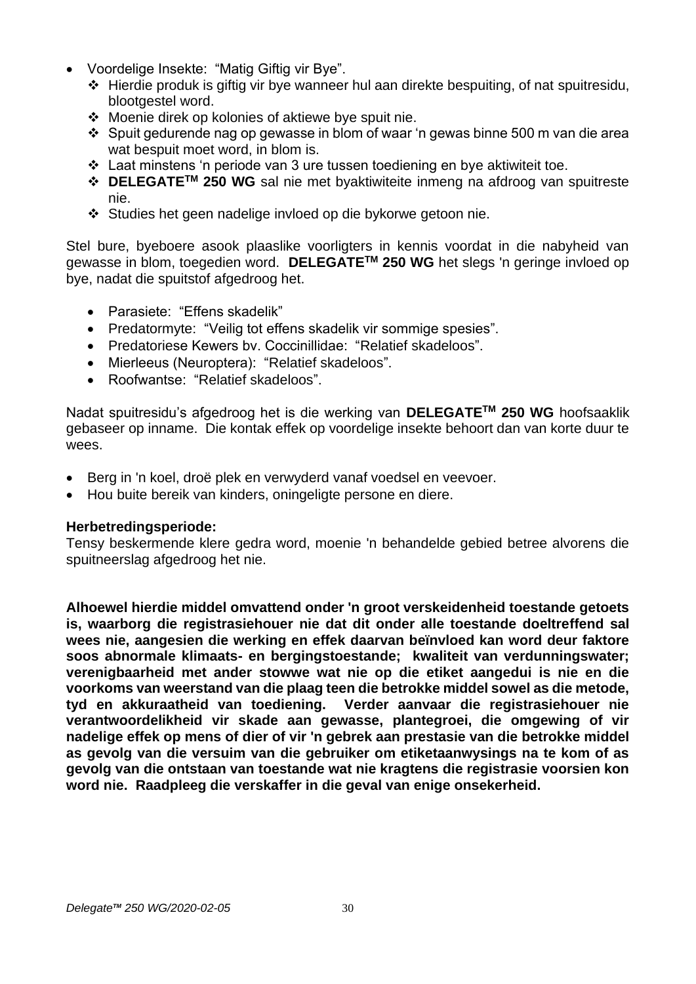- Voordelige Insekte: "Matig Giftig vir Bye".
	- ❖ Hierdie produk is giftig vir bye wanneer hul aan direkte bespuiting, of nat spuitresidu, blootgestel word.
	- ❖ Moenie direk op kolonies of aktiewe bye spuit nie.
	- ❖ Spuit gedurende nag op gewasse in blom of waar 'n gewas binne 500 m van die area wat bespuit moet word, in blom is.
	- ❖ Laat minstens 'n periode van 3 ure tussen toediening en bye aktiwiteit toe.
	- ❖ **DELEGATETM 250 WG** sal nie met byaktiwiteite inmeng na afdroog van spuitreste nie.
	- ❖ Studies het geen nadelige invloed op die bykorwe getoon nie.

Stel bure, byeboere asook plaaslike voorligters in kennis voordat in die nabyheid van gewasse in blom, toegedien word. **DELEGATETM 250 WG** het slegs 'n geringe invloed op bye, nadat die spuitstof afgedroog het.

- Parasiete: "Effens skadelik"
- Predatormyte: "Veilig tot effens skadelik vir sommige spesies".
- Predatoriese Kewers bv. Coccinillidae: "Relatief skadeloos".
- Mierleeus (Neuroptera): "Relatief skadeloos".
- Roofwantse: "Relatief skadeloos".

Nadat spuitresidu's afgedroog het is die werking van **DELEGATETM 250 WG** hoofsaaklik gebaseer op inname. Die kontak effek op voordelige insekte behoort dan van korte duur te wees.

- Berg in 'n koel, droë plek en verwyderd vanaf voedsel en veevoer.
- Hou buite bereik van kinders, oningeligte persone en diere.

# **Herbetredingsperiode:**

Tensy beskermende klere gedra word, moenie 'n behandelde gebied betree alvorens die spuitneerslag afgedroog het nie.

**Alhoewel hierdie middel omvattend onder 'n groot verskeidenheid toestande getoets is, waarborg die registrasiehouer nie dat dit onder alle toestande doeltreffend sal wees nie, aangesien die werking en effek daarvan beïnvloed kan word deur faktore soos abnormale klimaats- en bergingstoestande; kwaliteit van verdunningswater; verenigbaarheid met ander stowwe wat nie op die etiket aangedui is nie en die voorkoms van weerstand van die plaag teen die betrokke middel sowel as die metode, tyd en akkuraatheid van toediening. Verder aanvaar die registrasiehouer nie verantwoordelikheid vir skade aan gewasse, plantegroei, die omgewing of vir nadelige effek op mens of dier of vir 'n gebrek aan prestasie van die betrokke middel as gevolg van die versuim van die gebruiker om etiketaanwysings na te kom of as gevolg van die ontstaan van toestande wat nie kragtens die registrasie voorsien kon word nie. Raadpleeg die verskaffer in die geval van enige onsekerheid.**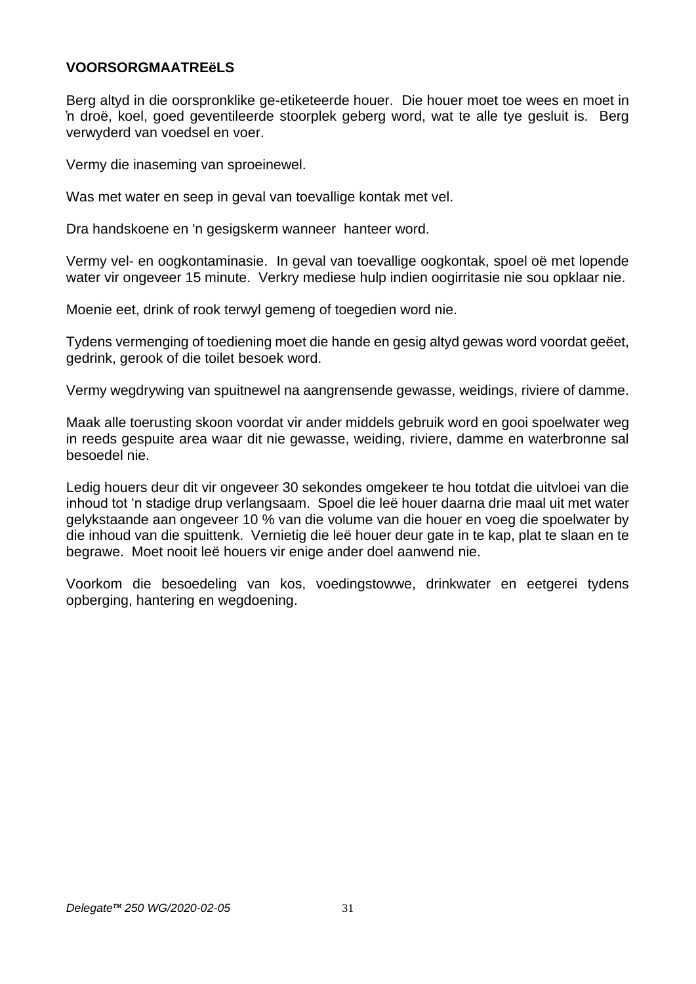## **VOORSORGMAATREëLS**

Berg altyd in die oorspronklike ge-etiketeerde houer. Die houer moet toe wees en moet in 'n droë, koel, goed geventileerde stoorplek geberg word, wat te alle tye gesluit is. Berg verwyderd van voedsel en voer.

Vermy die inaseming van sproeinewel.

Was met water en seep in geval van toevallige kontak met vel.

Dra handskoene en 'n gesigskerm wanneer hanteer word.

Vermy vel- en oogkontaminasie. In geval van toevallige oogkontak, spoel oë met lopende water vir ongeveer 15 minute. Verkry mediese hulp indien oogirritasie nie sou opklaar nie.

Moenie eet, drink of rook terwyl gemeng of toegedien word nie.

Tydens vermenging of toediening moet die hande en gesig altyd gewas word voordat geëet, gedrink, gerook of die toilet besoek word.

Vermy wegdrywing van spuitnewel na aangrensende gewasse, weidings, riviere of damme.

Maak alle toerusting skoon voordat vir ander middels gebruik word en gooi spoelwater weg in reeds gespuite area waar dit nie gewasse, weiding, riviere, damme en waterbronne sal besoedel nie.

Ledig houers deur dit vir ongeveer 30 sekondes omgekeer te hou totdat die uitvloei van die inhoud tot 'n stadige drup verlangsaam. Spoel die leë houer daarna drie maal uit met water gelykstaande aan ongeveer 10 % van die volume van die houer en voeg die spoelwater by die inhoud van die spuittenk. Vernietig die leë houer deur gate in te kap, plat te slaan en te begrawe. Moet nooit leë houers vir enige ander doel aanwend nie.

Voorkom die besoedeling van kos, voedingstowwe, drinkwater en eetgerei tydens opberging, hantering en wegdoening.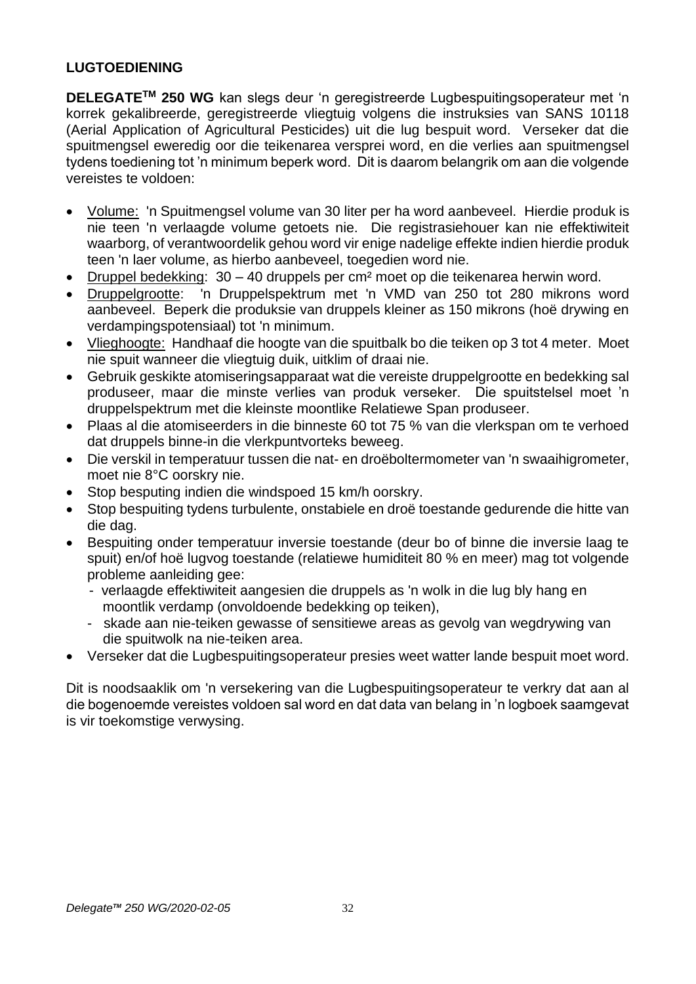# **LUGTOEDIENING**

**DELEGATETM 250 WG** kan slegs deur 'n geregistreerde Lugbespuitingsoperateur met 'n korrek gekalibreerde, geregistreerde vliegtuig volgens die instruksies van SANS 10118 (Aerial Application of Agricultural Pesticides) uit die lug bespuit word. Verseker dat die spuitmengsel eweredig oor die teikenarea versprei word, en die verlies aan spuitmengsel tydens toediening tot 'n minimum beperk word. Dit is daarom belangrik om aan die volgende vereistes te voldoen:

- Volume: 'n Spuitmengsel volume van 30 liter per ha word aanbeveel. Hierdie produk is nie teen 'n verlaagde volume getoets nie. Die registrasiehouer kan nie effektiwiteit waarborg, of verantwoordelik gehou word vir enige nadelige effekte indien hierdie produk teen 'n laer volume, as hierbo aanbeveel, toegedien word nie.
- Druppel bedekking: 30 40 druppels per cm² moet op die teikenarea herwin word.
- Druppelgrootte: 'n Druppelspektrum met 'n VMD van 250 tot 280 mikrons word aanbeveel. Beperk die produksie van druppels kleiner as 150 mikrons (hoë drywing en verdampingspotensiaal) tot 'n minimum.
- Vlieghoogte: Handhaaf die hoogte van die spuitbalk bo die teiken op 3 tot 4 meter. Moet nie spuit wanneer die vliegtuig duik, uitklim of draai nie.
- Gebruik geskikte atomiseringsapparaat wat die vereiste druppelgrootte en bedekking sal produseer, maar die minste verlies van produk verseker. Die spuitstelsel moet 'n druppelspektrum met die kleinste moontlike Relatiewe Span produseer.
- Plaas al die atomiseerders in die binneste 60 tot 75 % van die vlerkspan om te verhoed dat druppels binne-in die vlerkpuntvorteks beweeg.
- Die verskil in temperatuur tussen die nat- en droëboltermometer van 'n swaaihigrometer, moet nie 8°C oorskry nie.
- Stop besputing indien die windspoed 15 km/h oorskry.
- Stop bespuiting tydens turbulente, onstabiele en droë toestande gedurende die hitte van die dag.
- Bespuiting onder temperatuur inversie toestande (deur bo of binne die inversie laag te spuit) en/of hoë lugvog toestande (relatiewe humiditeit 80 % en meer) mag tot volgende probleme aanleiding gee:
	- verlaagde effektiwiteit aangesien die druppels as 'n wolk in die lug bly hang en moontlik verdamp (onvoldoende bedekking op teiken),
	- skade aan nie-teiken gewasse of sensitiewe areas as gevolg van wegdrywing van die spuitwolk na nie-teiken area.
- Verseker dat die Lugbespuitingsoperateur presies weet watter lande bespuit moet word.

Dit is noodsaaklik om 'n versekering van die Lugbespuitingsoperateur te verkry dat aan al die bogenoemde vereistes voldoen sal word en dat data van belang in 'n logboek saamgevat is vir toekomstige verwysing.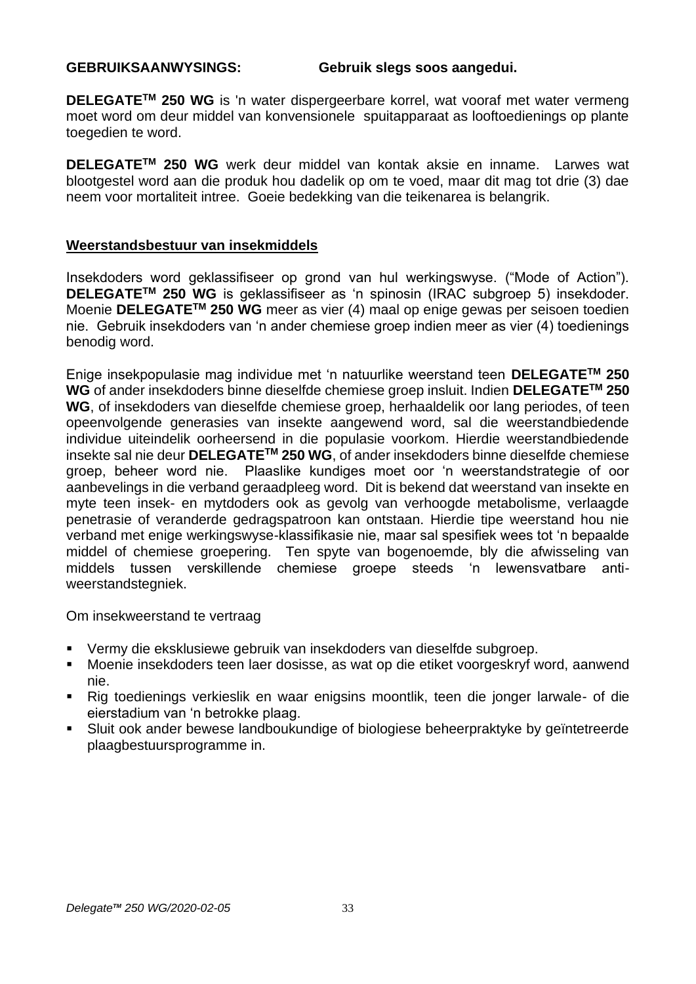#### **GEBRUIKSAANWYSINGS: Gebruik slegs soos aangedui.**

**DELEGATETM 250 WG** is 'n water dispergeerbare korrel, wat vooraf met water vermeng moet word om deur middel van konvensionele spuitapparaat as looftoedienings op plante toegedien te word.

**DELEGATETM 250 WG** werk deur middel van kontak aksie en inname. Larwes wat blootgestel word aan die produk hou dadelik op om te voed, maar dit mag tot drie (3) dae neem voor mortaliteit intree. Goeie bedekking van die teikenarea is belangrik.

#### **Weerstandsbestuur van insekmiddels**

Insekdoders word geklassifiseer op grond van hul werkingswyse. ("Mode of Action"). **DELEGATETM 250 WG** is geklassifiseer as 'n spinosin (IRAC subgroep 5) insekdoder. Moenie **DELEGATETM 250 WG** meer as vier (4) maal op enige gewas per seisoen toedien nie. Gebruik insekdoders van 'n ander chemiese groep indien meer as vier (4) toedienings benodig word.

Enige insekpopulasie mag individue met 'n natuurlike weerstand teen **DELEGATETM 250 WG** of ander insekdoders binne dieselfde chemiese groep insluit. Indien **DELEGATETM 250 WG**, of insekdoders van dieselfde chemiese groep, herhaaldelik oor lang periodes, of teen opeenvolgende generasies van insekte aangewend word, sal die weerstandbiedende individue uiteindelik oorheersend in die populasie voorkom. Hierdie weerstandbiedende insekte sal nie deur **DELEGATETM 250 WG**, of ander insekdoders binne dieselfde chemiese groep, beheer word nie. Plaaslike kundiges moet oor 'n weerstandstrategie of oor aanbevelings in die verband geraadpleeg word. Dit is bekend dat weerstand van insekte en myte teen insek- en mytdoders ook as gevolg van verhoogde metabolisme, verlaagde penetrasie of veranderde gedragspatroon kan ontstaan. Hierdie tipe weerstand hou nie verband met enige werkingswyse-klassifikasie nie, maar sal spesifiek wees tot 'n bepaalde middel of chemiese groepering. Ten spyte van bogenoemde, bly die afwisseling van middels tussen verskillende chemiese groepe steeds 'n lewensvatbare antiweerstandstegniek.

Om insekweerstand te vertraag

- Vermy die eksklusiewe gebruik van insekdoders van dieselfde subgroep.
- Moenie insekdoders teen laer dosisse, as wat op die etiket voorgeskryf word, aanwend nie.
- Rig toedienings verkieslik en waar enigsins moontlik, teen die jonger larwale- of die eierstadium van 'n betrokke plaag.
- Sluit ook ander bewese landboukundige of biologiese beheerpraktyke by geïntetreerde plaagbestuursprogramme in.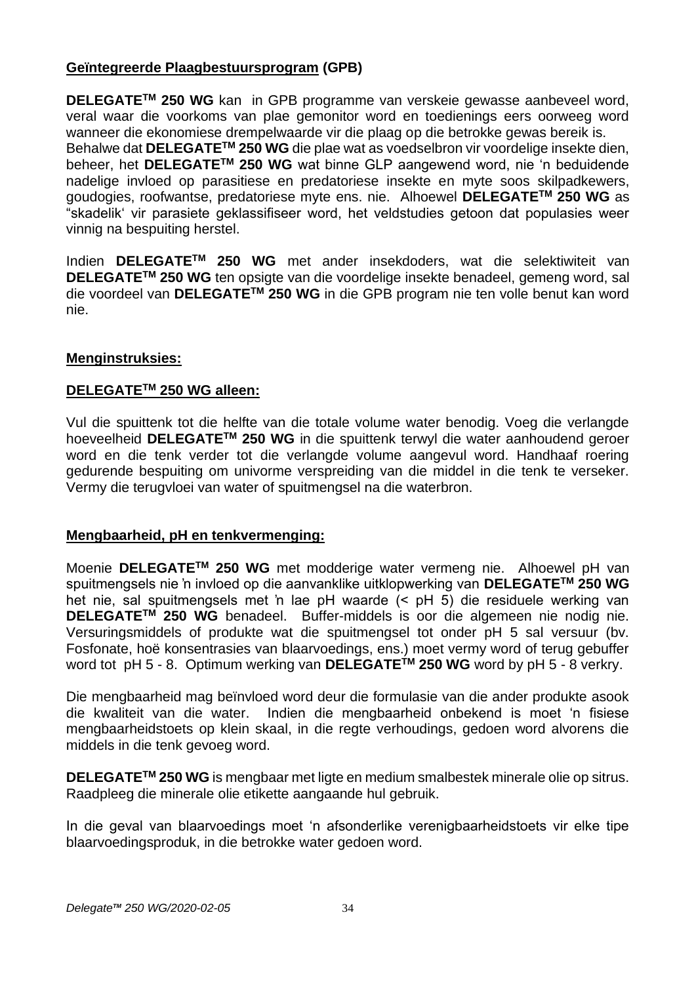# **Geïntegreerde Plaagbestuursprogram (GPB)**

**DELEGATETM 250 WG** kan in GPB programme van verskeie gewasse aanbeveel word, veral waar die voorkoms van plae gemonitor word en toedienings eers oorweeg word wanneer die ekonomiese drempelwaarde vir die plaag op die betrokke gewas bereik is. Behalwe dat **DELEGATETM 250 WG** die plae wat as voedselbron vir voordelige insekte dien, beheer, het **DELEGATETM 250 WG** wat binne GLP aangewend word, nie 'n beduidende nadelige invloed op parasitiese en predatoriese insekte en myte soos skilpadkewers, goudogies, roofwantse, predatoriese myte ens. nie. Alhoewel **DELEGATETM 250 WG** as "skadelik' vir parasiete geklassifiseer word, het veldstudies getoon dat populasies weer vinnig na bespuiting herstel.

Indien **DELEGATETM 250 WG** met ander insekdoders, wat die selektiwiteit van **DELEGATETM 250 WG** ten opsigte van die voordelige insekte benadeel, gemeng word, sal die voordeel van **DELEGATETM 250 WG** in die GPB program nie ten volle benut kan word nie.

# **Menginstruksies:**

#### **DELEGATETM 250 WG alleen:**

Vul die spuittenk tot die helfte van die totale volume water benodig. Voeg die verlangde hoeveelheid **DELEGATETM 250 WG** in die spuittenk terwyl die water aanhoudend geroer word en die tenk verder tot die verlangde volume aangevul word. Handhaaf roering gedurende bespuiting om univorme verspreiding van die middel in die tenk te verseker. Vermy die terugvloei van water of spuitmengsel na die waterbron.

# **Mengbaarheid, pH en tenkvermenging:**

Moenie **DELEGATETM 250 WG** met modderige water vermeng nie. Alhoewel pH van spuitmengsels nie 'n invloed op die aanvanklike uitklopwerking van **DELEGATETM 250 WG** het nie, sal spuitmengsels met 'n lae pH waarde (< pH 5) die residuele werking van **DELEGATETM 250 WG** benadeel. Buffer-middels is oor die algemeen nie nodig nie. Versuringsmiddels of produkte wat die spuitmengsel tot onder pH 5 sal versuur (bv. Fosfonate, hoë konsentrasies van blaarvoedings, ens.) moet vermy word of terug gebuffer word tot pH 5 - 8. Optimum werking van **DELEGATETM 250 WG** word by pH 5 - 8 verkry.

Die mengbaarheid mag beïnvloed word deur die formulasie van die ander produkte asook die kwaliteit van die water. Indien die mengbaarheid onbekend is moet 'n fisiese mengbaarheidstoets op klein skaal, in die regte verhoudings, gedoen word alvorens die middels in die tenk gevoeg word.

**DELEGATETM 250 WG** is mengbaar met ligte en medium smalbestek minerale olie op sitrus. Raadpleeg die minerale olie etikette aangaande hul gebruik.

In die geval van blaarvoedings moet 'n afsonderlike verenigbaarheidstoets vir elke tipe blaarvoedingsproduk, in die betrokke water gedoen word.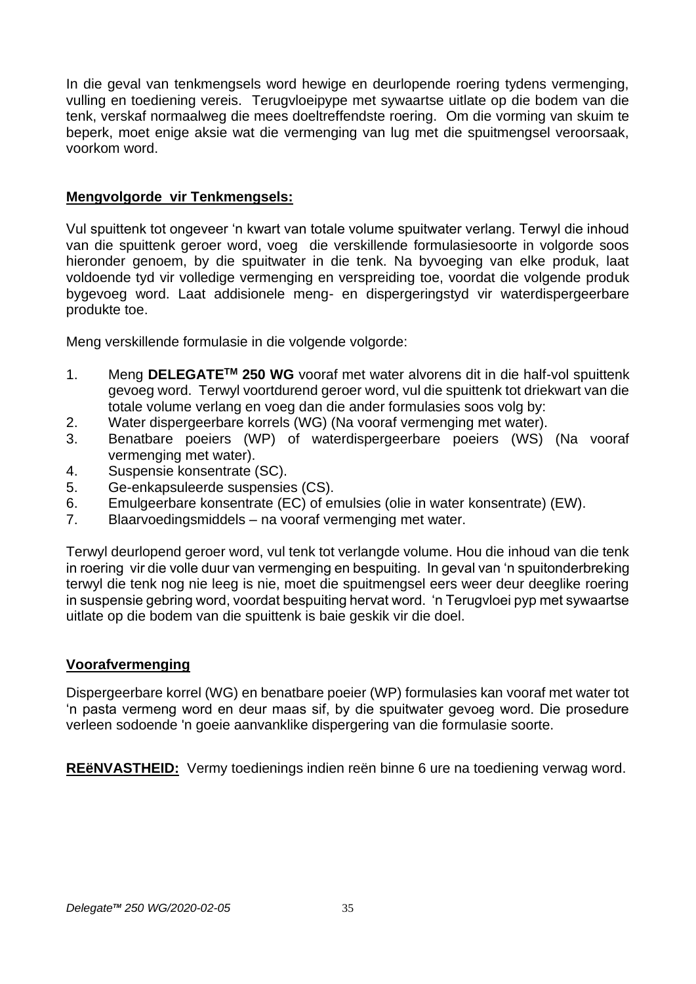In die geval van tenkmengsels word hewige en deurlopende roering tydens vermenging, vulling en toediening vereis. Terugvloeipype met sywaartse uitlate op die bodem van die tenk, verskaf normaalweg die mees doeltreffendste roering. Om die vorming van skuim te beperk, moet enige aksie wat die vermenging van lug met die spuitmengsel veroorsaak, voorkom word.

# **Mengvolgorde vir Tenkmengsels:**

Vul spuittenk tot ongeveer 'n kwart van totale volume spuitwater verlang. Terwyl die inhoud van die spuittenk geroer word, voeg die verskillende formulasiesoorte in volgorde soos hieronder genoem, by die spuitwater in die tenk. Na byvoeging van elke produk, laat voldoende tyd vir volledige vermenging en verspreiding toe, voordat die volgende produk bygevoeg word. Laat addisionele meng- en dispergeringstyd vir waterdispergeerbare produkte toe.

Meng verskillende formulasie in die volgende volgorde:

- 1. Meng **DELEGATETM 250 WG** vooraf met water alvorens dit in die half-vol spuittenk gevoeg word. Terwyl voortdurend geroer word, vul die spuittenk tot driekwart van die totale volume verlang en voeg dan die ander formulasies soos volg by:
- 2. Water dispergeerbare korrels (WG) (Na vooraf vermenging met water).
- 3. Benatbare poeiers (WP) of waterdispergeerbare poeiers (WS) (Na vooraf vermenging met water).
- 4. Suspensie konsentrate (SC).
- 5. Ge-enkapsuleerde suspensies (CS).
- 6. Emulgeerbare konsentrate (EC) of emulsies (olie in water konsentrate) (EW).
- 7. Blaarvoedingsmiddels na vooraf vermenging met water.

Terwyl deurlopend geroer word, vul tenk tot verlangde volume. Hou die inhoud van die tenk in roering vir die volle duur van vermenging en bespuiting. In geval van 'n spuitonderbreking terwyl die tenk nog nie leeg is nie, moet die spuitmengsel eers weer deur deeglike roering in suspensie gebring word, voordat bespuiting hervat word. 'n Terugvloei pyp met sywaartse uitlate op die bodem van die spuittenk is baie geskik vir die doel.

# **Voorafvermenging**

Dispergeerbare korrel (WG) en benatbare poeier (WP) formulasies kan vooraf met water tot 'n pasta vermeng word en deur maas sif, by die spuitwater gevoeg word. Die prosedure verleen sodoende 'n goeie aanvanklike dispergering van die formulasie soorte.

**REëNVASTHEID:** Vermy toedienings indien reën binne 6 ure na toediening verwag word.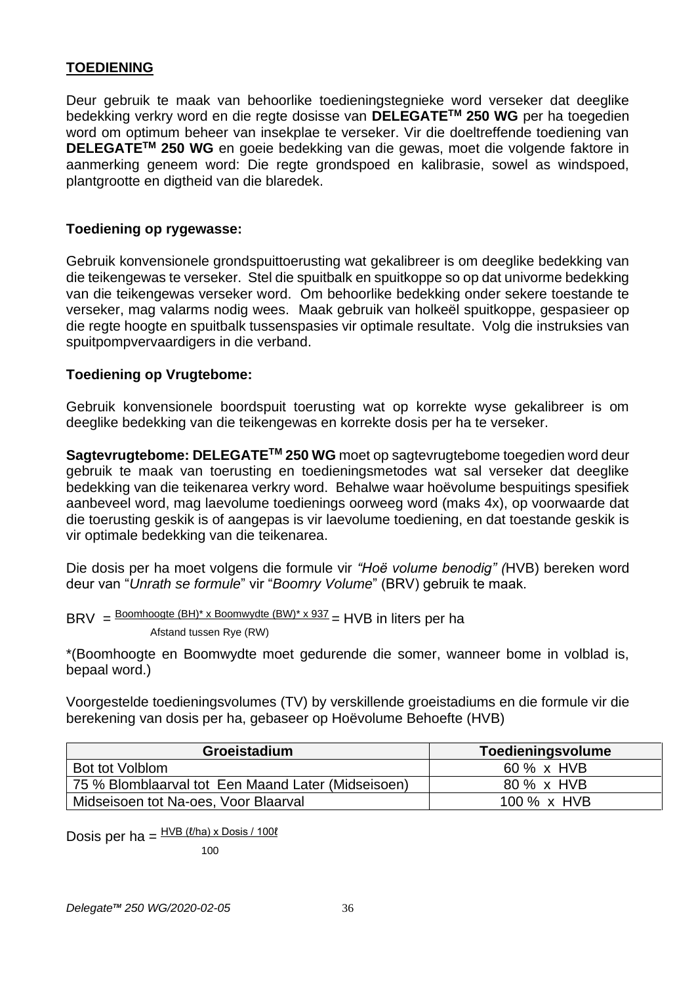# **TOEDIENING**

Deur gebruik te maak van behoorlike toedieningstegnieke word verseker dat deeglike bedekking verkry word en die regte dosisse van **DELEGATETM 250 WG** per ha toegedien word om optimum beheer van insekplae te verseker. Vir die doeltreffende toediening van **DELEGATETM 250 WG** en goeie bedekking van die gewas, moet die volgende faktore in aanmerking geneem word: Die regte grondspoed en kalibrasie, sowel as windspoed, plantgrootte en digtheid van die blaredek.

#### **Toediening op rygewasse:**

Gebruik konvensionele grondspuittoerusting wat gekalibreer is om deeglike bedekking van die teikengewas te verseker. Stel die spuitbalk en spuitkoppe so op dat univorme bedekking van die teikengewas verseker word. Om behoorlike bedekking onder sekere toestande te verseker, mag valarms nodig wees. Maak gebruik van holkeël spuitkoppe, gespasieer op die regte hoogte en spuitbalk tussenspasies vir optimale resultate. Volg die instruksies van spuitpompvervaardigers in die verband.

#### **Toediening op Vrugtebome:**

Gebruik konvensionele boordspuit toerusting wat op korrekte wyse gekalibreer is om deeglike bedekking van die teikengewas en korrekte dosis per ha te verseker.

**Sagtevrugtebome: DELEGATETM 250 WG** moet op sagtevrugtebome toegedien word deur gebruik te maak van toerusting en toedieningsmetodes wat sal verseker dat deeglike bedekking van die teikenarea verkry word. Behalwe waar hoëvolume bespuitings spesifiek aanbeveel word, mag laevolume toedienings oorweeg word (maks 4x), op voorwaarde dat die toerusting geskik is of aangepas is vir laevolume toediening, en dat toestande geskik is vir optimale bedekking van die teikenarea.

Die dosis per ha moet volgens die formule vir *"Hoë volume benodig" (*HVB) bereken word deur van "*Unrath se formule*" vir "*Boomry Volume*" (BRV) gebruik te maak.

BRV = Boomhoogte (BH)\* x Boomwydte (BW)\* x 937 = HVB in liters per ha

Afstand tussen Rye (RW)

\*(Boomhoogte en Boomwydte moet gedurende die somer, wanneer bome in volblad is, bepaal word.)

Voorgestelde toedieningsvolumes (TV) by verskillende groeistadiums en die formule vir die berekening van dosis per ha, gebaseer op Hoëvolume Behoefte (HVB)

| Groeistadium                                       | Toedieningsvolume   |
|----------------------------------------------------|---------------------|
| Bot tot Volblom                                    | 60 % x HVB          |
| 75 % Blomblaarval tot Een Maand Later (Midseisoen) | 80 % x HVB          |
| Midseisoen tot Na-oes, Voor Blaarval               | 100 $\% \times$ HVB |

Dosis per ha =  $\frac{HVB (l/ha) \times Dosis / 100l}{H}$ 

100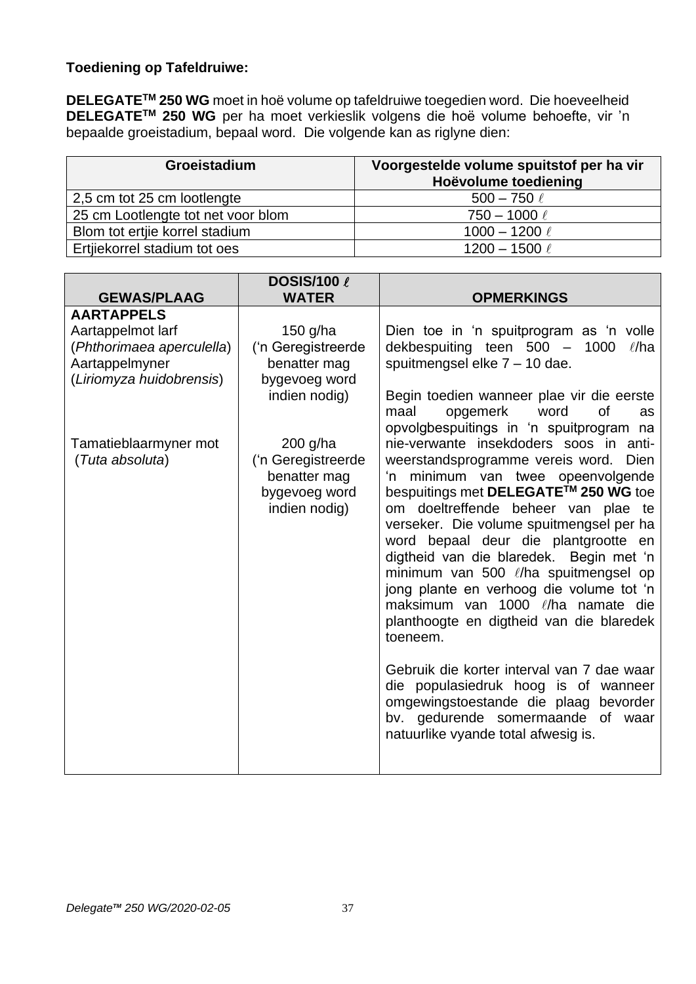# **Toediening op Tafeldruiwe:**

**DELEGATETM 250 WG** moet in hoë volume op tafeldruiwe toegedien word. Die hoeveelheid **DELEGATETM 250 WG** per ha moet verkieslik volgens die hoë volume behoefte, vir 'n bepaalde groeistadium, bepaal word. Die volgende kan as riglyne dien:

| Groeistadium                       | Voorgestelde volume spuitstof per ha vir<br>Hoëvolume toediening |
|------------------------------------|------------------------------------------------------------------|
| 2,5 cm tot 25 cm lootlengte        | $500 - 750 \ell$                                                 |
| 25 cm Lootlengte tot net voor blom | $750 - 1000 \ell$                                                |
| Blom tot ertjie korrel stadium     | 1000 - 1200 $\ell$                                               |
| Ertijekorrel stadium tot oes       | 1200 - 1500 $\ell$                                               |

|                           | <b>DOSIS/100 &amp;</b> |                                             |
|---------------------------|------------------------|---------------------------------------------|
| <b>GEWAS/PLAAG</b>        | <b>WATER</b>           | <b>OPMERKINGS</b>                           |
| <b>AARTAPPELS</b>         |                        |                                             |
| Aartappelmot larf         | 150 g/ha               | Dien toe in 'n spuitprogram as 'n volle     |
| (Phthorimaea aperculella) | ('n Geregistreerde     | dekbespuiting teen 500 - 1000<br>$\ell$ /ha |
| Aartappelmyner            | benatter mag           | spuitmengsel elke 7 - 10 dae.               |
| (Liriomyza huidobrensis)  | bygevoeg word          |                                             |
|                           | indien nodig)          | Begin toedien wanneer plae vir die eerste   |
|                           |                        | opgemerk<br><b>of</b><br>maal<br>word<br>as |
|                           |                        | opvolgbespuitings in 'n spuitprogram na     |
| Tamatieblaarmyner mot     | $200$ g/ha             | nie-verwante insekdoders soos in anti-      |
| (Tuta absoluta)           | ('n Geregistreerde     | weerstandsprogramme vereis word. Dien       |
|                           | benatter mag           | minimum van twee opeenvolgende<br>'n        |
|                           | bygevoeg word          | bespuitings met DELEGATE™ 250 WG toe        |
|                           | indien nodig)          | om doeltreffende beheer van plae te         |
|                           |                        | verseker. Die volume spuitmengsel per ha    |
|                           |                        | word bepaal deur die plantgrootte en        |
|                           |                        | digtheid van die blaredek. Begin met 'n     |
|                           |                        | minimum van 500 l/ha spuitmengsel op        |
|                           |                        | jong plante en verhoog die volume tot 'n    |
|                           |                        | maksimum van 1000 l/ha namate die           |
|                           |                        | planthoogte en digtheid van die blaredek    |
|                           |                        | toeneem.                                    |
|                           |                        | Gebruik die korter interval van 7 dae waar  |
|                           |                        | die populasiedruk hoog is of wanneer        |
|                           |                        | omgewingstoestande die plaag bevorder       |
|                           |                        | bv. gedurende somermaande of waar           |
|                           |                        | natuurlike vyande total afwesig is.         |
|                           |                        |                                             |
|                           |                        |                                             |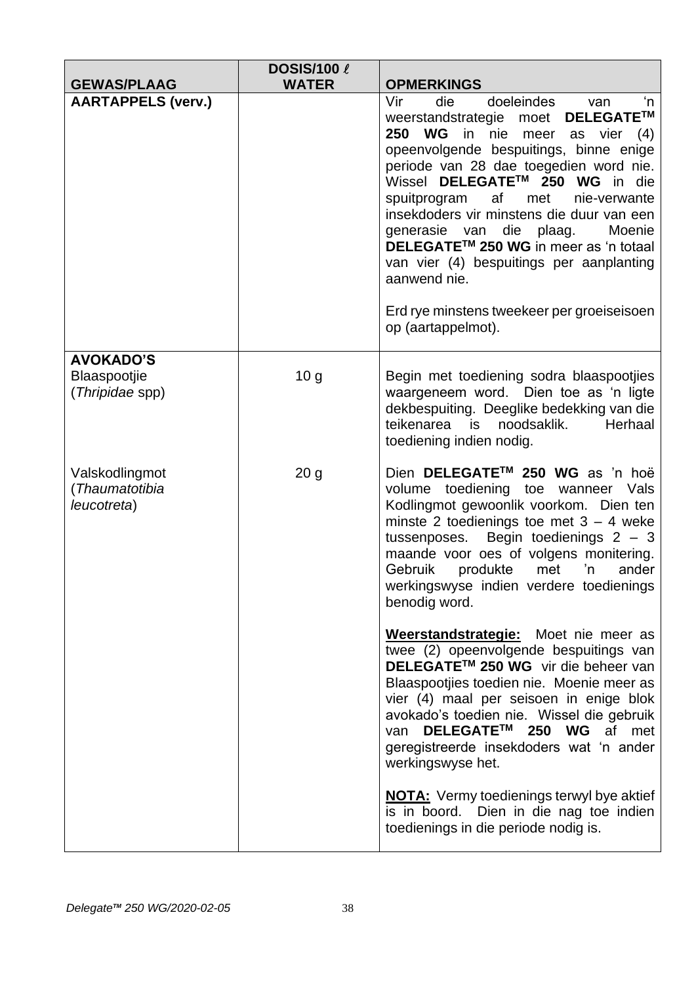|                                                 | <b>DOSIS/100 &amp;</b> |                                                                                                                                                                                                                                                                                                                                                                                                                                                                                                                                                                     |
|-------------------------------------------------|------------------------|---------------------------------------------------------------------------------------------------------------------------------------------------------------------------------------------------------------------------------------------------------------------------------------------------------------------------------------------------------------------------------------------------------------------------------------------------------------------------------------------------------------------------------------------------------------------|
| <b>GEWAS/PLAAG</b>                              | <b>WATER</b>           | <b>OPMERKINGS</b>                                                                                                                                                                                                                                                                                                                                                                                                                                                                                                                                                   |
| <b>AARTAPPELS (verv.)</b>                       |                        | Vir<br>die<br>doeleindes<br>'n<br>van<br>DELEGATE™<br>weerstandstrategie<br>moet<br>250 WG in nie<br>meer as vier<br>(4)<br>opeenvolgende bespuitings, binne enige<br>periode van 28 dae toegedien word nie.<br>Wissel DELEGATE™ 250 WG in die<br>spuitprogram<br>af<br>met<br>nie-verwante<br>insekdoders vir minstens die duur van een<br>Moenie<br>generasie van die plaag.<br>DELEGATE <sup>™</sup> 250 WG in meer as 'n totaal<br>van vier (4) bespuitings per aanplanting<br>aanwend nie.<br>Erd rye minstens tweekeer per groeiseisoen<br>op (aartappelmot). |
| <b>AVOKADO'S</b>                                |                        |                                                                                                                                                                                                                                                                                                                                                                                                                                                                                                                                                                     |
| Blaaspootjie<br>(Thripidae spp)                 | 10 <sub>g</sub>        | Begin met toediening sodra blaaspootjies<br>waargeneem word. Dien toe as 'n ligte<br>dekbespuiting. Deeglike bedekking van die<br>teikenarea<br>noodsaklik.<br>Herhaal<br>is<br>toediening indien nodig.                                                                                                                                                                                                                                                                                                                                                            |
| Valskodlingmot<br>(Thaumatotibia<br>leucotreta) | 20 <sub>g</sub>        | Dien DELEGATE™ 250 WG as 'n hoë<br>volume toediening toe wanneer Vals<br>Kodlingmot gewoonlik voorkom. Dien ten<br>minste 2 toedienings toe met $3 - 4$ weke<br>Begin toedienings $2 - 3$<br>tussenposes.<br>maande voor oes of volgens monitering.<br>Gebruik<br>produkte<br>met<br>'n<br>ander<br>werkingswyse indien verdere toedienings<br>benodig word.                                                                                                                                                                                                        |
|                                                 |                        | Weerstandstrategie: Moet nie meer as<br>twee (2) opeenvolgende bespuitings van<br>DELEGATE™ 250 WG vir die beheer van<br>Blaaspootjies toedien nie. Moenie meer as<br>vier (4) maal per seisoen in enige blok<br>avokado's toedien nie. Wissel die gebruik<br>DELEGATE™ 250 WG af met<br>van<br>geregistreerde insekdoders wat 'n ander<br>werkingswyse het.                                                                                                                                                                                                        |
|                                                 |                        | <b>NOTA:</b> Vermy toedienings terwyl bye aktief<br>is in boord. Dien in die nag toe indien<br>toedienings in die periode nodig is.                                                                                                                                                                                                                                                                                                                                                                                                                                 |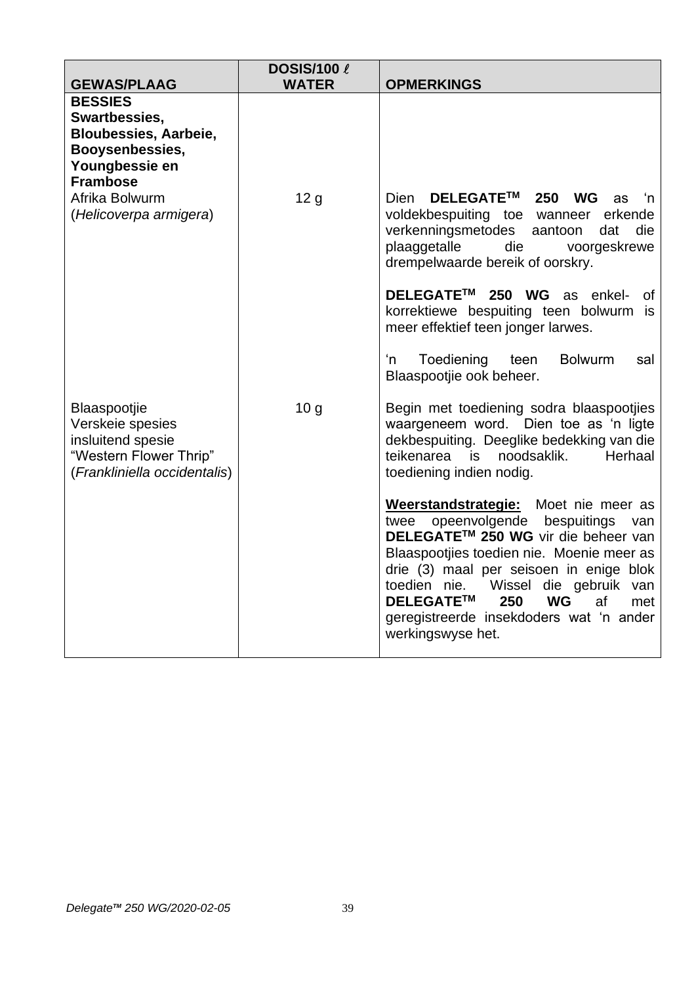| <b>GEWAS/PLAAG</b>                                                                                                                        | <b>DOSIS/100 &amp;</b><br><b>WATER</b> | <b>OPMERKINGS</b>                                                                                                                                                                                                                                                                                                                                                             |
|-------------------------------------------------------------------------------------------------------------------------------------------|----------------------------------------|-------------------------------------------------------------------------------------------------------------------------------------------------------------------------------------------------------------------------------------------------------------------------------------------------------------------------------------------------------------------------------|
| <b>BESSIES</b><br>Swartbessies,<br><b>Bloubessies, Aarbeie,</b><br>Booysenbessies,<br>Youngbessie en<br><b>Frambose</b><br>Afrika Bolwurm |                                        | DELEGATE™<br>250<br><b>Dien</b><br><b>WG</b>                                                                                                                                                                                                                                                                                                                                  |
| (Helicoverpa armigera)                                                                                                                    | 12 <sub>g</sub>                        | <b>as</b><br>'n<br>voldekbespuiting toe wanneer<br>erkende<br>verkenningsmetodes<br>aantoon<br>dat<br>die<br>plaaggetalle<br>die<br>voorgeskrewe<br>drempelwaarde bereik of oorskry.                                                                                                                                                                                          |
|                                                                                                                                           |                                        | DELEGATE™ 250 WG as enkel-<br>0f.<br>korrektiewe bespuiting teen bolwurm is<br>meer effektief teen jonger larwes.                                                                                                                                                                                                                                                             |
|                                                                                                                                           |                                        | Toediening<br>'n<br><b>Bolwurm</b><br>teen<br>sal<br>Blaaspootjie ook beheer.                                                                                                                                                                                                                                                                                                 |
| Blaaspootjie<br>Verskeie spesies<br>insluitend spesie<br>"Western Flower Thrip"<br>(Frankliniella occidentalis)                           | 10 <sub>g</sub>                        | Begin met toediening sodra blaaspootjies<br>waargeneem word. Dien toe as 'n ligte<br>dekbespuiting. Deeglike bedekking van die<br>teikenarea<br>noodsaklik.<br>Herhaal<br>is<br>toediening indien nodig.                                                                                                                                                                      |
|                                                                                                                                           |                                        | Weerstandstrategie:<br>Moet nie meer as<br>opeenvolgende<br>bespuitings<br>twee<br>van<br>DELEGATE™ 250 WG vir die beheer van<br>Blaaspootjies toedien nie. Moenie meer as<br>drie (3) maal per seisoen in enige blok<br>toedien nie.<br>Wissel die gebruik van<br>DELEGATE™<br>250<br><b>WG</b><br>af<br>met<br>geregistreerde insekdoders wat 'n ander<br>werkingswyse het. |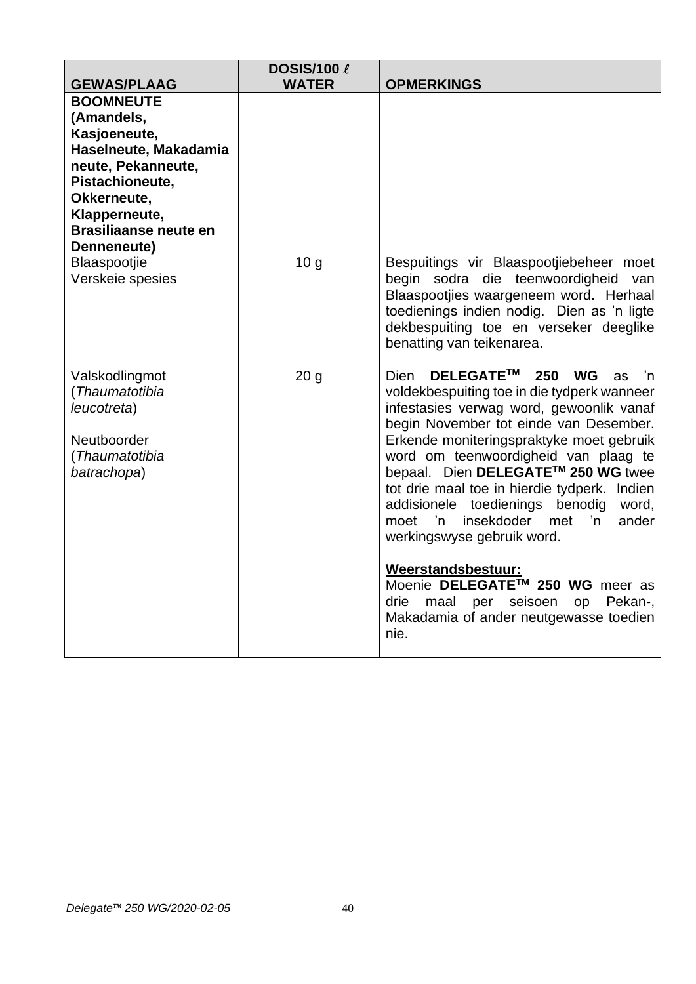| <b>GEWAS/PLAAG</b>                                                                                                                                                                                                                  | <b>DOSIS/100 &amp;</b><br><b>WATER</b> | <b>OPMERKINGS</b>                                                                                                                                                                                                                                                                                                                                                                                                                                                                                          |
|-------------------------------------------------------------------------------------------------------------------------------------------------------------------------------------------------------------------------------------|----------------------------------------|------------------------------------------------------------------------------------------------------------------------------------------------------------------------------------------------------------------------------------------------------------------------------------------------------------------------------------------------------------------------------------------------------------------------------------------------------------------------------------------------------------|
| <b>BOOMNEUTE</b><br>(Amandels,<br>Kasjoeneute,<br>Haselneute, Makadamia<br>neute, Pekanneute,<br>Pistachioneute,<br>Okkerneute,<br>Klapperneute,<br><b>Brasiliaanse neute en</b><br>Denneneute)<br>Blaaspootjie<br>Verskeie spesies | 10 <sub>q</sub>                        | Bespuitings vir Blaaspootjiebeheer moet<br>begin sodra die teenwoordigheid van<br>Blaaspootjies waargeneem word. Herhaal                                                                                                                                                                                                                                                                                                                                                                                   |
|                                                                                                                                                                                                                                     |                                        | toedienings indien nodig. Dien as 'n ligte<br>dekbespuiting toe en verseker deeglike<br>benatting van teikenarea.                                                                                                                                                                                                                                                                                                                                                                                          |
| Valskodlingmot<br>(Thaumatotibia<br>leucotreta)<br>Neutboorder<br>(Thaumatotibia<br>batrachopa)                                                                                                                                     | 20 <sub>g</sub>                        | <b>DELEGATE™</b><br>250<br><b>WG</b><br><b>Dien</b><br>as<br>'n<br>voldekbespuiting toe in die tydperk wanneer<br>infestasies verwag word, gewoonlik vanaf<br>begin November tot einde van Desember.<br>Erkende moniteringspraktyke moet gebruik<br>word om teenwoordigheid van plaag te<br>bepaal. Dien DELEGATE™ 250 WG twee<br>tot drie maal toe in hierdie tydperk. Indien<br>addisionele toedienings benodig<br>word,<br>'n<br>insekdoder<br>'n<br>met<br>ander<br>moet<br>werkingswyse gebruik word. |
|                                                                                                                                                                                                                                     |                                        | Weerstandsbestuur:<br>Moenie DELEGATE™ 250 WG meer as<br>drie<br>seisoen<br>Pekan-,<br>maal per<br>op<br>Makadamia of ander neutgewasse toedien<br>nie.                                                                                                                                                                                                                                                                                                                                                    |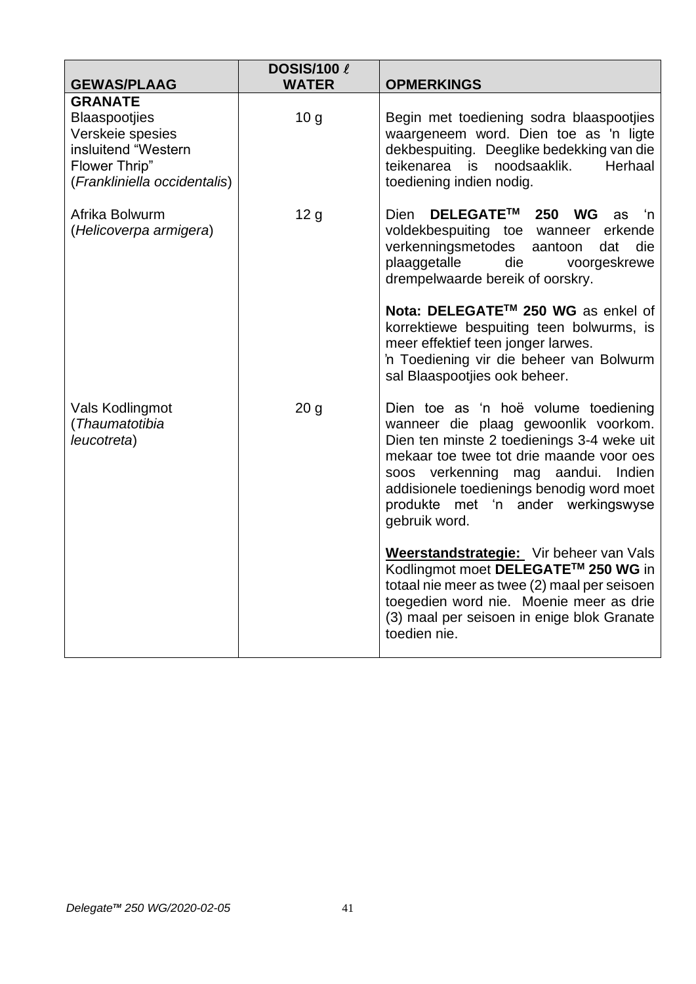| <b>GEWAS/PLAAG</b>                                                                                                                 | <b>DOSIS/100 &amp;</b><br><b>WATER</b> | <b>OPMERKINGS</b>                                                                                                                                                                                                                                                                                                   |
|------------------------------------------------------------------------------------------------------------------------------------|----------------------------------------|---------------------------------------------------------------------------------------------------------------------------------------------------------------------------------------------------------------------------------------------------------------------------------------------------------------------|
| <b>GRANATE</b><br><b>Blaaspootjies</b><br>Verskeie spesies<br>insluitend "Western<br>Flower Thrip"<br>(Frankliniella occidentalis) | 10 <sub>g</sub>                        | Begin met toediening sodra blaaspootjies<br>waargeneem word. Dien toe as 'n ligte<br>dekbespuiting. Deeglike bedekking van die<br>teikenarea is<br>noodsaaklik.<br>Herhaal<br>toediening indien nodig.                                                                                                              |
| Afrika Bolwurm<br>(Helicoverpa armigera)                                                                                           | 12 <sub>g</sub>                        | DELEGATE™<br>250<br><b>Dien</b><br><b>WG</b><br>as<br>'n<br>voldekbespuiting toe wanneer<br>erkende<br>verkenningsmetodes<br>aantoon<br>die<br>dat<br>plaaggetalle<br>die<br>voorgeskrewe<br>drempelwaarde bereik of oorskry.                                                                                       |
|                                                                                                                                    |                                        | Nota: DELEGATE™ 250 WG as enkel of<br>korrektiewe bespuiting teen bolwurms, is<br>meer effektief teen jonger larwes.<br>'n Toediening vir die beheer van Bolwurm<br>sal Blaaspootjies ook beheer.                                                                                                                   |
| Vals Kodlingmot<br>(Thaumatotibia<br>leucotreta)                                                                                   | 20 <sub>g</sub>                        | Dien toe as 'n hoë volume toediening<br>wanneer die plaag gewoonlik voorkom.<br>Dien ten minste 2 toedienings 3-4 weke uit<br>mekaar toe twee tot drie maande voor oes<br>soos verkenning mag aandui.<br>Indien<br>addisionele toedienings benodig word moet<br>produkte met 'n ander werkingswyse<br>gebruik word. |
|                                                                                                                                    |                                        | Weerstandstrategie: Vir beheer van Vals<br>Kodlingmot moet DELEGATE™ 250 WG in<br>totaal nie meer as twee (2) maal per seisoen<br>toegedien word nie. Moenie meer as drie<br>(3) maal per seisoen in enige blok Granate<br>toedien nie.                                                                             |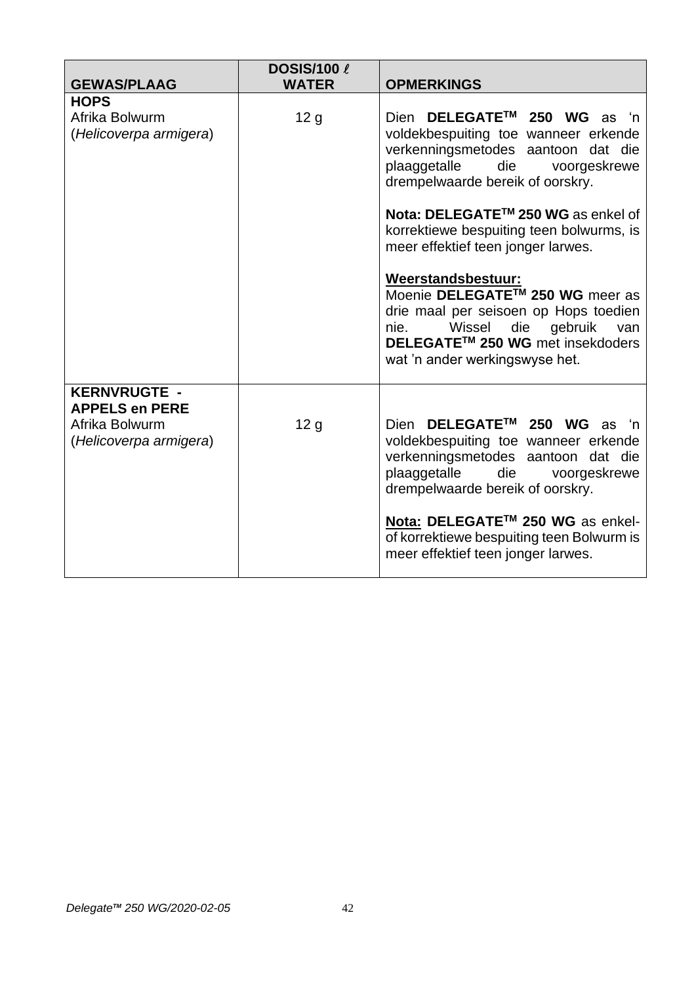|                                                                                          | <b>DOSIS/100 &amp;</b><br><b>WATER</b> | <b>OPMERKINGS</b>                                                                                                                                                                                                                                                                                               |
|------------------------------------------------------------------------------------------|----------------------------------------|-----------------------------------------------------------------------------------------------------------------------------------------------------------------------------------------------------------------------------------------------------------------------------------------------------------------|
| <b>GEWAS/PLAAG</b>                                                                       |                                        |                                                                                                                                                                                                                                                                                                                 |
| <b>HOPS</b><br>Afrika Bolwurm<br>(Helicoverpa armigera)                                  | 12 <sub>g</sub>                        | DELEGATE™ 250 WG as 'n<br>Dien<br>voldekbespuiting toe wanneer erkende<br>verkenningsmetodes aantoon dat die<br>plaaggetalle<br>die<br>voorgeskrewe<br>drempelwaarde bereik of oorskry.<br>Nota: DELEGATE™ 250 WG as enkel of<br>korrektiewe bespuiting teen bolwurms, is<br>meer effektief teen jonger larwes. |
|                                                                                          |                                        | Weerstandsbestuur:<br>Moenie DELEGATE™ 250 WG meer as<br>drie maal per seisoen op Hops toedien<br>Wissel<br>die<br>gebruik<br>nie.<br>van<br>DELEGATE <sup>™</sup> 250 WG met insekdoders<br>wat 'n ander werkingswyse het.                                                                                     |
| <b>KERNVRUGTE -</b><br><b>APPELS en PERE</b><br>Afrika Bolwurm<br>(Helicoverpa armigera) | 12 <sub>g</sub>                        | Dien DELEGATE™ 250 WG as 'n<br>voldekbespuiting toe wanneer erkende<br>verkenningsmetodes aantoon dat die<br>plaaggetalle<br>die voorgeskrewe<br>drempelwaarde bereik of oorskry.<br>Nota: DELEGATE™ 250 WG as enkel-<br>of korrektiewe bespuiting teen Bolwurm is<br>meer effektief teen jonger larwes.        |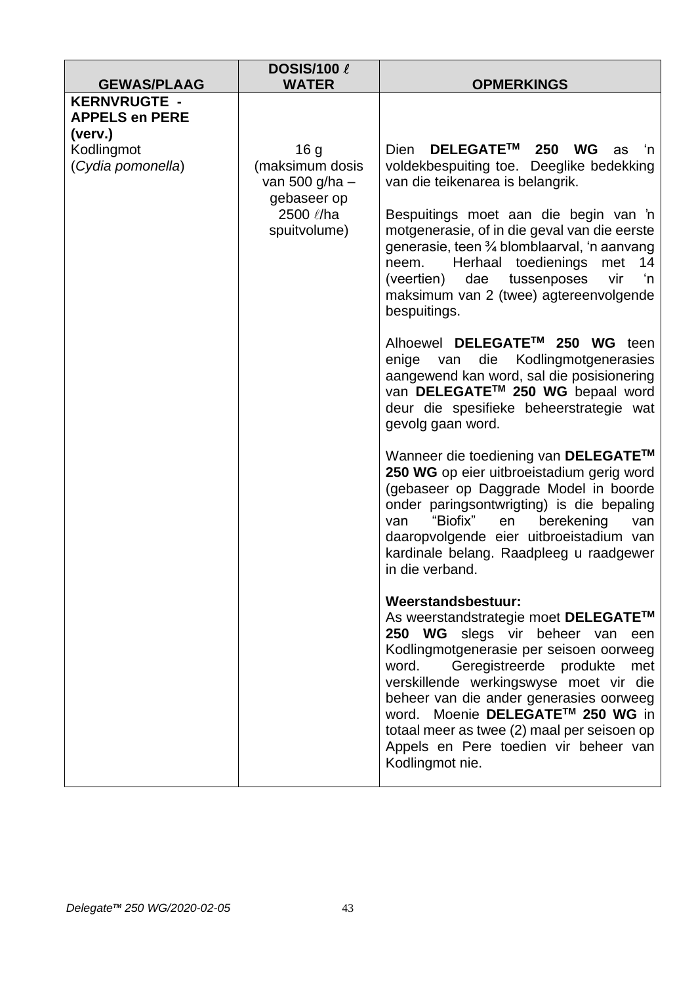| <b>GEWAS/PLAAG</b>                                                                                                                               | <b>DOSIS/100 &amp;</b><br><b>WATER</b>                                                                                                                                                                                                                                                                                                                                                                                                                                                                                                                                                                                                              | <b>OPMERKINGS</b>                                                                                                                                                                                                                                                                                                                                   |
|--------------------------------------------------------------------------------------------------------------------------------------------------|-----------------------------------------------------------------------------------------------------------------------------------------------------------------------------------------------------------------------------------------------------------------------------------------------------------------------------------------------------------------------------------------------------------------------------------------------------------------------------------------------------------------------------------------------------------------------------------------------------------------------------------------------------|-----------------------------------------------------------------------------------------------------------------------------------------------------------------------------------------------------------------------------------------------------------------------------------------------------------------------------------------------------|
| <b>KERNVRUGTE -</b><br><b>APPELS en PERE</b>                                                                                                     |                                                                                                                                                                                                                                                                                                                                                                                                                                                                                                                                                                                                                                                     |                                                                                                                                                                                                                                                                                                                                                     |
| (verv.)<br>Kodlingmot<br>16 <sub>g</sub><br>(Cydia pomonella)<br>(maksimum dosis<br>van 500 g/ha $-$<br>gebaseer op<br>2500 l/ha<br>spuitvolume) | DELEGATE™<br><b>Dien</b><br>250<br><b>WG</b><br>'n<br>as<br>voldekbespuiting toe. Deeglike bedekking<br>van die teikenarea is belangrik.<br>Bespuitings moet aan die begin van 'n<br>motgenerasie, of in die geval van die eerste<br>generasie, teen 3⁄4 blomblaarval, 'n aanvang<br>Herhaal toedienings met<br>14<br>neem.<br>'n<br>tussenposes<br>(veertien)<br>dae<br>vir<br>maksimum van 2 (twee) agtereenvolgende<br>bespuitings.<br>Alhoewel DELEGATE™ 250 WG<br>teen<br>die Kodlingmotgenerasies<br>enige<br>van<br>aangewend kan word, sal die posisionering<br>van DELEGATE™ 250 WG bepaal word<br>deur die spesifieke beheerstrategie wat |                                                                                                                                                                                                                                                                                                                                                     |
|                                                                                                                                                  |                                                                                                                                                                                                                                                                                                                                                                                                                                                                                                                                                                                                                                                     | gevolg gaan word.<br>Wanneer die toediening van DELEGATE™<br>250 WG op eier uitbroeistadium gerig word<br>(gebaseer op Daggrade Model in boorde<br>onder paringsontwrigting) is die bepaling<br>"Biofix"<br>berekening<br>van<br>en<br>van<br>daaropvolgende eier uitbroeistadium van<br>kardinale belang. Raadpleeg u raadgewer<br>in die verband. |
|                                                                                                                                                  | Weerstandsbestuur:<br>As weerstandstrategie moet DELEGATE™<br>250 WG slegs vir beheer van een<br>Kodlingmotgenerasie per seisoen oorweeg<br>Geregistreerde produkte<br>word.<br>met<br>verskillende werkingswyse moet vir die<br>beheer van die ander generasies oorweeg<br>word. Moenie DELEGATE™ 250 WG in<br>totaal meer as twee (2) maal per seisoen op<br>Appels en Pere toedien vir beheer van<br>Kodlingmot nie.                                                                                                                                                                                                                             |                                                                                                                                                                                                                                                                                                                                                     |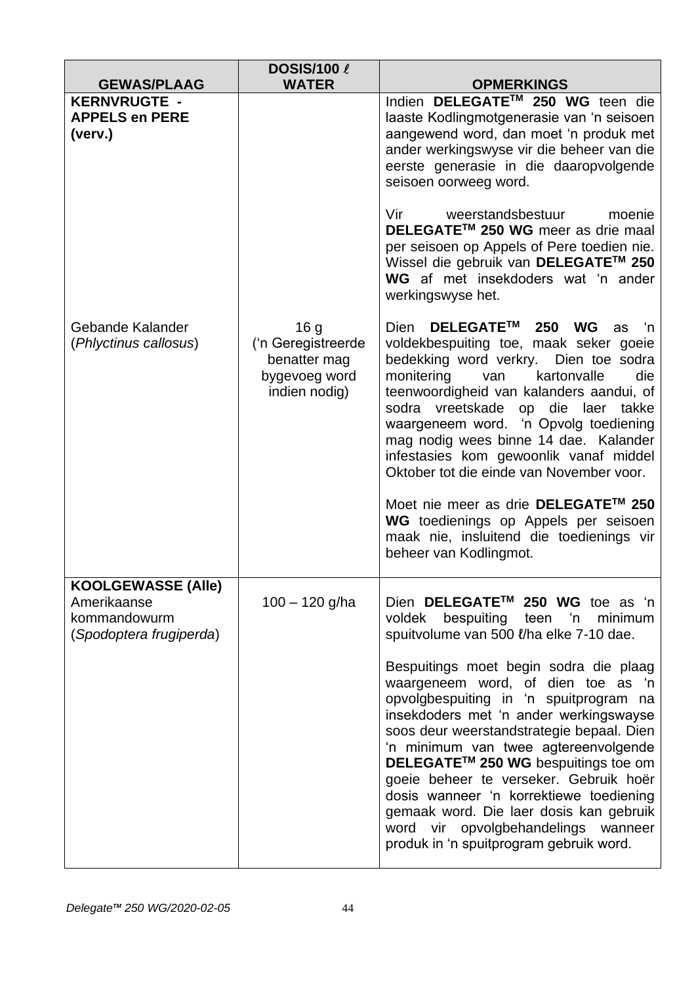| <b>GEWAS/PLAAG</b>                                                                  | <b>DOSIS/100 &amp;</b><br><b>WATER</b>                                                  | <b>OPMERKINGS</b>                                                                                                                                                                                                                                                                                                                                                                                                                                                                                                                  |
|-------------------------------------------------------------------------------------|-----------------------------------------------------------------------------------------|------------------------------------------------------------------------------------------------------------------------------------------------------------------------------------------------------------------------------------------------------------------------------------------------------------------------------------------------------------------------------------------------------------------------------------------------------------------------------------------------------------------------------------|
| <b>KERNVRUGTE -</b><br><b>APPELS en PERE</b><br>(verv.)                             |                                                                                         | Indien DELEGATE™ 250 WG teen die<br>laaste Kodlingmotgenerasie van 'n seisoen<br>aangewend word, dan moet 'n produk met<br>ander werkingswyse vir die beheer van die<br>eerste generasie in die daaropvolgende<br>seisoen oorweeg word.                                                                                                                                                                                                                                                                                            |
|                                                                                     |                                                                                         | Vir<br>weerstandsbestuur<br>moenie<br>DELEGATE™ 250 WG meer as drie maal<br>per seisoen op Appels of Pere toedien nie.<br>Wissel die gebruik van DELEGATE™ 250<br>WG af met insekdoders wat 'n ander<br>werkingswyse het.                                                                                                                                                                                                                                                                                                          |
| Gebande Kalander<br>(Phlyctinus callosus)                                           | 16 <sub>g</sub><br>('n Geregistreerde<br>benatter mag<br>bygevoeg word<br>indien nodig) | DELEGATE™<br><b>Dien</b><br>250<br><b>WG</b><br>'n<br>as<br>voldekbespuiting toe, maak seker goeie<br>bedekking word verkry. Dien toe sodra<br>monitering<br>kartonvalle<br>die<br>van<br>teenwoordigheid van kalanders aandui, of<br>sodra vreetskade op die laer<br>takke<br>waargeneem word. 'n Opvolg toediening<br>mag nodig wees binne 14 dae. Kalander<br>infestasies kom gewoonlik vanaf middel<br>Oktober tot die einde van November voor.<br>Moet nie meer as drie DELEGATE™ 250<br>WG toedienings op Appels per seisoen |
|                                                                                     |                                                                                         | maak nie, insluitend die toedienings vir<br>beheer van Kodlingmot.                                                                                                                                                                                                                                                                                                                                                                                                                                                                 |
| <b>KOOLGEWASSE (Alle)</b><br>Amerikaanse<br>kommandowurm<br>(Spodoptera frugiperda) | $100 - 120$ g/ha                                                                        | Dien DELEGATE™ 250 WG toe as 'n<br>voldek bespuiting teen 'n<br>minimum<br>spuitvolume van 500 l/ha elke 7-10 dae.<br>Bespuitings moet begin sodra die plaag<br>waargeneem word, of dien toe as 'n<br>opvolgbespuiting in 'n spuitprogram na<br>insekdoders met 'n ander werkingswayse<br>soos deur weerstandstrategie bepaal. Dien<br>'n minimum van twee agtereenvolgende<br>DELEGATE™ 250 WG bespuitings toe om                                                                                                                 |
|                                                                                     |                                                                                         | goeie beheer te verseker. Gebruik hoër<br>dosis wanneer 'n korrektiewe toediening<br>gemaak word. Die laer dosis kan gebruik<br>word vir opvolgbehandelings wanneer<br>produk in 'n spuitprogram gebruik word.                                                                                                                                                                                                                                                                                                                     |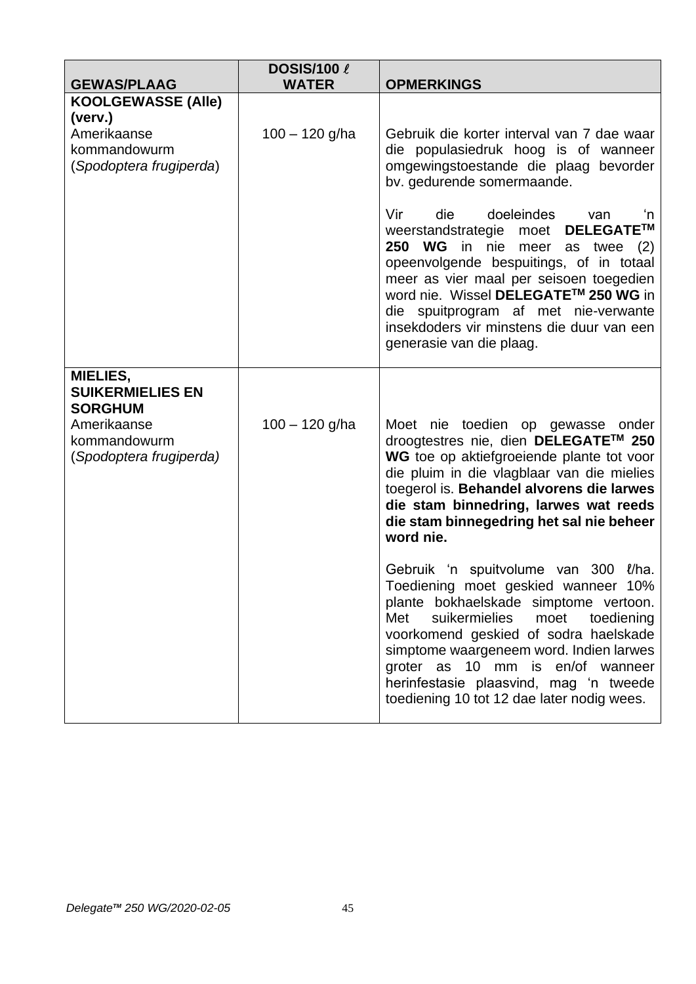| <b>GEWAS/PLAAG</b>                                                                                              | <b>DOSIS/100 &amp;</b><br><b>WATER</b> | <b>OPMERKINGS</b>                                                                                                                                                                                                                                                                                                                                                                  |
|-----------------------------------------------------------------------------------------------------------------|----------------------------------------|------------------------------------------------------------------------------------------------------------------------------------------------------------------------------------------------------------------------------------------------------------------------------------------------------------------------------------------------------------------------------------|
| <b>KOOLGEWASSE (Alle)</b><br>(verv.)                                                                            |                                        |                                                                                                                                                                                                                                                                                                                                                                                    |
| Amerikaanse<br>kommandowurm<br>(Spodoptera frugiperda)                                                          | $100 - 120$ g/ha                       | Gebruik die korter interval van 7 dae waar<br>die populasiedruk hoog is of wanneer<br>omgewingstoestande die plaag bevorder<br>bv. gedurende somermaande.                                                                                                                                                                                                                          |
|                                                                                                                 |                                        | Vir<br>die<br>doeleindes<br>van<br>'n<br>weerstandstrategie moet DELEGATE™<br>250 WG in nie meer<br>as twee $(2)$<br>opeenvolgende bespuitings, of in totaal<br>meer as vier maal per seisoen toegedien<br>word nie. Wissel DELEGATE™ 250 WG in<br>die spuitprogram af met nie-verwante<br>insekdoders vir minstens die duur van een<br>generasie van die plaag.                   |
| MIELIES,<br><b>SUIKERMIELIES EN</b><br><b>SORGHUM</b><br>Amerikaanse<br>kommandowurm<br>(Spodoptera frugiperda) | $100 - 120$ g/ha                       | Moet nie toedien op gewasse onder<br>droogtestres nie, dien DELEGATE™ 250<br>WG toe op aktiefgroeiende plante tot voor<br>die pluim in die vlagblaar van die mielies<br>toegerol is. Behandel alvorens die larwes<br>die stam binnedring, larwes wat reeds<br>die stam binnegedring het sal nie beheer<br>word nie.                                                                |
|                                                                                                                 |                                        | Gebruik 'n spuitvolume van 300 l/ha.<br>Toediening moet geskied wanneer 10%<br>plante bokhaelskade simptome vertoon.<br>Met<br>suikermielies<br>moet<br>toediening<br>voorkomend geskied of sodra haelskade<br>simptome waargeneem word. Indien larwes<br>groter as 10 mm is en/of wanneer<br>herinfestasie plaasvind, mag 'n tweede<br>toediening 10 tot 12 dae later nodig wees. |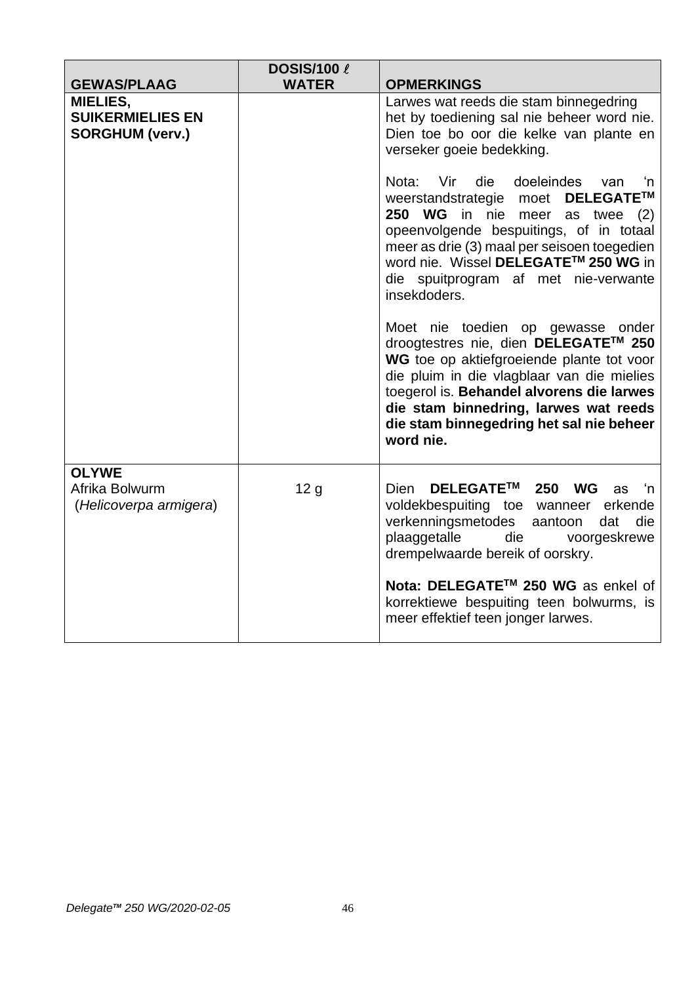|                                                                      | <b>DOSIS/100 &amp;</b> |                                                                                                                                                                                                                                                                                                                     |
|----------------------------------------------------------------------|------------------------|---------------------------------------------------------------------------------------------------------------------------------------------------------------------------------------------------------------------------------------------------------------------------------------------------------------------|
| <b>GEWAS/PLAAG</b>                                                   | <b>WATER</b>           | <b>OPMERKINGS</b>                                                                                                                                                                                                                                                                                                   |
| <b>MIELIES,</b><br><b>SUIKERMIELIES EN</b><br><b>SORGHUM (verv.)</b> |                        | Larwes wat reeds die stam binnegedring<br>het by toediening sal nie beheer word nie.<br>Dien toe bo oor die kelke van plante en<br>verseker goeie bedekking.                                                                                                                                                        |
|                                                                      |                        | Vir die doeleindes<br>Nota:<br>van<br>'n<br>weerstandstrategie moet DELEGATE™<br>250 WG in nie<br>meer<br>as twee $(2)$<br>opeenvolgende bespuitings, of in totaal<br>meer as drie (3) maal per seisoen toegedien<br>word nie. Wissel DELEGATE™ 250 WG in<br>die spuitprogram af met nie-verwante<br>insekdoders.   |
|                                                                      |                        | Moet nie toedien op gewasse onder<br>droogtestres nie, dien DELEGATE™ 250<br>WG toe op aktiefgroeiende plante tot voor<br>die pluim in die vlagblaar van die mielies<br>toegerol is. Behandel alvorens die larwes<br>die stam binnedring, larwes wat reeds<br>die stam binnegedring het sal nie beheer<br>word nie. |
| <b>OLYWE</b><br>Afrika Bolwurm<br>(Helicoverpa armigera)             | 12 <sub>g</sub>        | DELEGATE™ 250 WG<br><b>Dien</b><br>ú−'n<br>as<br>voldekbespuiting toe wanneer erkende<br>verkenningsmetodes aantoon<br>die<br>dat<br>plaaggetalle<br>die<br>voorgeskrewe<br>drempelwaarde bereik of oorskry.                                                                                                        |
|                                                                      |                        | Nota: DELEGATE™ 250 WG as enkel of<br>korrektiewe bespuiting teen bolwurms, is<br>meer effektief teen jonger larwes.                                                                                                                                                                                                |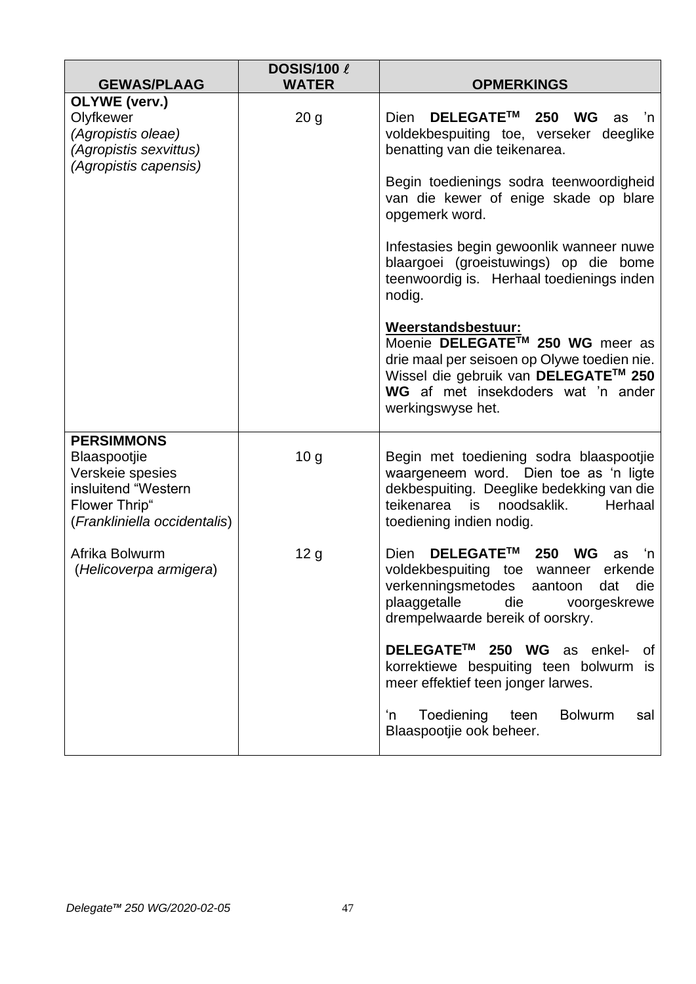| <b>GEWAS/PLAAG</b>                                                                                                            | <b>DOSIS/100 &amp;</b><br><b>WATER</b> | <b>OPMERKINGS</b>                                                                                                                                                                                                 |
|-------------------------------------------------------------------------------------------------------------------------------|----------------------------------------|-------------------------------------------------------------------------------------------------------------------------------------------------------------------------------------------------------------------|
| OLYWE (verv.)<br>Olyfkewer<br>(Agropistis oleae)<br>(Agropistis sexvittus)<br>(Agropistis capensis)                           | 20 <sub>g</sub>                        | DELEGATE™<br><b>Dien</b><br>250<br>WG<br>n'<br>as<br>voldekbespuiting toe, verseker deeglike<br>benatting van die teikenarea.<br>Begin toedienings sodra teenwoordigheid<br>van die kewer of enige skade op blare |
|                                                                                                                               |                                        | opgemerk word.<br>Infestasies begin gewoonlik wanneer nuwe<br>blaargoei (groeistuwings) op die bome<br>teenwoordig is. Herhaal toedienings inden<br>nodig.                                                        |
|                                                                                                                               |                                        | Weerstandsbestuur:<br>Moenie DELEGATE™ 250 WG meer as<br>drie maal per seisoen op Olywe toedien nie.<br>Wissel die gebruik van DELEGATE™ 250<br>WG af met insekdoders wat 'n ander<br>werkingswyse het.           |
| <b>PERSIMMONS</b><br>Blaaspootjie<br>Verskeie spesies<br>insluitend "Western<br>Flower Thrip"<br>(Frankliniella occidentalis) | 10 <sub>g</sub>                        | Begin met toediening sodra blaaspootjie<br>waargeneem word. Dien toe as 'n ligte<br>dekbespuiting. Deeglike bedekking van die<br>teikenarea<br>noodsaklik.<br>Herhaal<br>is.<br>toediening indien nodig.          |
| Afrika Bolwurm<br>(Helicoverpa armigera)                                                                                      | 12 g                                   | DELEGATE™<br>250<br><b>WG</b><br>Dien<br>'n<br>as<br>voldekbespuiting toe wanneer erkende<br>verkenningsmetodes aantoon dat<br>die<br>plaaggetalle<br>die<br>voorgeskrewe<br>drempelwaarde bereik of oorskry.     |
|                                                                                                                               |                                        | DELEGATE <sup>™</sup> 250 WG as enkel-<br>0f<br>korrektiewe bespuiting teen bolwurm is<br>meer effektief teen jonger larwes.                                                                                      |
|                                                                                                                               |                                        | Toediening<br><b>Bolwurm</b><br>'n<br>teen<br>sal<br>Blaaspootjie ook beheer.                                                                                                                                     |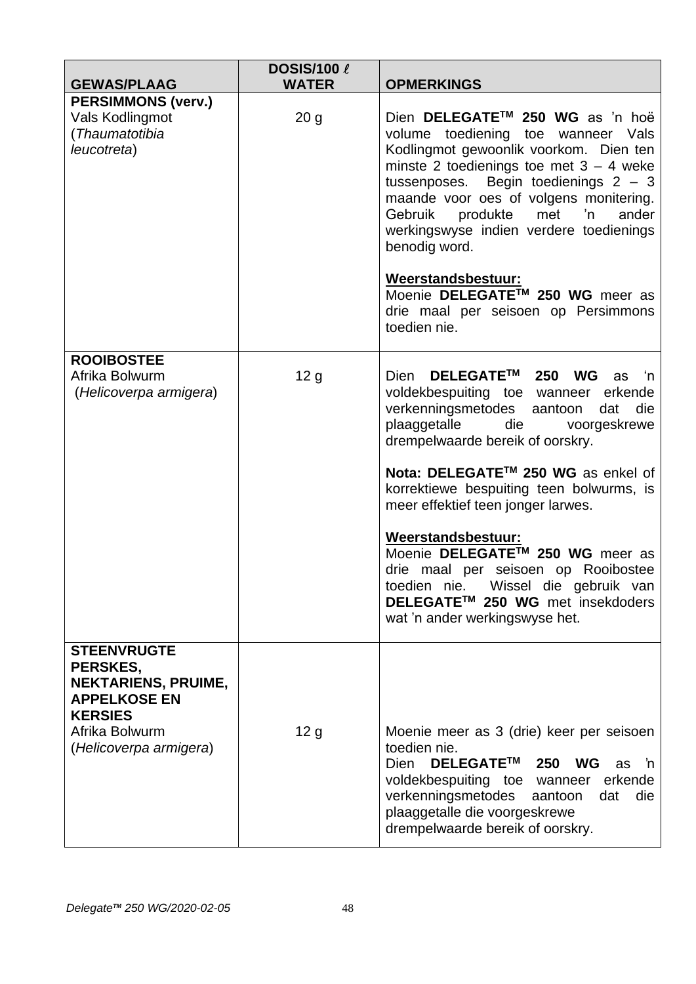| <b>GEWAS/PLAAG</b>                                                                                                                                | <b>DOSIS/100 &amp;</b><br><b>WATER</b> | <b>OPMERKINGS</b>                                                                                                                                                                                                                                                                                                                                                                                                                                                                                                                                 |
|---------------------------------------------------------------------------------------------------------------------------------------------------|----------------------------------------|---------------------------------------------------------------------------------------------------------------------------------------------------------------------------------------------------------------------------------------------------------------------------------------------------------------------------------------------------------------------------------------------------------------------------------------------------------------------------------------------------------------------------------------------------|
| <b>PERSIMMONS (verv.)</b><br>Vals Kodlingmot<br>(Thaumatotibia<br>leucotreta)                                                                     | 20 <sub>g</sub>                        | Dien DELEGATE™ 250 WG as 'n hoë<br>volume toediening toe wanneer Vals<br>Kodlingmot gewoonlik voorkom. Dien ten<br>minste 2 toedienings toe met $3 - 4$ weke<br>tussenposes. Begin toedienings $2 - 3$<br>maande voor oes of volgens monitering.<br>produkte<br>met<br>'n<br>Gebruik<br>ander<br>werkingswyse indien verdere toedienings<br>benodig word.<br>Weerstandsbestuur:<br>Moenie DELEGATE™ 250 WG meer as<br>drie maal per seisoen op Persimmons<br>toedien nie.                                                                         |
| <b>ROOIBOSTEE</b><br>Afrika Bolwurm<br>(Helicoverpa armigera)                                                                                     | 12 <sub>g</sub>                        | DELEGATE™ 250 WG<br><b>Dien</b><br>ú−'n<br>as<br>voldekbespuiting toe wanneer erkende<br>verkenningsmetodes aantoon<br>die<br>dat<br>plaaggetalle<br>die<br>voorgeskrewe<br>drempelwaarde bereik of oorskry.<br>Nota: DELEGATE™ 250 WG as enkel of<br>korrektiewe bespuiting teen bolwurms, is<br>meer effektief teen jonger larwes.<br>Weerstandsbestuur:<br>Moenie DELEGATE™ 250 WG meer as<br>drie maal per seisoen op Rooibostee<br>toedien nie. Wissel die gebruik van<br>DELEGATE™ 250 WG met insekdoders<br>wat 'n ander werkingswyse het. |
| <b>STEENVRUGTE</b><br>PERSKES,<br><b>NEKTARIENS, PRUIME,</b><br><b>APPELKOSE EN</b><br><b>KERSIES</b><br>Afrika Bolwurm<br>(Helicoverpa armigera) | 12 <sub>g</sub>                        | Moenie meer as 3 (drie) keer per seisoen<br>toedien nie.<br>DELEGATE™<br>250<br>WG<br>Dien<br>as<br>'n<br>voldekbespuiting toe wanneer<br>erkende<br>verkenningsmetodes<br>die<br>aantoon<br>dat<br>plaaggetalle die voorgeskrewe<br>drempelwaarde bereik of oorskry.                                                                                                                                                                                                                                                                             |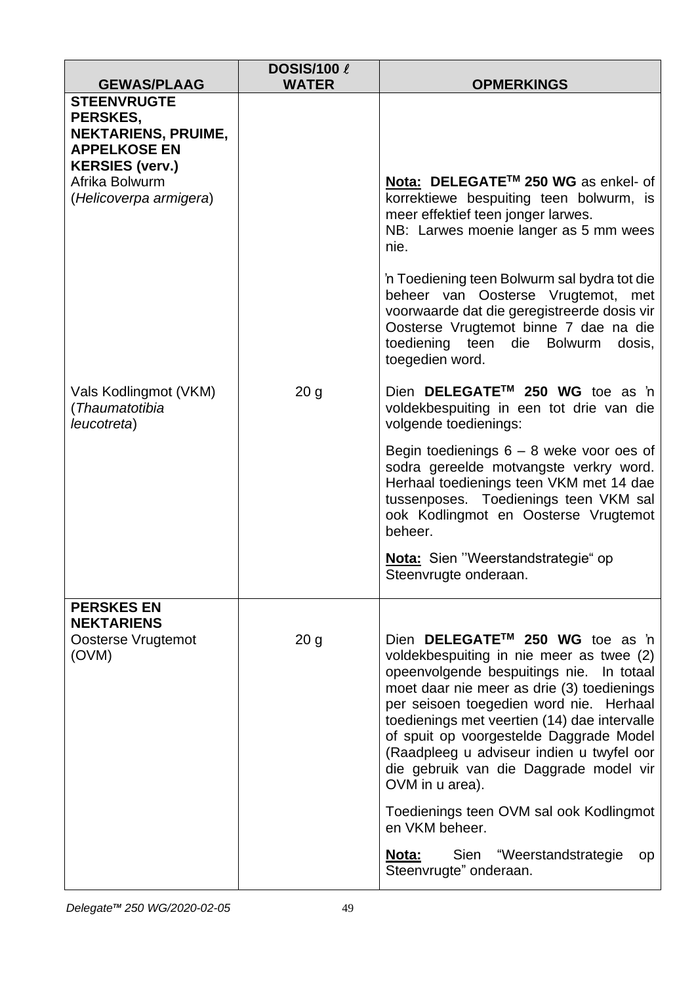| <b>GEWAS/PLAAG</b>                                                                                                              | <b>DOSIS/100 &amp;</b><br><b>WATER</b> | <b>OPMERKINGS</b>                                                                                                                                                                                                                                                                                                                                                                                                     |
|---------------------------------------------------------------------------------------------------------------------------------|----------------------------------------|-----------------------------------------------------------------------------------------------------------------------------------------------------------------------------------------------------------------------------------------------------------------------------------------------------------------------------------------------------------------------------------------------------------------------|
| <b>STEENVRUGTE</b><br>PERSKES,<br><b>NEKTARIENS, PRUIME,</b><br><b>APPELKOSE EN</b><br><b>KERSIES (verv.)</b><br>Afrika Bolwurm |                                        | Nota: DELEGATE™ 250 WG as enkel- of                                                                                                                                                                                                                                                                                                                                                                                   |
| (Helicoverpa armigera)                                                                                                          |                                        | korrektiewe bespuiting teen bolwurm, is<br>meer effektief teen jonger larwes.<br>NB: Larwes moenie langer as 5 mm wees<br>nie.                                                                                                                                                                                                                                                                                        |
|                                                                                                                                 |                                        | 'n Toediening teen Bolwurm sal bydra tot die<br>beheer van Oosterse Vrugtemot, met<br>voorwaarde dat die geregistreerde dosis vir<br>Oosterse Vrugtemot binne 7 dae na die<br>toediening teen die Bolwurm<br>dosis,<br>toegedien word.                                                                                                                                                                                |
| Vals Kodlingmot (VKM)<br>(Thaumatotibia<br>leucotreta)                                                                          | 20 <sub>g</sub>                        | Dien DELEGATE™ 250 WG toe as 'n<br>voldekbespuiting in een tot drie van die<br>volgende toedienings:                                                                                                                                                                                                                                                                                                                  |
|                                                                                                                                 |                                        | Begin toedienings $6 - 8$ weke voor oes of<br>sodra gereelde motvangste verkry word.<br>Herhaal toedienings teen VKM met 14 dae<br>tussenposes. Toedienings teen VKM sal<br>ook Kodlingmot en Oosterse Vrugtemot<br>beheer.                                                                                                                                                                                           |
|                                                                                                                                 |                                        | Nota: Sien "Weerstandstrategie" op<br>Steenvrugte onderaan.                                                                                                                                                                                                                                                                                                                                                           |
| <b>PERSKES EN</b><br><b>NEKTARIENS</b>                                                                                          |                                        |                                                                                                                                                                                                                                                                                                                                                                                                                       |
| Oosterse Vrugtemot<br>(OVM)                                                                                                     | 20 <sub>g</sub>                        | Dien DELEGATE™ 250 WG toe as 'n<br>voldekbespuiting in nie meer as twee (2)<br>opeenvolgende bespuitings nie. In totaal<br>moet daar nie meer as drie (3) toedienings<br>per seisoen toegedien word nie. Herhaal<br>toedienings met veertien (14) dae intervalle<br>of spuit op voorgestelde Daggrade Model<br>(Raadpleeg u adviseur indien u twyfel oor<br>die gebruik van die Daggrade model vir<br>OVM in u area). |
|                                                                                                                                 |                                        | Toedienings teen OVM sal ook Kodlingmot<br>en VKM beheer.                                                                                                                                                                                                                                                                                                                                                             |
|                                                                                                                                 |                                        | <b>Nota:</b> Sien "Weerstandstrategie<br>op<br>Steenvrugte" onderaan.                                                                                                                                                                                                                                                                                                                                                 |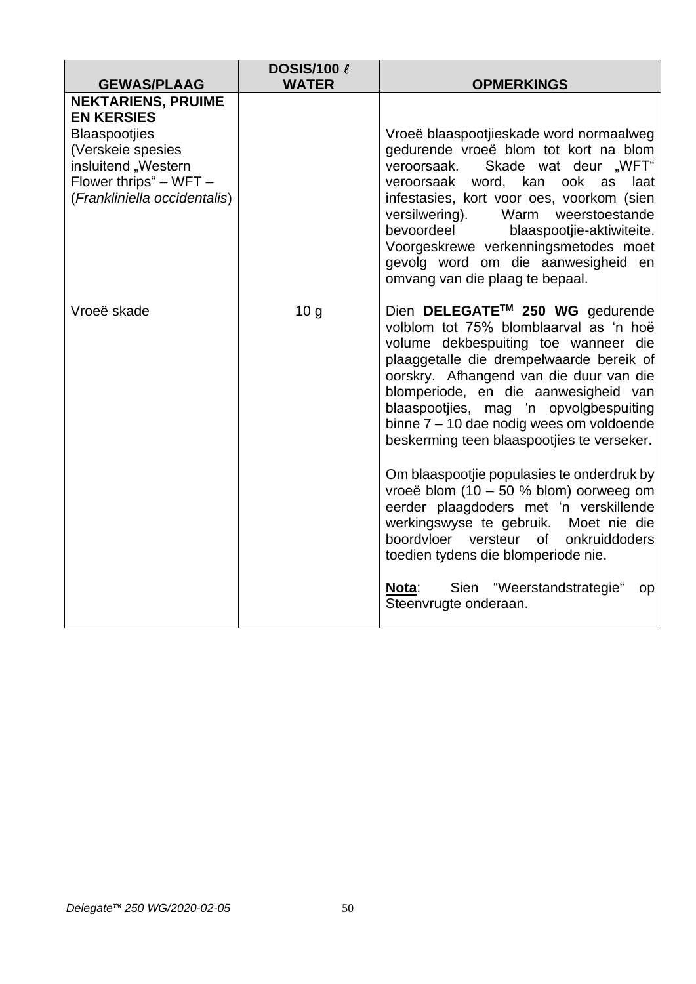| <b>GEWAS/PLAAG</b>                                                                                                                              | <b>DOSIS/100 &amp;</b><br><b>WATER</b> |                                                                                                                                                                                                                                                                                                                                                                                                                           |
|-------------------------------------------------------------------------------------------------------------------------------------------------|----------------------------------------|---------------------------------------------------------------------------------------------------------------------------------------------------------------------------------------------------------------------------------------------------------------------------------------------------------------------------------------------------------------------------------------------------------------------------|
| <b>NEKTARIENS, PRUIME</b>                                                                                                                       |                                        | <b>OPMERKINGS</b>                                                                                                                                                                                                                                                                                                                                                                                                         |
| <b>EN KERSIES</b><br><b>Blaaspootjies</b><br>(Verskeie spesies<br>insluitend "Western<br>Flower thrips" - WFT -<br>(Frankliniella occidentalis) |                                        | Vroeë blaaspootjieskade word normaalweg<br>gedurende vroeë blom tot kort na blom<br>Skade wat deur "WFT"<br>veroorsaak.<br>word, kan<br>ook<br>veroorsaak<br>laat<br>as<br>infestasies, kort voor oes, voorkom (sien<br>versilwering).<br>Warm weerstoestande<br>bevoordeel<br>blaaspootjie-aktiwiteite.<br>Voorgeskrewe verkenningsmetodes moet<br>gevolg word om die aanwesigheid en<br>omvang van die plaag te bepaal. |
| Vroeë skade                                                                                                                                     | 10 <sub>g</sub>                        | Dien DELEGATE™ 250 WG gedurende<br>volblom tot 75% blomblaarval as 'n hoë<br>volume dekbespuiting toe wanneer die<br>plaaggetalle die drempelwaarde bereik of<br>oorskry. Afhangend van die duur van die<br>blomperiode, en die aanwesigheid van<br>blaaspootjies, mag 'n opvolgbespuiting<br>binne 7 - 10 dae nodig wees om voldoende<br>beskerming teen blaaspootjies te verseker.                                      |
|                                                                                                                                                 |                                        | Om blaaspootjie populasies te onderdruk by<br>vroeë blom $(10 - 50 %$ blom) oorweeg om<br>eerder plaagdoders met 'n verskillende<br>werkingswyse te gebruik. Moet nie die<br>boordvloer versteur of onkruiddoders<br>toedien tydens die blomperiode nie.                                                                                                                                                                  |
|                                                                                                                                                 |                                        | Sien "Weerstandstrategie"<br>Nota:<br>op<br>Steenvrugte onderaan.                                                                                                                                                                                                                                                                                                                                                         |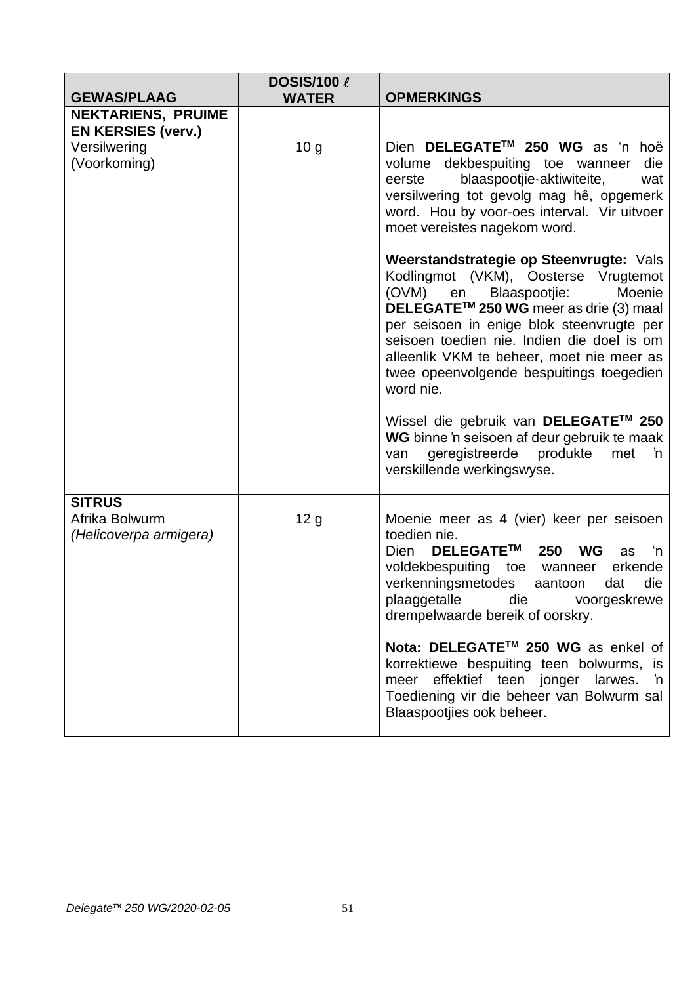|                                                           | <b>DOSIS/100 &amp;</b> |                                                                                                                                                                                                                                                                                                                                                                                                                                                                                                                                    |
|-----------------------------------------------------------|------------------------|------------------------------------------------------------------------------------------------------------------------------------------------------------------------------------------------------------------------------------------------------------------------------------------------------------------------------------------------------------------------------------------------------------------------------------------------------------------------------------------------------------------------------------|
| <b>GEWAS/PLAAG</b>                                        | <b>WATER</b>           | <b>OPMERKINGS</b>                                                                                                                                                                                                                                                                                                                                                                                                                                                                                                                  |
| <b>NEKTARIENS, PRUIME</b>                                 |                        |                                                                                                                                                                                                                                                                                                                                                                                                                                                                                                                                    |
| <b>EN KERSIES (verv.)</b>                                 |                        |                                                                                                                                                                                                                                                                                                                                                                                                                                                                                                                                    |
| Versilwering<br>(Voorkoming)                              | 10 <sub>g</sub>        | Dien DELEGATE™ 250 WG as 'n hoë<br>die<br>volume dekbespuiting toe wanneer<br>blaaspootjie-aktiwiteite,<br>eerste<br>wat<br>versilwering tot gevolg mag hê, opgemerk<br>word. Hou by voor-oes interval. Vir uitvoer<br>moet vereistes nagekom word.                                                                                                                                                                                                                                                                                |
|                                                           |                        | Weerstandstrategie op Steenvrugte: Vals<br>Kodlingmot (VKM), Oosterse Vrugtemot<br>(OVM) en Blaaspootjie:<br>Moenie<br>DELEGATE™ 250 WG meer as drie (3) maal<br>per seisoen in enige blok steenvrugte per<br>seisoen toedien nie. Indien die doel is om<br>alleenlik VKM te beheer, moet nie meer as<br>twee opeenvolgende bespuitings toegedien<br>word nie.<br>Wissel die gebruik van DELEGATE™ 250<br>WG binne 'n seisoen af deur gebruik te maak<br>geregistreerde produkte<br>met<br>'n<br>van<br>verskillende werkingswyse. |
|                                                           |                        |                                                                                                                                                                                                                                                                                                                                                                                                                                                                                                                                    |
| <b>SITRUS</b><br>Afrika Bolwurm<br>(Helicoverpa armigera) | 12 <sub>g</sub>        | Moenie meer as 4 (vier) keer per seisoen<br>toedien nie.<br>DELEGATE™<br>250<br><b>WG</b><br>Dien<br>'n<br>as<br>voldekbespuiting toe wanneer<br>erkende<br>verkenningsmetodes<br>die<br>aantoon<br>dat<br>plaaggetalle die voorgeskrewe<br>drempelwaarde bereik of oorskry.                                                                                                                                                                                                                                                       |
|                                                           |                        | Nota: DELEGATE™ 250 WG as enkel of<br>korrektiewe bespuiting teen bolwurms, is<br>effektief teen jonger larwes. 'n<br>meer<br>Toediening vir die beheer van Bolwurm sal<br>Blaaspootjies ook beheer.                                                                                                                                                                                                                                                                                                                               |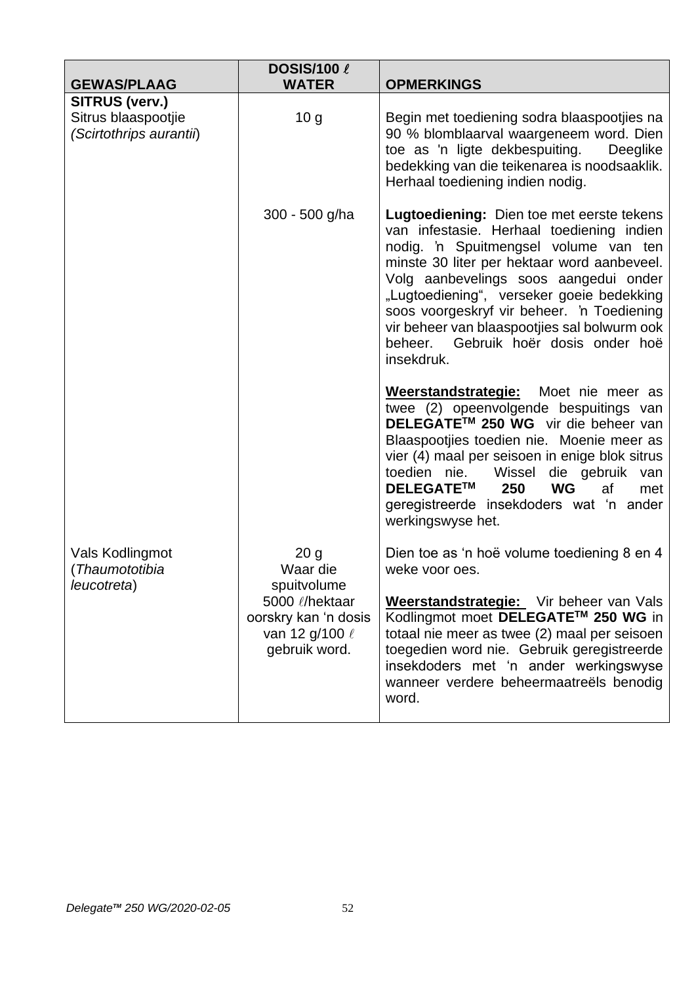| <b>GEWAS/PLAAG</b>                                               | <b>DOSIS/100 &amp;</b><br><b>WATER</b>                                                                                       | <b>OPMERKINGS</b>                                                                                                                                                                                                                                                                                                                                                                                                           |
|------------------------------------------------------------------|------------------------------------------------------------------------------------------------------------------------------|-----------------------------------------------------------------------------------------------------------------------------------------------------------------------------------------------------------------------------------------------------------------------------------------------------------------------------------------------------------------------------------------------------------------------------|
| SITRUS (verv.)<br>Sitrus blaaspootjie<br>(Scirtothrips aurantii) | 10 <sub>g</sub>                                                                                                              | Begin met toediening sodra blaaspootjies na<br>90 % blomblaarval waargeneem word. Dien<br>toe as 'n ligte dekbespuiting.<br>Deeglike<br>bedekking van die teikenarea is noodsaaklik.<br>Herhaal toediening indien nodig.                                                                                                                                                                                                    |
|                                                                  | 300 - 500 g/ha                                                                                                               | Lugtoediening: Dien toe met eerste tekens<br>van infestasie. Herhaal toediening indien<br>nodig. 'n Spuitmengsel volume van ten<br>minste 30 liter per hektaar word aanbeveel.<br>Volg aanbevelings soos aangedui onder<br>"Lugtoediening", verseker goeie bedekking<br>soos voorgeskryf vir beheer. 'n Toediening<br>vir beheer van blaaspootjies sal bolwurm ook<br>beheer.<br>Gebruik hoër dosis onder hoë<br>insekdruk. |
|                                                                  |                                                                                                                              | Weerstandstrategie: Moet nie meer as<br>twee (2) opeenvolgende bespuitings van<br>DELEGATE™ 250 WG vir die beheer van<br>Blaaspootjies toedien nie. Moenie meer as<br>vier (4) maal per seisoen in enige blok sitrus<br>toedien nie.<br>Wissel die gebruik van<br><b>DELEGATETM</b><br>250<br><b>WG</b><br>af<br>met<br>geregistreerde insekdoders wat 'n ander<br>werkingswyse het.                                        |
| Vals Kodlingmot<br>(Thaumototibia<br>leucotreta)                 | 20 <sub>g</sub><br>Waar die<br>spuitvolume<br>5000 l/hektaar<br>oorskry kan 'n dosis<br>van 12 g/100 $\ell$<br>gebruik word. | Dien toe as 'n hoë volume toediening 8 en 4<br>weke voor oes.<br>Weerstandstrategie: Vir beheer van Vals<br>Kodlingmot moet DELEGATE™ 250 WG in<br>totaal nie meer as twee (2) maal per seisoen<br>toegedien word nie. Gebruik geregistreerde<br>insekdoders met 'n ander werkingswyse<br>wanneer verdere beheermaatreëls benodig<br>word.                                                                                  |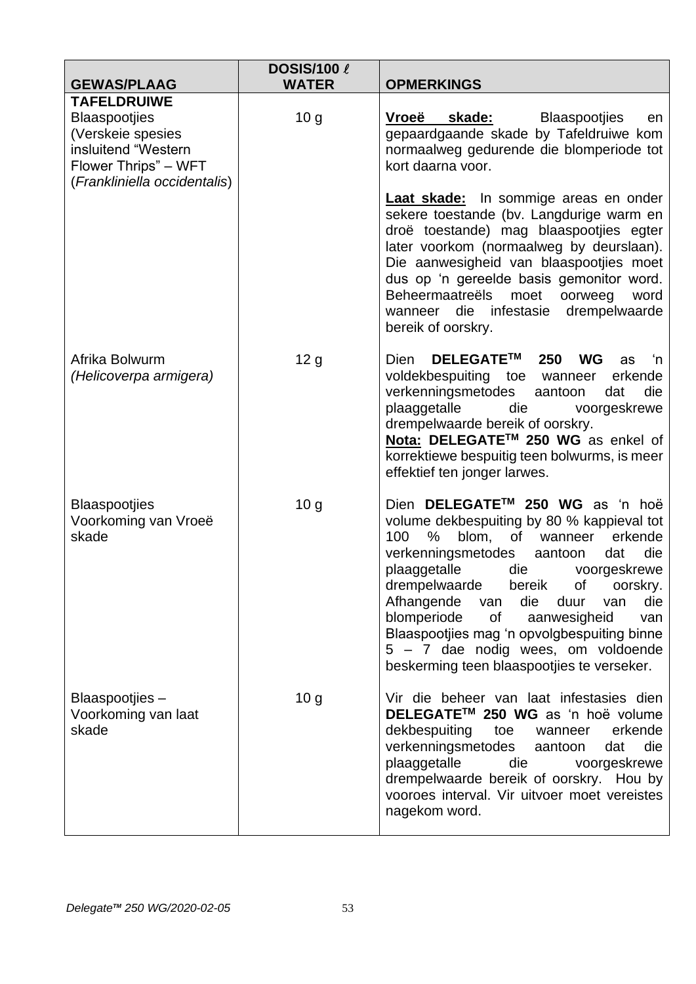| <b>GEWAS/PLAAG</b>                                                                                                                             | <b>DOSIS/100 &amp;</b><br><b>WATER</b> | <b>OPMERKINGS</b>                                                                                                                                                                                                                                                                                                                                                                                                                                                                                     |
|------------------------------------------------------------------------------------------------------------------------------------------------|----------------------------------------|-------------------------------------------------------------------------------------------------------------------------------------------------------------------------------------------------------------------------------------------------------------------------------------------------------------------------------------------------------------------------------------------------------------------------------------------------------------------------------------------------------|
| <b>TAFELDRUIWE</b><br><b>Blaaspootjies</b><br>(Verskeie spesies<br>insluitend "Western<br>Flower Thrips" - WFT<br>(Frankliniella occidentalis) | 10 <sub>g</sub>                        | Vroeë<br>skade:<br>Blaaspootjies<br>en<br>gepaardgaande skade by Tafeldruiwe kom<br>normaalweg gedurende die blomperiode tot<br>kort daarna voor.                                                                                                                                                                                                                                                                                                                                                     |
|                                                                                                                                                |                                        | <b>Laat skade:</b> In sommige areas en onder<br>sekere toestande (bv. Langdurige warm en<br>droë toestande) mag blaaspootjies egter<br>later voorkom (normaalweg by deurslaan).<br>Die aanwesigheid van blaaspootjies moet<br>dus op 'n gereelde basis gemonitor word.<br><b>Beheermaatreëls</b><br>moet<br>oorweeg<br>word<br>wanneer die infestasie<br>drempelwaarde<br>bereik of oorskry.                                                                                                          |
| Afrika Bolwurm<br>(Helicoverpa armigera)                                                                                                       | 12 g                                   | DELEGATE™<br>250<br><b>WG</b><br>Dien<br>'n<br>as<br>voldekbespuiting toe wanneer<br>erkende<br>verkenningsmetodes<br>die<br>aantoon<br>dat<br>plaaggetalle<br>die<br>voorgeskrewe<br>drempelwaarde bereik of oorskry.<br>Nota: DELEGATE™ 250 WG as enkel of<br>korrektiewe bespuitig teen bolwurms, is meer<br>effektief ten jonger larwes.                                                                                                                                                          |
| <b>Blaaspootjies</b><br>Voorkoming van Vroeë<br>skade                                                                                          | 10 <sub>q</sub>                        | Dien DELEGATE™ 250 WG as 'n hoë<br>volume dekbespuiting by 80 % kappieval tot<br>blom,<br>100<br>%<br>of<br>erkende<br>wanneer<br>verkenningsmetodes<br>die<br>aantoon<br>dat<br>plaaggetalle<br>die<br>voorgeskrewe<br>drempelwaarde bereik of oorskry.<br>Afhangende<br>die<br>duur<br>die<br>van<br>van<br>blomperiode<br>of the control<br>aanwesigheid<br>van<br>Blaaspootjies mag 'n opvolgbespuiting binne<br>5 - 7 dae nodig wees, om voldoende<br>beskerming teen blaaspootjies te verseker. |
| Blaaspootjies-<br>Voorkoming van laat<br>skade                                                                                                 | 10 <sub>g</sub>                        | Vir die beheer van laat infestasies dien<br>DELEGATE™ 250 WG as 'n hoë volume<br>dekbespuiting<br>toe<br>erkende<br>wanneer<br>verkenningsmetodes<br>die<br>aantoon<br>dat<br>plaaggetalle<br>die<br>voorgeskrewe<br>drempelwaarde bereik of oorskry. Hou by<br>vooroes interval. Vir uitvoer moet vereistes<br>nagekom word.                                                                                                                                                                         |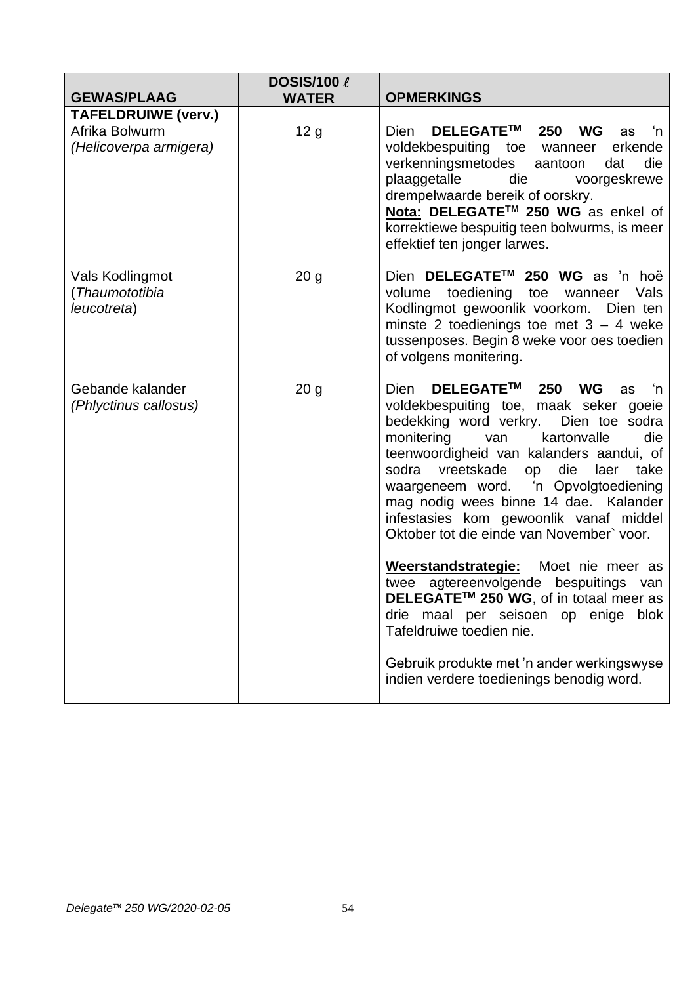| <b>GEWAS/PLAAG</b>                               | <b>DOSIS/100 &amp;</b><br><b>WATER</b> | <b>OPMERKINGS</b>                                                                                                                                                                                                                                                                                                                                                                                                                            |
|--------------------------------------------------|----------------------------------------|----------------------------------------------------------------------------------------------------------------------------------------------------------------------------------------------------------------------------------------------------------------------------------------------------------------------------------------------------------------------------------------------------------------------------------------------|
| <b>TAFELDRUIWE (verv.)</b>                       |                                        |                                                                                                                                                                                                                                                                                                                                                                                                                                              |
| Afrika Bolwurm<br>(Helicoverpa armigera)         | 12 <sub>g</sub>                        | <b>DELEGATE™</b><br>Dien<br>250 WG<br>ú−'n<br>as<br>voldekbespuiting toe wanneer<br>erkende<br>verkenningsmetodes<br>die<br>aantoon<br>dat<br>plaaggetalle<br>die<br>voorgeskrewe<br>drempelwaarde bereik of oorskry.<br>Nota: DELEGATE™ 250 WG as enkel of<br>korrektiewe bespuitig teen bolwurms, is meer<br>effektief ten jonger larwes.                                                                                                  |
| Vals Kodlingmot<br>(Thaumototibia<br>leucotreta) | 20 <sub>g</sub>                        | Dien DELEGATE™ 250 WG as 'n hoë<br>volume toediening toe wanneer Vals<br>Kodlingmot gewoonlik voorkom. Dien ten<br>minste 2 toedienings toe met $3 - 4$ weke<br>tussenposes. Begin 8 weke voor oes toedien<br>of volgens monitering.                                                                                                                                                                                                         |
| Gebande kalander<br>(Phlyctinus callosus)        | 20 <sub>g</sub>                        | DELEGATE™ 250 WG<br>Dien<br>ú−'n<br>as<br>voldekbespuiting toe, maak seker goeie<br>bedekking word verkry. Dien toe sodra<br>monitering<br>kartonvalle<br>die<br>van<br>teenwoordigheid van kalanders aandui, of<br>sodra<br>vreetskade<br>die<br>take<br>laer<br>op<br>waargeneem word. 'n Opvolgtoediening<br>mag nodig wees binne 14 dae. Kalander<br>infestasies kom gewoonlik vanaf middel<br>Oktober tot die einde van November' voor. |
|                                                  |                                        | Weerstandstrategie: Moet nie meer as<br>twee agtereenvolgende bespuitings van<br>DELEGATE™ 250 WG, of in totaal meer as<br>drie maal per seisoen op enige<br>blok<br>Tafeldruiwe toedien nie.                                                                                                                                                                                                                                                |
|                                                  |                                        | Gebruik produkte met 'n ander werkingswyse<br>indien verdere toedienings benodig word.                                                                                                                                                                                                                                                                                                                                                       |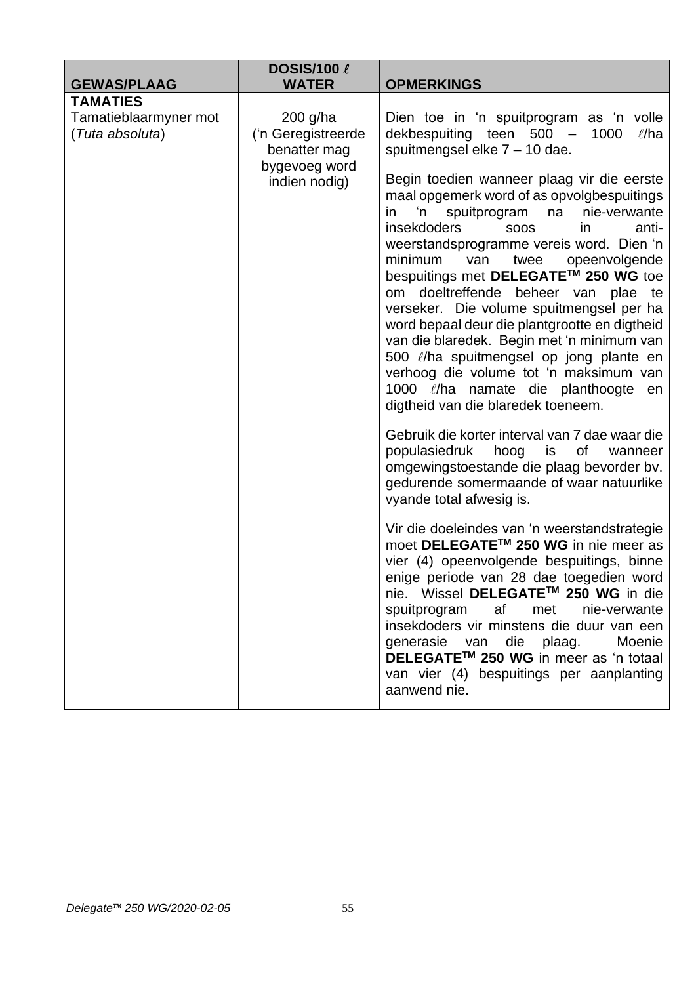| <b>GEWAS/PLAAG</b>                       | <b>DOSIS/100 <math>\ell</math></b><br><b>WATER</b>                                 | <b>OPMERKINGS</b>                                                                                                                                                                                                                                                                                                                                                                                                                                                                                                                                                                                 |
|------------------------------------------|------------------------------------------------------------------------------------|---------------------------------------------------------------------------------------------------------------------------------------------------------------------------------------------------------------------------------------------------------------------------------------------------------------------------------------------------------------------------------------------------------------------------------------------------------------------------------------------------------------------------------------------------------------------------------------------------|
| <b>TAMATIES</b>                          |                                                                                    |                                                                                                                                                                                                                                                                                                                                                                                                                                                                                                                                                                                                   |
| Tamatieblaarmyner mot<br>(Tuta absoluta) | $200$ g/ha<br>('n Geregistreerde<br>benatter mag<br>bygevoeg word<br>indien nodig) | Dien toe in 'n spuitprogram as 'n volle<br>dekbespuiting teen 500 -<br>1000<br>$\ell$ /ha<br>spuitmengsel elke $7 - 10$ dae.<br>Begin toedien wanneer plaag vir die eerste                                                                                                                                                                                                                                                                                                                                                                                                                        |
|                                          |                                                                                    | maal opgemerk word of as opvolgbespuitings<br>'n<br>spuitprogram<br>na<br>nie-verwante<br>in.<br><i>insekdoders</i><br>in.<br>anti-<br><b>SOOS</b><br>weerstandsprogramme vereis word. Dien 'n<br>minimum<br>opeenvolgende<br>van<br>twee<br>bespuitings met DELEGATE™ 250 WG toe<br>om doeltreffende beheer van<br>plae te<br>verseker. Die volume spuitmengsel per ha<br>word bepaal deur die plantgrootte en digtheid<br>van die blaredek. Begin met 'n minimum van<br>500 l/ha spuitmengsel op jong plante en<br>verhoog die volume tot 'n maksimum van<br>digtheid van die blaredek toeneem. |
|                                          |                                                                                    | Gebruik die korter interval van 7 dae waar die<br>populasiedruk<br>hoog<br>is<br>0f<br>wanneer<br>omgewingstoestande die plaag bevorder bv.<br>gedurende somermaande of waar natuurlike<br>vyande total afwesig is.                                                                                                                                                                                                                                                                                                                                                                               |
|                                          |                                                                                    | Vir die doeleindes van 'n weerstandstrategie<br>moet DELEGATE™ 250 WG in nie meer as<br>vier (4) opeenvolgende bespuitings, binne<br>enige periode van 28 dae toegedien word<br>nie. Wissel DELEGATE™ 250 WG in die<br>spuitprogram<br>af<br>met<br>nie-verwante<br>insekdoders vir minstens die duur van een<br>generasie van die plaag.<br>Moenie<br>DELEGATE™ 250 WG in meer as 'n totaal<br>van vier (4) bespuitings per aanplanting<br>aanwend nie.                                                                                                                                          |